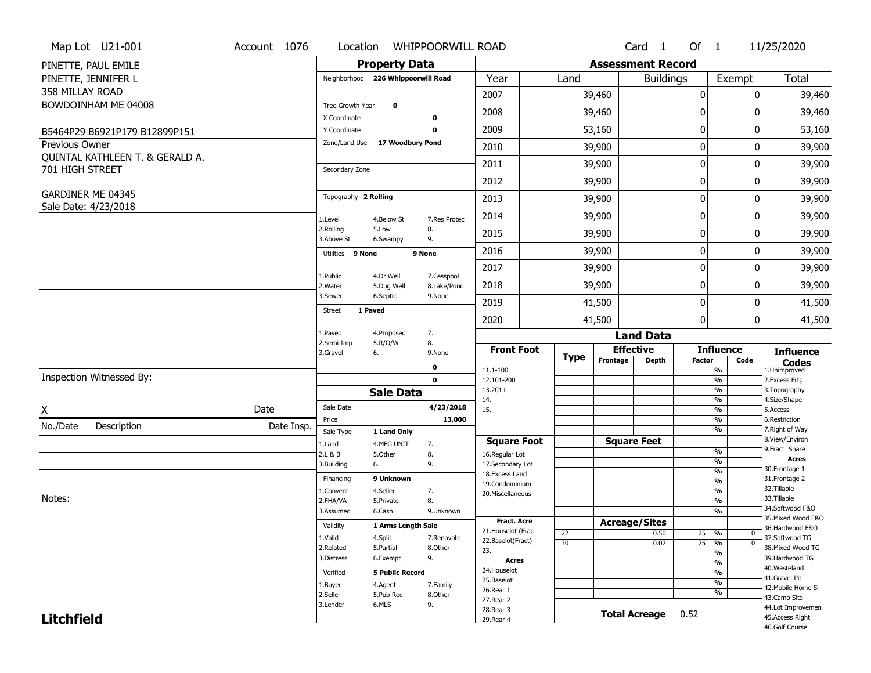|                   | Map Lot U21-001                 | Account 1076 | Location                | <b>WHIPPOORWILL ROAD</b>           |                           |                                  |             |                      | Card 1                   | Of $1$          |                                           | 11/25/2020                            |
|-------------------|---------------------------------|--------------|-------------------------|------------------------------------|---------------------------|----------------------------------|-------------|----------------------|--------------------------|-----------------|-------------------------------------------|---------------------------------------|
|                   | PINETTE, PAUL EMILE             |              |                         | <b>Property Data</b>               |                           |                                  |             |                      | <b>Assessment Record</b> |                 |                                           |                                       |
|                   | PINETTE, JENNIFER L             |              |                         | Neighborhood 226 Whippoorwill Road |                           | Year                             | Land        |                      | <b>Buildings</b>         |                 | Exempt                                    | Total                                 |
| 358 MILLAY ROAD   |                                 |              |                         |                                    |                           | 2007                             |             | 39,460               |                          | 0               |                                           | 39,460<br>0                           |
|                   | BOWDOINHAM ME 04008             |              | Tree Growth Year        | $\mathbf 0$                        |                           |                                  |             |                      |                          |                 |                                           |                                       |
|                   |                                 |              | X Coordinate            |                                    | $\mathbf 0$               | 2008                             |             | 39,460               |                          | 0               |                                           | 39,460<br>0                           |
|                   | B5464P29 B6921P179 B12899P151   |              | Y Coordinate            |                                    | $\mathbf 0$               | 2009                             |             | 53,160               |                          | $\mathbf 0$     |                                           | 0<br>53,160                           |
| Previous Owner    |                                 |              | Zone/Land Use           | 17 Woodbury Pond                   |                           | 2010                             |             | 39,900               |                          | $\mathbf 0$     |                                           | 39,900<br>0                           |
| 701 HIGH STREET   | QUINTAL KATHLEEN T. & GERALD A. |              | Secondary Zone          |                                    |                           | 2011                             |             | 39,900               |                          | $\mathbf 0$     |                                           | 0<br>39,900                           |
|                   |                                 |              |                         |                                    |                           | 2012                             |             | 39,900               |                          | $\pmb{0}$       |                                           | 0<br>39,900                           |
|                   | GARDINER ME 04345               |              | Topography 2 Rolling    |                                    |                           | 2013                             |             | 39,900               |                          | $\mathbf 0$     |                                           | 39,900<br>0                           |
|                   | Sale Date: 4/23/2018            |              | 1.Level                 | 4.Below St                         | 7.Res Protec              | 2014                             |             | 39,900               |                          | 0               |                                           | 0<br>39,900                           |
|                   |                                 |              | 2.Rolling<br>3.Above St | 5.Low<br>6.Swampy                  | 8.<br>9.                  | 2015                             |             | 39,900               |                          | $\mathbf 0$     |                                           | 0<br>39,900                           |
|                   |                                 |              | Utilities 9 None        |                                    | 9 None                    | 2016                             |             | 39,900               |                          | 0               |                                           | 0<br>39,900                           |
|                   |                                 |              |                         |                                    |                           | 2017                             |             | 39,900               |                          | $\mathbf 0$     |                                           | 0<br>39,900                           |
|                   |                                 |              | 1.Public<br>2. Water    | 4.Dr Well<br>5.Dug Well            | 7.Cesspool<br>8.Lake/Pond | 2018                             |             | 39,900               |                          | $\mathbf 0$     |                                           | 39,900<br>0                           |
|                   |                                 |              | 3.Sewer                 | 6.Septic                           | 9.None                    | 2019                             |             | 41,500               |                          | $\mathbf 0$     |                                           | 41,500<br>0                           |
|                   |                                 |              | <b>Street</b>           | 1 Paved                            |                           | 2020                             |             | 41,500               |                          | 0               |                                           | 0<br>41,500                           |
|                   |                                 |              | 1.Paved                 | 4.Proposed                         | 7.                        |                                  |             |                      | <b>Land Data</b>         |                 |                                           |                                       |
|                   |                                 |              | 2.Semi Imp<br>3.Gravel  | 5.R/O/W<br>6.                      | 8.<br>9.None              | <b>Front Foot</b>                |             | <b>Effective</b>     |                          |                 | <b>Influence</b>                          | <b>Influence</b>                      |
|                   |                                 |              |                         |                                    | 0                         | 11.1-100                         | <b>Type</b> | Frontage             | <b>Depth</b>             | <b>Factor</b>   | Code                                      | <b>Codes</b>                          |
|                   | Inspection Witnessed By:        |              |                         |                                    |                           |                                  |             |                      |                          |                 | %                                         | 1.Unimproved<br>2.Excess Frtg         |
|                   |                                 |              |                         |                                    | $\mathbf 0$               | 12.101-200                       |             |                      |                          |                 | $\overline{\frac{9}{6}}$                  |                                       |
|                   |                                 |              |                         |                                    |                           | $13.201+$                        |             |                      |                          |                 | %                                         | 3. Topography                         |
|                   |                                 |              | Sale Date               | <b>Sale Data</b>                   | 4/23/2018                 | 14.                              |             |                      |                          |                 | %                                         | 4.Size/Shape                          |
| Χ                 |                                 | Date         | Price                   |                                    | 13,000                    | 15.                              |             |                      |                          |                 | %<br>%                                    | 5.Access<br>6.Restriction             |
| No./Date          | Description                     | Date Insp.   | Sale Type               | 1 Land Only                        |                           |                                  |             |                      |                          |                 | %                                         | 7. Right of Way                       |
|                   |                                 |              | 1.Land                  | 4.MFG UNIT                         | 7.                        | <b>Square Foot</b>               |             |                      | <b>Square Feet</b>       |                 |                                           | 8.View/Environ                        |
|                   |                                 |              | 2.L & B                 | 5.Other                            | 8.                        | 16.Regular Lot                   |             |                      |                          |                 | $\frac{9}{6}$                             | 9. Fract Share<br><b>Acres</b>        |
|                   |                                 |              | 3.Building              | 6.                                 | 9.                        | 17.Secondary Lot                 |             |                      |                          |                 | $\overline{\frac{9}{6}}$<br>$\frac{9}{6}$ | 30.Frontage 1                         |
|                   |                                 |              | Financing               | 9 Unknown                          |                           | 18.Excess Land<br>19.Condominium |             |                      |                          |                 | $\overline{\frac{9}{6}}$                  | 31. Frontage 2                        |
|                   |                                 |              | 1.Convent               | 4.Seller                           | 7.                        | 20.Miscellaneous                 |             |                      |                          |                 | $\overline{\frac{9}{6}}$                  | 32.Tillable                           |
| Notes:            |                                 |              | 2.FHA/VA                | 5.Private                          | 8.                        |                                  |             |                      |                          |                 | $\overline{\frac{9}{6}}$                  | 33.Tillable                           |
|                   |                                 |              | 3.Assumed               | 6.Cash                             | 9.Unknown                 |                                  |             |                      |                          |                 | $\overline{\frac{9}{6}}$                  | 34.Softwood F&O<br>35. Mixed Wood F&O |
|                   |                                 |              | Validity                | 1 Arms Length Sale                 |                           | <b>Fract. Acre</b>               |             | <b>Acreage/Sites</b> |                          |                 |                                           | 36.Hardwood F&O                       |
|                   |                                 |              | 1.Valid                 | 4.Split                            | 7.Renovate                | 21. Houselot (Frac               | 22          |                      | 0.50                     | 25              | %                                         | 0<br>37.Softwood TG                   |
|                   |                                 |              | 2.Related               | 5.Partial                          | 8.Other                   | 22.Baselot(Fract)<br>23.         | 30          |                      | 0.02                     | $\overline{25}$ | $\frac{9}{6}$                             | $\mathbf 0$<br>38. Mixed Wood TG      |
|                   |                                 |              | 3.Distress              | 6.Exempt                           | 9.                        | <b>Acres</b>                     |             |                      |                          |                 | $\frac{9}{6}$<br>$\frac{9}{6}$            | 39.Hardwood TG                        |
|                   |                                 |              | Verified                | <b>5 Public Record</b>             |                           | 24. Houselot                     |             |                      |                          |                 | $\overline{\frac{9}{6}}$                  | 40. Wasteland                         |
|                   |                                 |              |                         |                                    |                           | 25.Baselot                       |             |                      |                          |                 | $\frac{9}{6}$                             | 41.Gravel Pit                         |
|                   |                                 |              | 1.Buyer<br>2.Seller     | 4.Agent<br>5.Pub Rec               | 7.Family<br>8.Other       | 26.Rear 1                        |             |                      |                          |                 | %                                         | 42. Mobile Home Si                    |
|                   |                                 |              | 3.Lender                | 6.MLS                              | 9.                        | 27.Rear 2                        |             |                      |                          |                 |                                           | 43.Camp Site                          |
| <b>Litchfield</b> |                                 |              |                         |                                    |                           | 28. Rear 3<br>29. Rear 4         |             |                      | <b>Total Acreage</b>     | 0.52            |                                           | 44.Lot Improvemen<br>45. Access Right |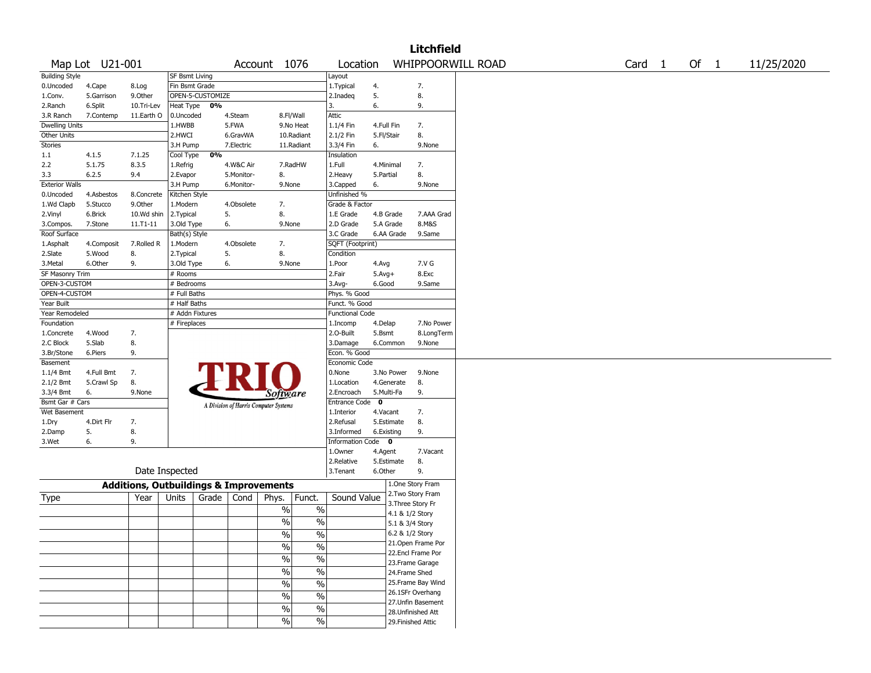|                            |                      |                                                   |                       |                  |            |                                       |                          |                        |                   |                   | <b>Litchfield</b>  |                   |        |        |            |
|----------------------------|----------------------|---------------------------------------------------|-----------------------|------------------|------------|---------------------------------------|--------------------------|------------------------|-------------------|-------------------|--------------------|-------------------|--------|--------|------------|
|                            | Map Lot U21-001      |                                                   |                       |                  |            | Account 1076                          |                          | Location               |                   |                   |                    | WHIPPOORWILL ROAD | Card 1 | Of $1$ | 11/25/2020 |
| <b>Building Style</b>      |                      |                                                   | <b>SF Bsmt Living</b> |                  |            |                                       |                          | Layout                 |                   |                   |                    |                   |        |        |            |
| 0.Uncoded                  | 4.Cape               | 8.Log                                             | Fin Bsmt Grade        |                  |            |                                       |                          | 1. Typical             | 4.                |                   | 7.                 |                   |        |        |            |
| 1.Conv.                    | 5.Garrison           | 9.Other                                           |                       | OPEN-5-CUSTOMIZE |            |                                       |                          | 2.Inadeq               | 5.                |                   | 8.                 |                   |        |        |            |
| 2.Ranch                    | 6.Split              | 10.Tri-Lev                                        | Heat Type             | 0%               |            |                                       |                          | 3.                     | 6.                |                   | 9.                 |                   |        |        |            |
| 3.R Ranch                  | 7.Contemp            | 11.Earth O                                        | 0.Uncoded             |                  | 4.Steam    | 8.Fl/Wall                             |                          | Attic                  |                   |                   |                    |                   |        |        |            |
| <b>Dwelling Units</b>      |                      |                                                   | 1.HWBB                |                  | 5.FWA      | 9.No Heat                             |                          | 1.1/4 Fin              | 4.Full Fin        |                   | 7.                 |                   |        |        |            |
| Other Units                |                      |                                                   | 2.HWCI                |                  | 6.GravWA   |                                       | 10.Radiant               | 2.1/2 Fin              | 5.Fl/Stair        |                   | 8.                 |                   |        |        |            |
| <b>Stories</b>             |                      |                                                   | 3.H Pump              |                  | 7.Electric |                                       | 11.Radiant               | 3.3/4 Fin              | 6.                |                   | 9.None             |                   |        |        |            |
| 1.1                        | 4.1.5                | 7.1.25                                            | Cool Type             | 0%               |            |                                       |                          | Insulation             |                   |                   |                    |                   |        |        |            |
| 2.2                        | 5.1.75               | 8.3.5                                             | 1.Refrig              |                  | 4.W&C Air  | 7.RadHW                               |                          | 1.Full                 | 4.Minimal         |                   | 7.                 |                   |        |        |            |
| 3.3                        | 6.2.5                | 9.4                                               | 2.Evapor              |                  | 5.Monitor- | 8.                                    |                          | 2.Heavy                | 5.Partial         |                   | 8.                 |                   |        |        |            |
| <b>Exterior Walls</b>      |                      |                                                   | 3.H Pump              |                  | 6.Monitor- | 9.None                                |                          | 3.Capped               | 6.                |                   | 9.None             |                   |        |        |            |
| 0.Uncoded                  | 4.Asbestos           | 8.Concrete                                        | Kitchen Style         |                  |            |                                       |                          | Unfinished %           |                   |                   |                    |                   |        |        |            |
| 1.Wd Clapb                 | 5.Stucco             | 9.Other                                           | 1.Modern              |                  | 4.Obsolete | 7.                                    |                          | Grade & Factor         |                   |                   |                    |                   |        |        |            |
| 2.Vinyl                    | 6.Brick              | 10.Wd shin                                        | 2.Typical             |                  | 5.         | 8.                                    |                          | 1.E Grade              | 4.B Grade         |                   | 7.AAA Grad         |                   |        |        |            |
| 3.Compos.                  | 7.Stone              | 11.T1-11                                          | 3.Old Type            |                  | 6.         | 9.None                                |                          | 2.D Grade              | 5.A Grade         |                   | 8.M&S              |                   |        |        |            |
| Roof Surface               |                      |                                                   | Bath(s) Style         |                  |            |                                       |                          | 3.C Grade              | 6.AA Grade        |                   | 9.Same             |                   |        |        |            |
| 1.Asphalt                  |                      | 7.Rolled R                                        | 1.Modern              |                  | 4.Obsolete | 7.                                    |                          | SQFT (Footprint)       |                   |                   |                    |                   |        |        |            |
| 2.Slate                    | 4.Composit<br>5.Wood | 8.                                                |                       |                  | 5.         | 8.                                    |                          | Condition              |                   |                   |                    |                   |        |        |            |
|                            |                      |                                                   | 2. Typical            |                  | 6.         |                                       |                          |                        |                   |                   | 7.V G              |                   |        |        |            |
| 3.Metal<br>SF Masonry Trim | 6.Other              | 9.                                                | 3.Old Type<br># Rooms |                  |            | 9.None                                |                          | 1.Poor<br>2.Fair       | 4.Avg<br>$5.Avg+$ |                   | 8.Exc              |                   |        |        |            |
| OPEN-3-CUSTOM              |                      |                                                   | # Bedrooms            |                  |            |                                       |                          | 3.Avg-                 | 6.Good            |                   | 9.Same             |                   |        |        |            |
| OPEN-4-CUSTOM              |                      |                                                   | # Full Baths          |                  |            |                                       |                          | Phys. % Good           |                   |                   |                    |                   |        |        |            |
| Year Built                 |                      |                                                   | # Half Baths          |                  |            |                                       |                          | Funct. % Good          |                   |                   |                    |                   |        |        |            |
| Year Remodeled             |                      |                                                   | # Addn Fixtures       |                  |            |                                       |                          | <b>Functional Code</b> |                   |                   |                    |                   |        |        |            |
| Foundation                 |                      |                                                   | # Fireplaces          |                  |            |                                       |                          | 1.Incomp               | 4.Delap           |                   | 7.No Power         |                   |        |        |            |
| 1.Concrete                 | 4.Wood               | 7.                                                |                       |                  |            |                                       |                          | 2.0-Built              | 5.Bsmt            |                   | 8.LongTerm         |                   |        |        |            |
| 2.C Block                  | 5.Slab               | 8.                                                |                       |                  |            |                                       |                          | 3.Damage               | 6.Common          |                   | 9.None             |                   |        |        |            |
| 3.Br/Stone                 | 6.Piers              | 9.                                                |                       |                  |            |                                       |                          | Econ. % Good           |                   |                   |                    |                   |        |        |            |
| Basement                   |                      |                                                   |                       |                  |            |                                       |                          | Economic Code          |                   |                   |                    |                   |        |        |            |
| 1.1/4 Bmt                  | 4.Full Bmt           | 7.                                                |                       |                  |            |                                       |                          | 0.None                 | 3.No Power        |                   | 9.None             |                   |        |        |            |
| 2.1/2 Bmt                  | 5.Crawl Sp           | 8.                                                |                       |                  |            |                                       |                          | 1.Location             | 4.Generate        |                   | 8.                 |                   |        |        |            |
| 3.3/4 Bmt                  | 6.                   | 9.None                                            |                       |                  |            |                                       |                          | 2.Encroach             | 5.Multi-Fa        |                   | 9.                 |                   |        |        |            |
| Bsmt Gar # Cars            |                      |                                                   |                       |                  |            | Software                              |                          | Entrance Code 0        |                   |                   |                    |                   |        |        |            |
| Wet Basement               |                      |                                                   |                       |                  |            | A Division of Harris Computer Systems |                          | 1.Interior             | 4.Vacant          |                   | 7.                 |                   |        |        |            |
| 1.Dry                      | 4.Dirt Flr           | 7.                                                |                       |                  |            |                                       |                          | 2.Refusal              | 5.Estimate        |                   | 8.                 |                   |        |        |            |
| 2.Damp                     | 5.                   | 8.                                                |                       |                  |            |                                       |                          | 3.Informed             | 6.Existing        |                   | 9.                 |                   |        |        |            |
| 3.Wet                      | 6.                   | 9.                                                |                       |                  |            |                                       |                          | Information Code 0     |                   |                   |                    |                   |        |        |            |
|                            |                      |                                                   |                       |                  |            |                                       |                          | 1.0wner                | 4.Agent           |                   | 7.Vacant           |                   |        |        |            |
|                            |                      |                                                   |                       |                  |            |                                       |                          | 2.Relative             | 5.Estimate        |                   | 8.                 |                   |        |        |            |
|                            |                      |                                                   | Date Inspected        |                  |            |                                       |                          | 3.Tenant               | 6.Other           |                   | 9.                 |                   |        |        |            |
|                            |                      |                                                   |                       |                  |            |                                       |                          |                        |                   |                   | 1.One Story Fram   |                   |        |        |            |
|                            |                      | <b>Additions, Outbuildings &amp; Improvements</b> |                       |                  |            |                                       |                          |                        |                   |                   | 2. Two Story Fram  |                   |        |        |            |
| Type                       |                      | Year                                              | Units                 | Grade            | Cond       | Phys.                                 | Funct.                   | Sound Value            |                   | 3. Three Story Fr |                    |                   |        |        |            |
|                            |                      |                                                   |                       |                  |            | $\%$                                  | $\%$                     |                        |                   | 4.1 & 1/2 Story   |                    |                   |        |        |            |
|                            |                      |                                                   |                       |                  |            | $\%$                                  | $\%$                     |                        |                   | 5.1 & 3/4 Story   |                    |                   |        |        |            |
|                            |                      |                                                   |                       |                  |            | $\frac{0}{0}$                         | $\%$                     |                        |                   | 6.2 & 1/2 Story   |                    |                   |        |        |            |
|                            |                      |                                                   |                       |                  |            | $\%$                                  | $\%$                     |                        |                   |                   | 21. Open Frame Por |                   |        |        |            |
|                            |                      |                                                   |                       |                  |            |                                       |                          |                        |                   |                   | 22.Encl Frame Por  |                   |        |        |            |
|                            |                      |                                                   |                       |                  |            | $\frac{1}{2}$                         | $\overline{\frac{0}{6}}$ |                        |                   |                   | 23. Frame Garage   |                   |        |        |            |
|                            |                      |                                                   |                       |                  |            | $\sqrt{6}$                            | $\overline{\frac{0}{0}}$ |                        |                   | 24.Frame Shed     |                    |                   |        |        |            |
|                            |                      |                                                   |                       |                  |            | $\sqrt{6}$                            | $\overline{\frac{0}{6}}$ |                        |                   |                   | 25. Frame Bay Wind |                   |        |        |            |
|                            |                      |                                                   |                       |                  |            | $\sqrt{6}$                            | $\overline{\frac{0}{6}}$ |                        |                   |                   | 26.1SFr Overhang   |                   |        |        |            |
|                            |                      |                                                   |                       |                  |            |                                       |                          |                        |                   |                   | 27.Unfin Basement  |                   |        |        |            |
|                            |                      |                                                   |                       |                  |            | $\frac{0}{0}$                         | $\%$                     |                        |                   |                   | 28. Unfinished Att |                   |        |        |            |
|                            |                      |                                                   |                       |                  |            | $\sqrt{6}$                            | $\%$                     |                        |                   |                   | 29. Finished Attic |                   |        |        |            |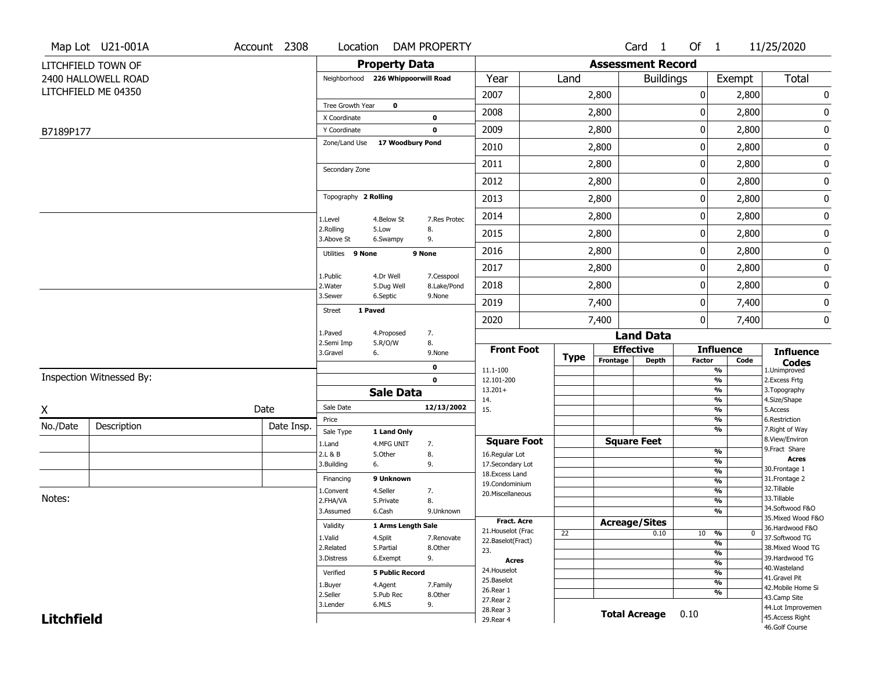|                   | Map Lot U21-001A         | Account 2308 | Location                           |                         | <b>DAM PROPERTY</b>       |                                      |             |                          | Card 1               |               | Of 1                           | 11/25/2020                           |
|-------------------|--------------------------|--------------|------------------------------------|-------------------------|---------------------------|--------------------------------------|-------------|--------------------------|----------------------|---------------|--------------------------------|--------------------------------------|
|                   | LITCHFIELD TOWN OF       |              |                                    | <b>Property Data</b>    |                           |                                      |             | <b>Assessment Record</b> |                      |               |                                |                                      |
|                   | 2400 HALLOWELL ROAD      |              | Neighborhood 226 Whippoorwill Road |                         |                           | Year                                 | Land        |                          | <b>Buildings</b>     |               | Exempt                         | Total                                |
|                   | LITCHFIELD ME 04350      |              |                                    |                         |                           | 2007                                 |             | 2,800                    |                      | 0             | 2,800                          | 0                                    |
|                   |                          |              | Tree Growth Year                   | $\mathbf 0$             |                           |                                      |             |                          |                      |               |                                |                                      |
|                   |                          |              | X Coordinate                       |                         | $\mathbf 0$               | 2008                                 |             | 2,800                    |                      | 0             | 2,800                          | 0                                    |
| B7189P177         |                          |              | Y Coordinate                       |                         | $\mathbf 0$               | 2009                                 |             | 2,800                    |                      | 0             | 2,800                          | $\pmb{0}$                            |
|                   |                          |              | Zone/Land Use                      | 17 Woodbury Pond        |                           | 2010                                 |             | 2,800                    |                      | 0             | 2,800                          | $\pmb{0}$                            |
|                   |                          |              | Secondary Zone                     |                         |                           | 2011                                 |             | 2,800                    |                      | 0             | 2,800                          | 0                                    |
|                   |                          |              |                                    |                         |                           | 2012                                 |             | 2,800                    |                      | 0             | 2,800                          | $\pmb{0}$                            |
|                   |                          |              | Topography 2 Rolling               |                         |                           | 2013                                 |             | 2,800                    |                      | $\pmb{0}$     | 2,800                          | 0                                    |
|                   |                          |              | 1.Level                            | 4.Below St              | 7.Res Protec              | 2014                                 |             | 2,800                    |                      | 0             | 2,800                          | $\pmb{0}$                            |
|                   |                          |              | 2.Rolling<br>3.Above St            | 5.Low<br>6.Swampy       | 8.<br>9.                  | 2015                                 |             | 2,800                    |                      | 0             | 2,800                          | $\pmb{0}$                            |
|                   |                          |              | Utilities 9 None                   |                         | 9 None                    | 2016                                 |             | 2,800                    |                      | 0             | 2,800                          | $\pmb{0}$                            |
|                   |                          |              |                                    |                         |                           | 2017                                 |             | 2,800                    |                      | 0             | 2,800                          | 0                                    |
|                   |                          |              | 1.Public<br>2. Water               | 4.Dr Well<br>5.Dug Well | 7.Cesspool<br>8.Lake/Pond | 2018                                 |             | 2,800                    |                      | 0             | 2,800                          | $\pmb{0}$                            |
|                   |                          |              | 3.Sewer                            | 6.Septic                | 9.None                    | 2019                                 |             | 7,400                    |                      | 0             | 7,400                          | 0                                    |
|                   |                          |              | 1 Paved<br><b>Street</b>           |                         |                           | 2020                                 |             | 7,400                    |                      | 0             | 7,400                          | 0                                    |
|                   |                          |              | 1.Paved                            | 4.Proposed              | 7.                        |                                      |             |                          | <b>Land Data</b>     |               |                                |                                      |
|                   |                          |              | 2.Semi Imp<br>3.Gravel             | 5.R/O/W<br>6.           | 8.<br>9.None              | <b>Front Foot</b>                    | <b>Type</b> |                          | <b>Effective</b>     |               | <b>Influence</b>               | <b>Influence</b>                     |
|                   |                          |              |                                    |                         | 0                         | 11.1-100                             |             | Frontage                 | <b>Depth</b>         | <b>Factor</b> | Code<br>%                      | <b>Codes</b><br>1.Unimproved         |
|                   | Inspection Witnessed By: |              |                                    |                         | $\mathbf 0$               | 12.101-200                           |             |                          |                      |               | $\frac{9}{6}$                  | 2. Excess Frtg                       |
|                   |                          |              |                                    | <b>Sale Data</b>        |                           | $13.201+$                            |             |                          |                      |               | $\frac{9}{6}$<br>$\frac{9}{6}$ | 3. Topography<br>4.Size/Shape        |
| X                 |                          | Date         | Sale Date                          |                         | 12/13/2002                | 14.<br>15.                           |             |                          |                      |               | $\frac{9}{6}$                  | 5.Access                             |
| No./Date          | Description              | Date Insp.   | Price                              |                         |                           |                                      |             |                          |                      |               | $\frac{9}{6}$                  | 6.Restriction                        |
|                   |                          |              | Sale Type                          | 1 Land Only             |                           |                                      |             |                          |                      |               | $\frac{9}{6}$                  | 7. Right of Way<br>8.View/Environ    |
|                   |                          |              | 1.Land<br>2.L & B                  | 4.MFG UNIT              | 7.                        | <b>Square Foot</b><br>16.Regular Lot |             |                          | <b>Square Feet</b>   |               | $\frac{9}{6}$                  | 9. Fract Share                       |
|                   |                          |              | 3.Building                         | 5.0ther<br>6.           | 8.<br>9.                  | 17.Secondary Lot                     |             |                          |                      |               | $\frac{9}{6}$                  | <b>Acres</b>                         |
|                   |                          |              |                                    |                         |                           | 18.Excess Land                       |             |                          |                      |               | $\frac{9}{6}$                  | 30.Frontage 1                        |
|                   |                          |              | Financing                          | 9 Unknown               |                           | 19.Condominium                       |             |                          |                      |               | $\frac{9}{6}$                  | 31. Frontage 2<br>32. Tillable       |
| Notes:            |                          |              | 1.Convent                          | 4.Seller                | 7.                        | 20.Miscellaneous                     |             |                          |                      |               | $\frac{9}{6}$                  | 33.Tillable                          |
|                   |                          |              | 2.FHA/VA<br>3.Assumed              | 5.Private<br>6.Cash     | 8.<br>9.Unknown           |                                      |             |                          |                      |               | $\frac{9}{6}$<br>$\frac{9}{6}$ | 34.Softwood F&O                      |
|                   |                          |              |                                    |                         |                           | <b>Fract. Acre</b>                   |             |                          |                      |               |                                | 35. Mixed Wood F&O                   |
|                   |                          |              | Validity                           | 1 Arms Length Sale      |                           | 21. Houselot (Frac                   |             | <b>Acreage/Sites</b>     |                      |               |                                | 36.Hardwood F&O<br>0                 |
|                   |                          |              | 1.Valid                            | 4.Split                 | 7.Renovate                | 22.Baselot(Fract)                    | 22          |                          | 0.10                 |               | 10 %<br>$\frac{9}{6}$          | 37.Softwood TG                       |
|                   |                          |              | 2.Related                          | 5.Partial               | 8.Other                   | 23.                                  |             |                          |                      |               | $\frac{9}{6}$                  | 38. Mixed Wood TG                    |
|                   |                          |              | 3.Distress                         | 6.Exempt                | 9.                        | <b>Acres</b>                         |             |                          |                      |               | $\frac{9}{6}$                  | 39.Hardwood TG                       |
|                   |                          |              | Verified                           | <b>5 Public Record</b>  |                           | 24. Houselot                         |             |                          |                      |               | $\frac{9}{6}$                  | 40. Wasteland                        |
|                   |                          |              | 1.Buyer                            | 4.Agent                 | 7.Family                  | 25.Baselot                           |             |                          |                      |               | $\frac{9}{6}$                  | 41.Gravel Pit                        |
|                   |                          |              |                                    |                         |                           | 26.Rear 1                            |             |                          |                      |               | %                              | 42. Mobile Home Si                   |
|                   |                          |              |                                    |                         |                           |                                      |             |                          |                      |               |                                |                                      |
|                   |                          |              | 2.Seller<br>3.Lender               | 5.Pub Rec<br>6.MLS      | 8.Other<br>9.             | 27.Rear 2                            |             |                          |                      |               |                                | 43.Camp Site                         |
| <b>Litchfield</b> |                          |              |                                    |                         |                           | 28. Rear 3<br>29. Rear 4             |             |                          | <b>Total Acreage</b> | 0.10          |                                | 44.Lot Improvemen<br>45.Access Right |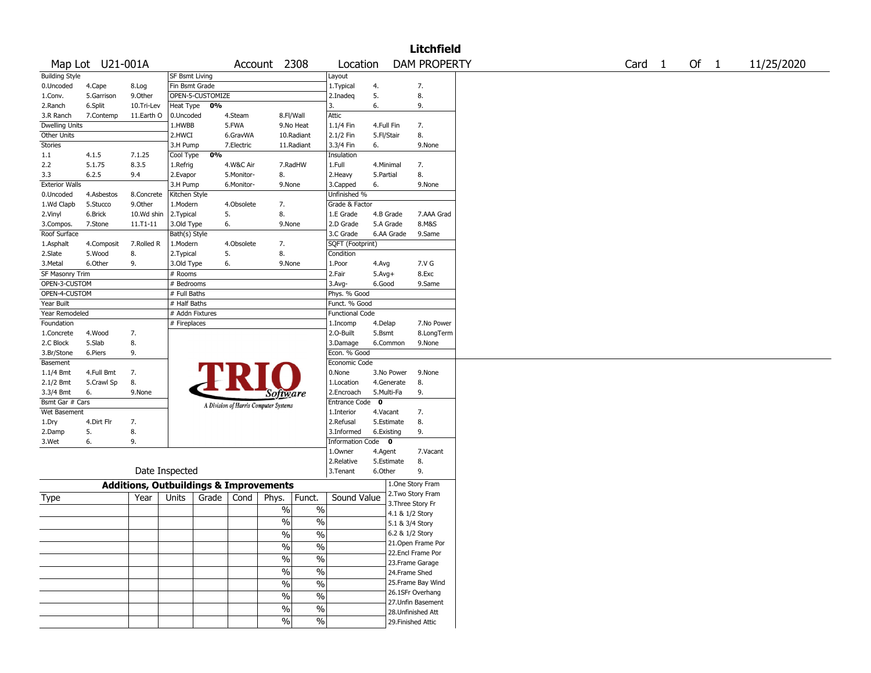|                       |                  |                                                   |                 |                  |            |                                       |               |                         |            |              | <b>Litchfield</b>                        |        |        |            |
|-----------------------|------------------|---------------------------------------------------|-----------------|------------------|------------|---------------------------------------|---------------|-------------------------|------------|--------------|------------------------------------------|--------|--------|------------|
|                       | Map Lot U21-001A |                                                   |                 |                  |            | Account 2308                          |               | Location                |            |              | <b>DAM PROPERTY</b>                      | Card 1 | Of $1$ | 11/25/2020 |
| <b>Building Style</b> |                  |                                                   | SF Bsmt Living  |                  |            |                                       |               | Layout                  |            |              |                                          |        |        |            |
| 0.Uncoded             | 4.Cape           | 8.Log                                             | Fin Bsmt Grade  |                  |            |                                       |               | 1. Typical              | 4.         |              | 7.                                       |        |        |            |
| 1.Conv.               | 5.Garrison       | 9.0ther                                           |                 | OPEN-5-CUSTOMIZE |            |                                       |               | 2.Inadeg                | 5.         |              | 8.                                       |        |        |            |
| 2.Ranch               | 6.Split          | 10.Tri-Lev                                        | Heat Type 0%    |                  |            |                                       |               | 3.                      | 6.         |              | 9.                                       |        |        |            |
| 3.R Ranch             | 7.Contemp        | 11.Earth O                                        | 0.Uncoded       |                  | 4.Steam    |                                       | 8.Fl/Wall     | Attic                   |            |              |                                          |        |        |            |
| <b>Dwelling Units</b> |                  |                                                   | 1.HWBB          |                  | 5.FWA      |                                       | 9.No Heat     | 1.1/4 Fin               | 4.Full Fin |              | 7.                                       |        |        |            |
| Other Units           |                  |                                                   | 2.HWCI          |                  | 6.GravWA   |                                       | 10.Radiant    | 2.1/2 Fin               | 5.Fl/Stair |              | 8.                                       |        |        |            |
| Stories               |                  |                                                   | 3.H Pump        |                  | 7.Electric |                                       | 11.Radiant    | 3.3/4 Fin               | 6.         |              | 9.None                                   |        |        |            |
| 1.1                   | 4.1.5            | 7.1.25                                            | Cool Type       | 0%               |            |                                       |               | Insulation              |            |              |                                          |        |        |            |
| 2.2                   | 5.1.75           | 8.3.5                                             | 1.Refrig        |                  | 4.W&C Air  |                                       | 7.RadHW       | 1.Full                  | 4.Minimal  |              | 7.                                       |        |        |            |
| 3.3                   | 6.2.5            | 9.4                                               | 2.Evapor        |                  | 5.Monitor- | 8.                                    |               | 2.Heavy                 | 5.Partial  |              | 8.                                       |        |        |            |
| <b>Exterior Walls</b> |                  |                                                   | 3.H Pump        |                  | 6.Monitor- | 9.None                                |               | 3.Capped                | 6.         |              | 9.None                                   |        |        |            |
| 0.Uncoded             | 4.Asbestos       | 8.Concrete                                        | Kitchen Style   |                  |            |                                       |               | Unfinished %            |            |              |                                          |        |        |            |
| 1.Wd Clapb            | 5.Stucco         | 9.Other                                           | 1.Modern        |                  | 4.Obsolete | 7.                                    |               | Grade & Factor          |            |              |                                          |        |        |            |
| 2.Vinyl               | 6.Brick          | 10.Wd shin                                        | 2. Typical      |                  | 5.         | 8.                                    |               | 1.E Grade               | 4.B Grade  |              | 7.AAA Grad                               |        |        |            |
| 3.Compos.             | 7.Stone          | 11.T1-11                                          | 3.Old Type      |                  | 6.         | 9.None                                |               | 2.D Grade               | 5.A Grade  |              | 8.M&S                                    |        |        |            |
| Roof Surface          |                  |                                                   | Bath(s) Style   |                  |            |                                       |               | 3.C Grade               |            | 6.AA Grade   | 9.Same                                   |        |        |            |
| 1.Asphalt             | 4.Composit       | 7.Rolled R                                        | 1.Modern        |                  | 4.Obsolete | 7.                                    |               | SQFT (Footprint)        |            |              |                                          |        |        |            |
| 2.Slate               | 5.Wood           | 8.                                                | 2. Typical      | 5.               |            | 8.                                    |               | Condition               |            |              |                                          |        |        |            |
| 3. Metal              | 6.Other          | 9.                                                | 3.Old Type      |                  | 6.         | 9.None                                |               | 1.Poor                  | 4.Avg      |              | 7.V G                                    |        |        |            |
| SF Masonry Trim       |                  |                                                   | # Rooms         |                  |            |                                       |               | 2.Fair                  | $5.Avg+$   |              | 8.Exc                                    |        |        |            |
| OPEN-3-CUSTOM         |                  |                                                   | # Bedrooms      |                  |            |                                       |               | 3.Avg-                  | 6.Good     |              | 9.Same                                   |        |        |            |
| OPEN-4-CUSTOM         |                  |                                                   | # Full Baths    |                  |            |                                       |               | Phys. % Good            |            |              |                                          |        |        |            |
| Year Built            |                  |                                                   | # Half Baths    |                  |            |                                       |               | Funct. % Good           |            |              |                                          |        |        |            |
| Year Remodeled        |                  |                                                   | # Addn Fixtures |                  |            |                                       |               | <b>Functional Code</b>  |            |              |                                          |        |        |            |
| Foundation            |                  |                                                   | # Fireplaces    |                  |            |                                       |               | 1.Incomp                | 4.Delap    |              | 7.No Power                               |        |        |            |
| 1.Concrete            | 4.Wood           | 7.                                                |                 |                  |            |                                       |               | 2.0-Built               | 5.Bsmt     |              | 8.LongTerm                               |        |        |            |
| 2.C Block             | 5.Slab           | 8.                                                |                 |                  |            |                                       |               | 3.Damage                |            | 6.Common     | 9.None                                   |        |        |            |
| 3.Br/Stone            | 6.Piers          | 9.                                                |                 |                  |            |                                       |               | Econ. % Good            |            |              |                                          |        |        |            |
| Basement              |                  |                                                   |                 |                  |            |                                       |               | Economic Code           |            |              |                                          |        |        |            |
| 1.1/4 Bmt             | 4.Full Bmt       | 7.                                                |                 |                  |            |                                       |               | 0.None                  |            | 3.No Power   | 9.None                                   |        |        |            |
| 2.1/2 Bmt             | 5.Crawl Sp       | 8.                                                |                 |                  |            |                                       |               | 1.Location              |            | 4.Generate   | 8.                                       |        |        |            |
| 3.3/4 Bmt             | 6.               | 9.None                                            |                 |                  |            | <i>Software</i>                       |               | 2.Encroach              | 5.Multi-Fa |              | 9.                                       |        |        |            |
| Bsmt Gar # Cars       |                  |                                                   |                 |                  |            | A Division of Harris Computer Systems |               | Entrance Code           | 0          |              |                                          |        |        |            |
| Wet Basement          |                  |                                                   |                 |                  |            |                                       |               | 1.Interior              | 4.Vacant   |              | 7.                                       |        |        |            |
| 1.Dry                 | 4.Dirt Flr       | 7.                                                |                 |                  |            |                                       |               | 2.Refusal               |            | 5.Estimate   | 8.                                       |        |        |            |
| 2.Damp                | 5.               | 8.                                                |                 |                  |            |                                       |               | 3.Informed              | 6.Existing |              | 9.                                       |        |        |            |
| 3.Wet                 | 6.               | 9.                                                |                 |                  |            |                                       |               | <b>Information Code</b> |            | $\mathbf{0}$ |                                          |        |        |            |
|                       |                  |                                                   |                 |                  |            |                                       |               | 1.0wner                 | 4.Agent    |              | 7.Vacant                                 |        |        |            |
|                       |                  |                                                   |                 |                  |            |                                       |               | 2.Relative              |            | 5.Estimate   | 8.                                       |        |        |            |
|                       |                  |                                                   | Date Inspected  |                  |            |                                       |               | 3.Tenant                | 6.Other    |              | 9.                                       |        |        |            |
|                       |                  | <b>Additions, Outbuildings &amp; Improvements</b> |                 |                  |            |                                       |               |                         |            |              | 1.One Story Fram                         |        |        |            |
| Type                  |                  | Year                                              | Units           | Grade            | Cond       | Phys.                                 | Funct.        | Sound Value             |            |              | 2. Two Story Fram<br>3. Three Story Fr   |        |        |            |
|                       |                  |                                                   |                 |                  |            | $\%$                                  | $\%$          |                         |            |              |                                          |        |        |            |
|                       |                  |                                                   |                 |                  |            | $\%$                                  | $\%$          |                         |            |              | 4.1 & 1/2 Story                          |        |        |            |
|                       |                  |                                                   |                 |                  |            |                                       |               |                         |            |              | 5.1 & 3/4 Story                          |        |        |            |
|                       |                  |                                                   |                 |                  |            | $\sqrt{6}$                            | $\sqrt{6}$    |                         |            |              | 6.2 & 1/2 Story                          |        |        |            |
|                       |                  |                                                   |                 |                  |            | $\frac{9}{6}$                         | $\frac{0}{0}$ |                         |            |              | 21. Open Frame Por<br>22.Encl Frame Por  |        |        |            |
|                       |                  |                                                   |                 |                  |            | $\frac{9}{6}$                         | $\%$          |                         |            |              | 23. Frame Garage                         |        |        |            |
|                       |                  |                                                   |                 |                  |            | $\frac{9}{6}$                         | $\%$          |                         |            |              |                                          |        |        |            |
|                       |                  |                                                   |                 |                  |            |                                       |               |                         |            |              | 24.Frame Shed                            |        |        |            |
|                       |                  |                                                   |                 |                  |            | $\%$                                  | $\%$          |                         |            |              | 25. Frame Bay Wind                       |        |        |            |
|                       |                  |                                                   |                 |                  |            | $\frac{9}{6}$                         | $\frac{0}{6}$ |                         |            |              | 26.1SFr Overhang                         |        |        |            |
|                       |                  |                                                   |                 |                  |            | $\frac{9}{6}$                         | $\frac{1}{2}$ |                         |            |              | 27.Unfin Basement                        |        |        |            |
|                       |                  |                                                   |                 |                  |            | $\frac{9}{6}$                         | $\frac{1}{2}$ |                         |            |              | 28. Unfinished Att<br>29. Finished Attic |        |        |            |
|                       |                  |                                                   |                 |                  |            |                                       |               |                         |            |              |                                          |        |        |            |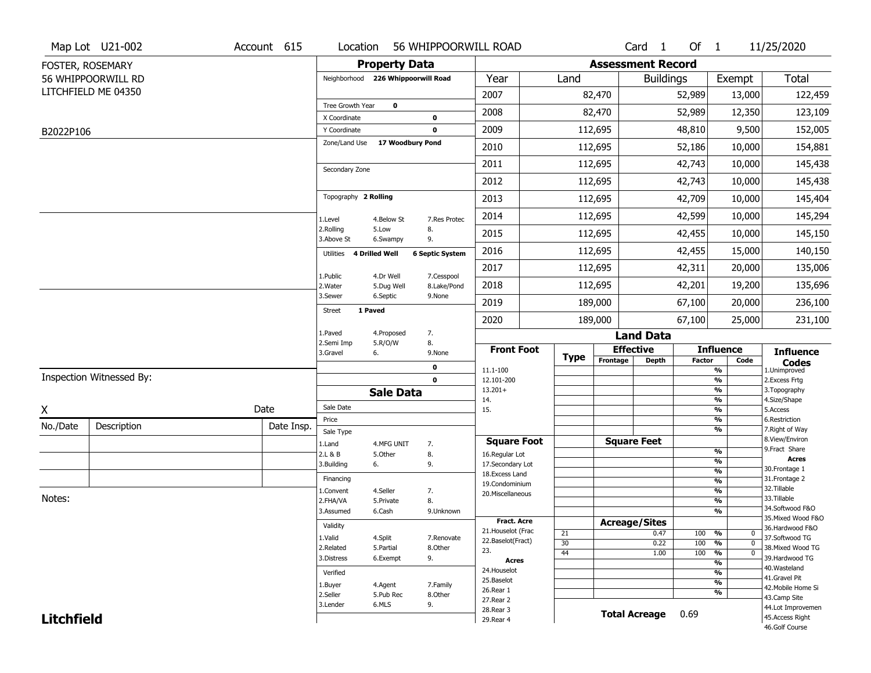|                   | Map Lot U21-002          | Account 615 | Location                           |                       | 56 WHIPPOORWILL ROAD     |                                  |      |                          | Card <sub>1</sub> | Of 1          |                                | 11/25/2020                           |
|-------------------|--------------------------|-------------|------------------------------------|-----------------------|--------------------------|----------------------------------|------|--------------------------|-------------------|---------------|--------------------------------|--------------------------------------|
|                   | FOSTER, ROSEMARY         |             |                                    | <b>Property Data</b>  |                          |                                  |      | <b>Assessment Record</b> |                   |               |                                |                                      |
|                   | 56 WHIPPOORWILL RD       |             | Neighborhood 226 Whippoorwill Road |                       |                          | Year                             | Land |                          | <b>Buildings</b>  |               | Exempt                         | Total                                |
|                   | LITCHFIELD ME 04350      |             |                                    |                       |                          | 2007                             |      | 82,470                   |                   | 52,989        | 13,000                         | 122,459                              |
|                   |                          |             | Tree Growth Year                   | $\mathbf 0$           |                          | 2008                             |      | 82,470                   |                   | 52,989        | 12,350                         | 123,109                              |
|                   |                          |             | X Coordinate<br>Y Coordinate       |                       | $\pmb{0}$<br>$\mathbf 0$ | 2009                             |      | 112,695                  |                   | 48,810        | 9,500                          | 152,005                              |
| B2022P106         |                          |             | Zone/Land Use                      | 17 Woodbury Pond      |                          | 2010                             |      | 112,695                  |                   |               |                                |                                      |
|                   |                          |             |                                    |                       |                          |                                  |      |                          |                   | 52,186        | 10,000                         | 154,881                              |
|                   |                          |             | Secondary Zone                     |                       |                          | 2011                             |      | 112,695                  |                   | 42,743        | 10,000                         | 145,438                              |
|                   |                          |             |                                    |                       |                          | 2012                             |      | 112,695                  |                   | 42,743        | 10,000                         | 145,438                              |
|                   |                          |             | Topography 2 Rolling               |                       |                          | 2013                             |      | 112,695                  |                   | 42,709        | 10,000                         | 145,404                              |
|                   |                          |             | 1.Level                            | 4.Below St            | 7.Res Protec             | 2014                             |      | 112,695                  |                   | 42,599        | 10,000                         | 145,294                              |
|                   |                          |             | 2.Rolling<br>3.Above St            | 5.Low<br>6.Swampy     | 8.<br>9.                 | 2015                             |      | 112,695                  |                   | 42,455        | 10,000                         | 145,150                              |
|                   |                          |             | Utilities 4 Drilled Well           |                       | <b>6 Septic System</b>   | 2016                             |      | 112,695                  |                   | 42,455        | 15,000                         | 140,150                              |
|                   |                          |             | 1.Public                           | 4.Dr Well             | 7.Cesspool               | 2017                             |      | 112,695                  |                   | 42,311        | 20,000                         | 135,006                              |
|                   |                          |             | 2. Water                           | 5.Dug Well            | 8.Lake/Pond              | 2018                             |      | 112,695                  |                   | 42,201        | 19,200                         | 135,696                              |
|                   |                          |             | 3.Sewer<br>1 Paved                 | 6.Septic              | 9.None                   | 2019                             |      | 189,000                  |                   | 67,100        | 20,000                         | 236,100                              |
|                   |                          |             | <b>Street</b>                      |                       |                          | 2020                             |      | 189,000                  |                   | 67,100        | 25,000                         | 231,100                              |
|                   |                          |             | 1.Paved<br>2.Semi Imp              | 4.Proposed<br>5.R/O/W | 7.<br>8.                 |                                  |      |                          | <b>Land Data</b>  |               |                                |                                      |
|                   |                          |             | 3.Gravel                           | 6.                    | 9.None                   | <b>Front Foot</b>                | Type | <b>Effective</b>         |                   |               | <b>Influence</b>               | <b>Influence</b>                     |
|                   |                          |             |                                    |                       | $\mathbf 0$              | 11.1-100                         |      | Frontage                 | <b>Depth</b>      | <b>Factor</b> | Code<br>$\frac{9}{6}$          | <b>Codes</b><br>1.Unimproved         |
|                   | Inspection Witnessed By: |             |                                    |                       | $\mathbf 0$              | 12.101-200                       |      |                          |                   |               | $\frac{9}{6}$                  | 2.Excess Frtg                        |
|                   |                          |             |                                    | <b>Sale Data</b>      |                          | $13.201+$<br>14.                 |      |                          |                   |               | $\frac{9}{6}$<br>$\frac{9}{6}$ | 3. Topography<br>4.Size/Shape        |
| X                 |                          | Date        | Sale Date                          |                       |                          | 15.                              |      |                          |                   |               | $\frac{9}{6}$                  | 5.Access                             |
| No./Date          | Description              | Date Insp.  | Price                              |                       |                          |                                  |      |                          |                   |               | %<br>$\frac{9}{6}$             | 6.Restriction<br>7. Right of Way     |
|                   |                          |             | Sale Type<br>1.Land                | 4.MFG UNIT            | 7.                       | <b>Square Foot</b>               |      | <b>Square Feet</b>       |                   |               |                                | 8.View/Environ                       |
|                   |                          |             | 2.L & B                            | 5.Other               | 8.                       | 16.Regular Lot                   |      |                          |                   |               | %                              | 9.Fract Share<br><b>Acres</b>        |
|                   |                          |             | 3.Building                         | 6.                    | 9.                       | 17.Secondary Lot                 |      |                          |                   |               | %<br>%                         | 30. Frontage 1                       |
|                   |                          |             | Financing                          |                       |                          | 18.Excess Land<br>19.Condominium |      |                          |                   |               | %                              | 31. Frontage 2                       |
|                   |                          |             | 1.Convent                          | 4.Seller              | 7.                       | 20.Miscellaneous                 |      |                          |                   |               | %                              | 32.Tillable                          |
| Notes:            |                          |             | 2.FHA/VA                           | 5.Private             | 8.                       |                                  |      |                          |                   |               | %                              | 33.Tillable<br>34.Softwood F&O       |
|                   |                          |             | 3.Assumed                          | 6.Cash                | 9.Unknown                | <b>Fract. Acre</b>               |      |                          |                   |               | %                              | 35. Mixed Wood F&O                   |
|                   |                          |             | Validity                           |                       |                          | 21. Houselot (Frac               | 21   | <b>Acreage/Sites</b>     | 0.47              | 100 %         | 0                              | 36.Hardwood F&O                      |
|                   |                          |             | 1.Valid                            | 4.Split               | 7.Renovate               | 22.Baselot(Fract)                | 30   |                          | 0.22              | 100           | %<br>$\mathbf{0}$              | 37.Softwood TG                       |
|                   |                          |             | 2.Related                          | 5.Partial             | 8.Other                  | 23.                              | 44   |                          | 1.00              | 100           | %<br>$\mathbf{0}$              | 38. Mixed Wood TG                    |
|                   |                          |             | 3.Distress                         | 6.Exempt              | 9.                       | Acres                            |      |                          |                   |               | $\frac{9}{6}$                  | 39.Hardwood TG<br>40. Wasteland      |
|                   |                          |             | Verified                           |                       |                          | 24. Houselot                     |      |                          |                   |               | $\frac{9}{6}$                  | 41.Gravel Pit                        |
|                   |                          |             | 1.Buyer                            | 4.Agent               | 7.Family                 | 25.Baselot<br>26.Rear 1          |      |                          |                   |               | $\frac{9}{6}$                  | 42. Mobile Home Si                   |
|                   |                          |             | 2.Seller                           | 5.Pub Rec             | 8.Other                  |                                  |      |                          |                   |               | $\frac{9}{6}$                  | 43.Camp Site                         |
|                   |                          |             |                                    |                       |                          | 27. Rear 2                       |      |                          |                   |               |                                |                                      |
| <b>Litchfield</b> |                          |             | 3.Lender                           | 6.MLS                 | 9.                       | 28. Rear 3<br>29. Rear 4         |      | <b>Total Acreage</b>     |                   | 0.69          |                                | 44.Lot Improvemen<br>45.Access Right |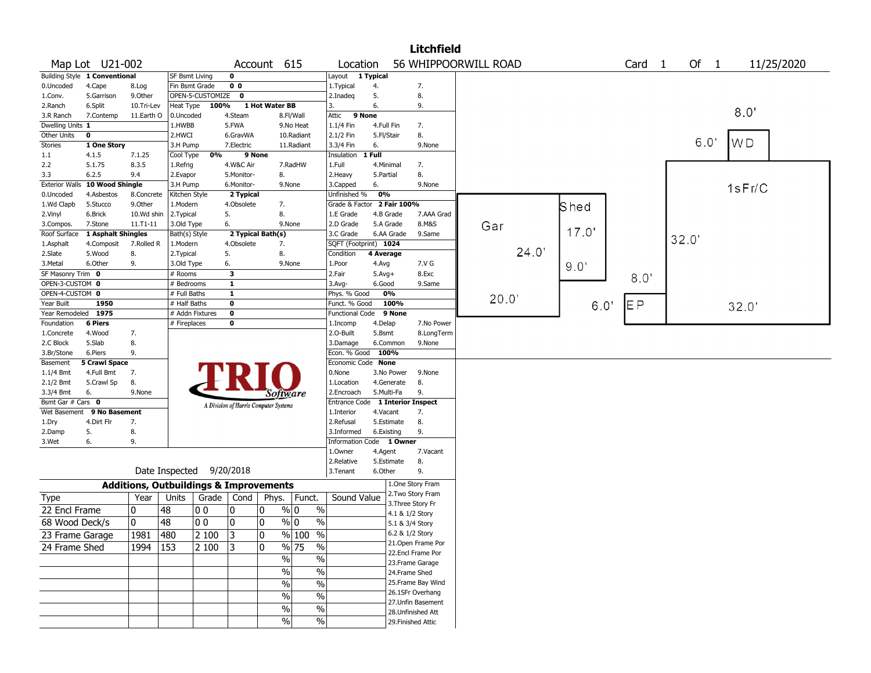|                        |                                    |            |                                                   |                  |                                       |                   |                        |                                         |              |                 | <b>Litchfield</b>    |       |       |                   |      |      |            |
|------------------------|------------------------------------|------------|---------------------------------------------------|------------------|---------------------------------------|-------------------|------------------------|-----------------------------------------|--------------|-----------------|----------------------|-------|-------|-------------------|------|------|------------|
|                        | Map Lot U21-002                    |            |                                                   |                  |                                       | Account           | 615                    | Location                                |              |                 | 56 WHIPPOORWILL ROAD |       |       | Card <sub>1</sub> |      | Of 1 | 11/25/2020 |
|                        | Building Style 1 Conventional      |            | <b>SF Bsmt Living</b>                             |                  | 0                                     |                   |                        | Layout 1 Typical                        |              |                 |                      |       |       |                   |      |      |            |
| 0.Uncoded              | 4.Cape                             | 8.Log      | Fin Bsmt Grade                                    |                  | 0 <sub>0</sub>                        |                   |                        | 1. Typical                              | 4.           |                 | 7.                   |       |       |                   |      |      |            |
| 1.Conv.                | 5.Garrison                         | 9.Other    |                                                   | OPEN-5-CUSTOMIZE | $\mathbf 0$                           |                   |                        | 2.Inadeg                                | 5.           |                 | 8.                   |       |       |                   |      |      |            |
| 2.Ranch                | 6.Split                            | 10.Tri-Lev | Heat Type                                         | 100%             |                                       | 1 Hot Water BB    |                        | 3.                                      | 6.           |                 | 9.                   |       |       |                   |      |      |            |
| 3.R Ranch              | 7.Contemp                          | 11.Earth O | 0.Uncoded                                         |                  | 4.Steam                               |                   | 8.Fl/Wall              | 9 None<br>Attic                         |              |                 |                      |       |       |                   |      |      | 8.0        |
| Dwelling Units 1       |                                    |            | 1.HWBB                                            |                  | 5.FWA                                 |                   | 9.No Heat              | 1.1/4 Fin                               | 4.Full Fin   |                 | 7.                   |       |       |                   |      |      |            |
| Other Units            | $\mathbf 0$                        |            | 2.HWCI                                            |                  | 6.GravWA                              |                   | 10.Radiant             | 2.1/2 Fin                               | 5.Fl/Stair   |                 | 8.                   |       |       |                   |      | 6.0  |            |
| Stories                | 1 One Story                        |            | 3.H Pump                                          |                  | 7.Electric                            |                   | 11.Radiant             | 3.3/4 Fin                               | 6.           |                 | 9.None               |       |       |                   |      |      | WD         |
| 1.1                    | 4.1.5                              | 7.1.25     | Cool Type                                         | 0%               |                                       | 9 None            |                        | Insulation                              | 1 Full       |                 |                      |       |       |                   |      |      |            |
| 2.2                    | 5.1.75                             | 8.3.5      | 1.Refrig                                          |                  | 4.W&C Air                             |                   | 7.RadHW                | 1.Full                                  | 4.Minimal    |                 | 7.                   |       |       |                   |      |      |            |
| 3.3                    | 6.2.5                              | 9.4        | 2.Evapor                                          |                  | 5.Monitor-                            | 8.                |                        | 2. Heavy                                | 5.Partial    |                 | 8.                   |       |       |                   |      |      |            |
| <b>Exterior Walls</b>  | 10 Wood Shingle                    |            | 3.H Pump                                          |                  | 6.Monitor-                            |                   | 9.None                 | 3.Capped                                | 6.           |                 | 9.None               |       |       |                   |      |      | 1sFr/C     |
| 0.Uncoded              | 4.Asbestos                         | 8.Concrete | Kitchen Style                                     |                  | 2 Typical                             |                   |                        | Unfinished %                            | 0%           |                 |                      |       |       |                   |      |      |            |
| 1.Wd Clapb             | 5.Stucco                           | 9.Other    | 1.Modern                                          |                  | 4.Obsolete                            | 7.                |                        | Grade & Factor 2 Fair 100%              |              |                 |                      |       | Shed  |                   |      |      |            |
| 2.Vinyl                | 6.Brick                            | 10.Wd shin | 2.Typical                                         |                  | 5.                                    | 8.                |                        | 1.E Grade                               | 4.B Grade    |                 | 7.AAA Grad           |       |       |                   |      |      |            |
| 3.Compos.              | 7.Stone                            | 11.T1-11   | 3.Old Type                                        |                  | 6.                                    |                   | 9.None                 | 2.D Grade                               | 5.A Grade    |                 | 8.M&S                | Gar   | 17.0' |                   |      |      |            |
| Roof Surface           | 1 Asphalt Shingles                 |            | Bath(s) Style                                     |                  |                                       | 2 Typical Bath(s) |                        | 3.C Grade                               |              | 6.AA Grade      | 9.Same               |       |       |                   | 32.0 |      |            |
| 1.Asphalt              | 4.Composit                         | 7.Rolled R | 1.Modern                                          |                  | 4.Obsolete                            | 7.                |                        | SQFT (Footprint) 1024                   |              |                 |                      | 24.0' |       |                   |      |      |            |
| 2.Slate                | 5.Wood                             | 8.         | 2. Typical                                        |                  | 5.                                    | 8.                |                        | Condition                               | 4 Average    |                 |                      |       |       |                   |      |      |            |
| 3.Metal                | 6.Other                            | 9.         | 3.Old Type                                        |                  | 6.                                    |                   | 9.None                 | 1.Poor                                  | 4.Avg        |                 | 7.V G                |       | 9.0"  |                   |      |      |            |
| SF Masonry Trim 0      |                                    |            | # Rooms                                           |                  | 3                                     |                   |                        | 2.Fair                                  | $5.$ Avg $+$ |                 | 8.Exc                |       |       | 8.0"              |      |      |            |
| OPEN-3-CUSTOM 0        |                                    |            | # Bedrooms                                        |                  | $\mathbf{1}$                          |                   |                        | 3.Avg-                                  | 6.Good       |                 | 9.Same               |       |       |                   |      |      |            |
| OPEN-4-CUSTOM 0        |                                    |            | # Full Baths                                      |                  | $\mathbf{1}$                          |                   |                        | Phys. % Good                            |              | 0%              |                      | 20.0  |       |                   |      |      |            |
| Year Built             | 1950                               |            | $#$ Half Baths                                    |                  | 0                                     |                   |                        | Funct. % Good                           |              | 100%            |                      |       | 60'   | EΡ                |      |      | 32.0'      |
| Year Remodeled         | 1975                               |            |                                                   | # Addn Fixtures  | 0                                     |                   |                        | <b>Functional Code</b>                  |              | 9 None          |                      |       |       |                   |      |      |            |
| Foundation             | <b>6 Piers</b>                     |            | # Fireplaces                                      |                  | 0                                     |                   |                        | 1.Incomp                                | 4.Delap      |                 | 7.No Power           |       |       |                   |      |      |            |
| 1.Concrete             | 4.Wood                             | 7.         |                                                   |                  |                                       |                   |                        | 2.0-Built                               | 5.Bsmt       |                 | 8.LongTerm           |       |       |                   |      |      |            |
| 2.C Block              | 5.Slab<br>6.Piers                  | 8.<br>9.   |                                                   |                  |                                       |                   |                        | 3.Damage                                |              | 6.Common        | 9.None               |       |       |                   |      |      |            |
| 3.Br/Stone             |                                    |            |                                                   |                  |                                       |                   |                        | Econ. % Good 100%<br>Economic Code None |              |                 |                      |       |       |                   |      |      |            |
| Basement               | <b>5 Crawl Space</b><br>4.Full Bmt | 7.         |                                                   |                  |                                       |                   |                        | 0.None                                  |              | 3.No Power      | 9.None               |       |       |                   |      |      |            |
| 1.1/4 Bmt<br>2.1/2 Bmt | 5.Crawl Sp                         | 8.         |                                                   |                  |                                       |                   |                        | 1.Location                              |              | 4.Generate      | 8.                   |       |       |                   |      |      |            |
| 3.3/4 Bmt              | 6.                                 | 9.None     |                                                   |                  |                                       |                   |                        | 2.Encroach                              | 5.Multi-Fa   |                 | 9.                   |       |       |                   |      |      |            |
| Bsmt Gar # Cars 0      |                                    |            |                                                   |                  |                                       | Software          |                        | Entrance Code 1 Interior Inspect        |              |                 |                      |       |       |                   |      |      |            |
| Wet Basement           | 9 No Basement                      |            |                                                   |                  | A Division of Harris Computer Systems |                   |                        | 1.Interior                              | 4.Vacant     |                 | 7.                   |       |       |                   |      |      |            |
| 1.Dry                  | 4.Dirt Flr                         | 7.         |                                                   |                  |                                       |                   |                        | 2.Refusal                               |              | 5.Estimate      | 8.                   |       |       |                   |      |      |            |
| 2.Damp                 | 5.                                 | 8.         |                                                   |                  |                                       |                   |                        | 3.Informed                              | 6.Existing   |                 | 9.                   |       |       |                   |      |      |            |
| 3.Wet                  | 6.                                 | 9.         |                                                   |                  |                                       |                   |                        | Information Code 1 Owner                |              |                 |                      |       |       |                   |      |      |            |
|                        |                                    |            |                                                   |                  |                                       |                   |                        | 1.0wner                                 | 4.Agent      |                 | 7.Vacant             |       |       |                   |      |      |            |
|                        |                                    |            |                                                   |                  |                                       |                   |                        | 2.Relative                              |              | 5.Estimate      | 8.                   |       |       |                   |      |      |            |
|                        |                                    |            | Date Inspected                                    |                  | 9/20/2018                             |                   |                        | 3.Tenant                                | 6.Other      |                 | 9.                   |       |       |                   |      |      |            |
|                        |                                    |            | <b>Additions, Outbuildings &amp; Improvements</b> |                  |                                       |                   |                        |                                         |              |                 | 1.One Story Fram     |       |       |                   |      |      |            |
|                        |                                    |            |                                                   |                  |                                       |                   |                        |                                         |              |                 | 2. Two Story Fram    |       |       |                   |      |      |            |
| Type                   |                                    | Year       | Units                                             |                  | Grade   Cond                          | Phys.             | Funct.                 | Sound Value                             |              |                 | 3. Three Story Fr    |       |       |                   |      |      |            |
| 22 Encl Frame          |                                    | 0          | 48                                                | 00               | 10                                    | 10                | $\%$<br>% 0            |                                         |              | 4.1 & 1/2 Story |                      |       |       |                   |      |      |            |
| 68 Wood Deck/s         |                                    | 0          | 48                                                | 00               | 10                                    | 0                 | $\%$ 0<br>$\%$         |                                         |              | 5.1 & 3/4 Story |                      |       |       |                   |      |      |            |
| 23 Frame Garage        |                                    | 1981       | 480                                               | 2 100            | 3                                     | 0                 | $\sqrt{2}$<br>% 100    |                                         |              | 6.2 & 1/2 Story |                      |       |       |                   |      |      |            |
|                        |                                    |            |                                                   |                  |                                       |                   |                        |                                         |              |                 | 21. Open Frame Por   |       |       |                   |      |      |            |
| 24 Frame Shed          |                                    | 1994   153 |                                                   | 2 100            | 3                                     | 0                 | $\sqrt{96}$ 75<br>$\%$ |                                         |              |                 | 22.Encl Frame Por    |       |       |                   |      |      |            |
|                        |                                    |            |                                                   |                  |                                       | $\%$              | %                      |                                         |              |                 | 23. Frame Garage     |       |       |                   |      |      |            |
|                        |                                    |            |                                                   |                  |                                       | $\%$              | $\frac{1}{2}$          |                                         |              | 24.Frame Shed   |                      |       |       |                   |      |      |            |
|                        |                                    |            |                                                   |                  |                                       | $\%$              | $\frac{1}{2}$          |                                         |              |                 | 25. Frame Bay Wind   |       |       |                   |      |      |            |
|                        |                                    |            |                                                   |                  |                                       | $\%$              | $\frac{1}{2}$          |                                         |              |                 | 26.1SFr Overhang     |       |       |                   |      |      |            |
|                        |                                    |            |                                                   |                  |                                       |                   |                        |                                         |              |                 | 27. Unfin Basement   |       |       |                   |      |      |            |
|                        |                                    |            |                                                   |                  |                                       | $\%$              | $\%$                   |                                         |              |                 | 28. Unfinished Att   |       |       |                   |      |      |            |
|                        |                                    |            |                                                   |                  |                                       | $\%$              | $\%$                   |                                         |              |                 | 29. Finished Attic   |       |       |                   |      |      |            |
|                        |                                    |            |                                                   |                  |                                       |                   |                        |                                         |              |                 |                      |       |       |                   |      |      |            |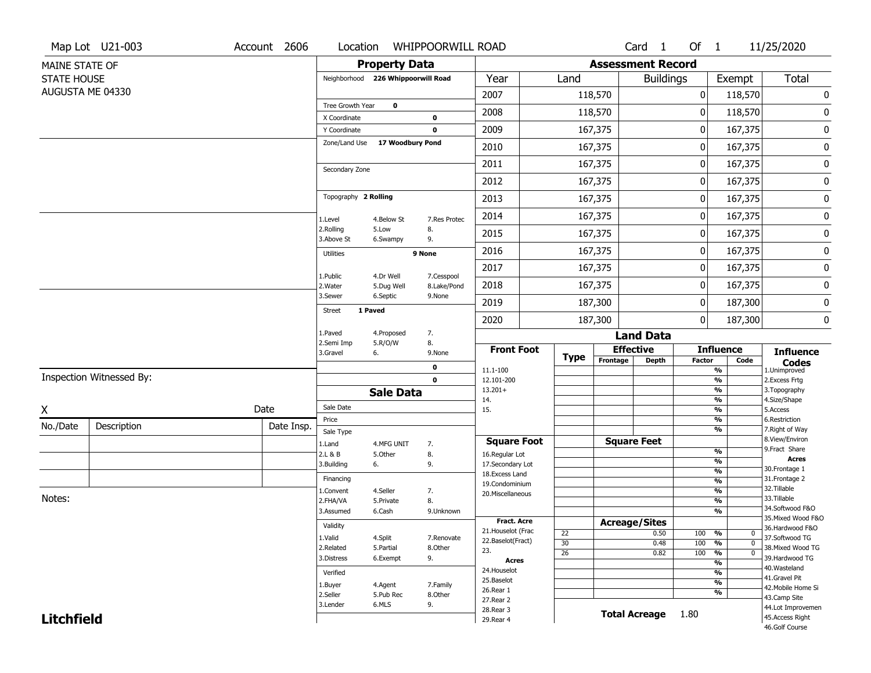|                    | Map Lot U21-003          | Account 2606 | Location                      |                                    | <b>WHIPPOORWILL ROAD</b>  |                                     |                 |                          | Card <sub>1</sub>    | Of 1          |                                | 11/25/2020                           |
|--------------------|--------------------------|--------------|-------------------------------|------------------------------------|---------------------------|-------------------------------------|-----------------|--------------------------|----------------------|---------------|--------------------------------|--------------------------------------|
| MAINE STATE OF     |                          |              |                               | <b>Property Data</b>               |                           |                                     |                 | <b>Assessment Record</b> |                      |               |                                |                                      |
| <b>STATE HOUSE</b> |                          |              |                               | Neighborhood 226 Whippoorwill Road |                           | Year                                | Land            |                          | <b>Buildings</b>     |               | Exempt                         | Total                                |
|                    | AUGUSTA ME 04330         |              |                               |                                    |                           | 2007                                |                 | 118,570                  |                      | 0             | 118,570                        | $\pmb{0}$                            |
|                    |                          |              | Tree Growth Year              | $\mathbf 0$                        |                           | 2008                                |                 | 118,570                  |                      | 0             | 118,570                        | 0                                    |
|                    |                          |              | X Coordinate                  |                                    | 0                         |                                     |                 |                          |                      |               |                                |                                      |
|                    |                          |              | Y Coordinate<br>Zone/Land Use | 17 Woodbury Pond                   | $\mathbf 0$               | 2009                                |                 | 167,375                  |                      | 0             | 167,375                        | $\pmb{0}$                            |
|                    |                          |              |                               |                                    |                           | 2010                                |                 | 167,375                  |                      | 0             | 167,375                        | $\pmb{0}$                            |
|                    |                          |              | Secondary Zone                |                                    |                           | 2011                                |                 | 167,375                  |                      | 0             | 167,375                        | $\pmb{0}$                            |
|                    |                          |              |                               |                                    |                           | 2012                                |                 | 167,375                  |                      | 0             | 167,375                        | $\pmb{0}$                            |
|                    |                          |              | Topography 2 Rolling          |                                    |                           | 2013                                |                 | 167,375                  |                      | 0             | 167,375                        | $\pmb{0}$                            |
|                    |                          |              | 1.Level                       | 4.Below St                         | 7.Res Protec              | 2014                                |                 | 167,375                  |                      | 0             | 167,375                        | $\pmb{0}$                            |
|                    |                          |              | 2.Rolling<br>3.Above St       | 5.Low<br>6.Swampy                  | 8.<br>9.                  | 2015                                |                 | 167,375                  |                      | 0             | 167,375                        | $\pmb{0}$                            |
|                    |                          |              | <b>Utilities</b>              |                                    | 9 None                    | 2016                                |                 | 167,375                  |                      | 0             | 167,375                        | $\bf{0}$                             |
|                    |                          |              |                               |                                    |                           | 2017                                |                 | 167,375                  |                      | 0             | 167,375                        | $\pmb{0}$                            |
|                    |                          |              | 1.Public<br>2.Water           | 4.Dr Well<br>5.Dug Well            | 7.Cesspool<br>8.Lake/Pond | 2018                                |                 | 167,375                  |                      | 0             | 167,375                        | $\pmb{0}$                            |
|                    |                          |              | 3.Sewer                       | 6.Septic                           | 9.None                    | 2019                                |                 | 187,300                  |                      | 0             | 187,300                        | $\pmb{0}$                            |
|                    |                          |              | <b>Street</b>                 | 1 Paved                            |                           | 2020                                |                 | 187,300                  |                      | 0             | 187,300                        | 0                                    |
|                    |                          |              | 1.Paved                       | 4.Proposed                         | 7.                        |                                     |                 |                          | <b>Land Data</b>     |               |                                |                                      |
|                    |                          |              | 2.Semi Imp<br>3.Gravel        | 5.R/O/W<br>6.                      | 8.<br>9.None              | <b>Front Foot</b>                   | <b>Type</b>     |                          | <b>Effective</b>     |               | <b>Influence</b>               | <b>Influence</b>                     |
|                    |                          |              |                               |                                    | 0                         | 11.1-100                            |                 | Frontage                 | <b>Depth</b>         | <b>Factor</b> | Code<br>$\frac{9}{6}$          | <b>Codes</b><br>1.Unimproved         |
|                    | Inspection Witnessed By: |              |                               |                                    | $\bf{0}$                  | 12.101-200                          |                 |                          |                      |               | $\frac{9}{6}$                  | 2. Excess Frtg                       |
|                    |                          |              |                               | <b>Sale Data</b>                   |                           | $13.201+$<br>14.                    |                 |                          |                      |               | $\frac{9}{6}$<br>$\frac{9}{6}$ | 3. Topography<br>4.Size/Shape        |
| Χ                  |                          | Date         | Sale Date                     |                                    |                           | 15.                                 |                 |                          |                      |               | $\frac{9}{6}$                  | 5.Access                             |
| No./Date           | Description              | Date Insp.   | Price<br>Sale Type            |                                    |                           |                                     |                 |                          |                      |               | %<br>$\frac{9}{6}$             | 6.Restriction<br>7. Right of Way     |
|                    |                          |              | 1.Land                        | 4.MFG UNIT                         | 7.                        | <b>Square Foot</b>                  |                 |                          | <b>Square Feet</b>   |               |                                | 8.View/Environ                       |
|                    |                          |              | 2.L & B                       | 5.Other                            | 8.                        | 16.Regular Lot                      |                 |                          |                      |               | %<br>$\frac{9}{6}$             | 9.Fract Share<br><b>Acres</b>        |
|                    |                          |              | 3.Building                    | 6.                                 | 9.                        | 17.Secondary Lot<br>18. Excess Land |                 |                          |                      |               | $\frac{9}{6}$                  | 30. Frontage 1                       |
|                    |                          |              | Financing                     |                                    |                           | 19.Condominium                      |                 |                          |                      |               | $\frac{9}{6}$                  | 31. Frontage 2                       |
| Notes:             |                          |              | 1.Convent                     | 4.Seller                           | 7.                        | 20.Miscellaneous                    |                 |                          |                      |               | %                              | 32. Tillable<br>33.Tillable          |
|                    |                          |              | 2.FHA/VA<br>3.Assumed         | 5.Private                          | 8.                        |                                     |                 |                          |                      |               | $\frac{9}{6}$<br>$\frac{9}{6}$ | 34.Softwood F&O                      |
|                    |                          |              |                               | 6.Cash                             | 9.Unknown                 | <b>Fract. Acre</b>                  |                 |                          | <b>Acreage/Sites</b> |               |                                | 35. Mixed Wood F&O                   |
|                    |                          |              | Validity                      |                                    |                           | 21. Houselot (Frac                  | 22              |                          | 0.50                 | 100 %         | 0                              | 36.Hardwood F&O                      |
|                    |                          |              | 1.Valid                       | 4.Split                            | 7.Renovate                | 22.Baselot(Fract)                   | 30              |                          | 0.48                 | 100           | $\frac{9}{6}$<br>$\Omega$      | 37.Softwood TG                       |
|                    |                          |              | 2.Related<br>3.Distress       | 5.Partial<br>6.Exempt              | 8.Other<br>9.             | 23.                                 | $\overline{26}$ |                          | 0.82                 | 100           | $\frac{9}{6}$<br>$\Omega$      | 38. Mixed Wood TG<br>39.Hardwood TG  |
|                    |                          |              |                               |                                    |                           | Acres<br>24. Houselot               |                 |                          |                      |               | $\frac{9}{6}$                  | 40. Wasteland                        |
|                    |                          |              | Verified                      |                                    |                           | 25.Baselot                          |                 |                          |                      |               | $\frac{9}{6}$                  | 41.Gravel Pit                        |
|                    |                          |              | 1.Buyer                       | 4.Agent                            | 7.Family                  | 26.Rear 1                           |                 |                          |                      |               | $\frac{9}{6}$<br>$\frac{9}{6}$ | 42. Mobile Home Si                   |
|                    |                          |              | 2.Seller<br>3.Lender          | 5.Pub Rec<br>6.MLS                 | 8.Other                   | 27.Rear 2                           |                 |                          |                      |               |                                | 43.Camp Site                         |
|                    |                          |              |                               |                                    |                           |                                     |                 |                          |                      |               |                                |                                      |
| <b>Litchfield</b>  |                          |              |                               |                                    | 9.                        | 28.Rear 3<br>29. Rear 4             |                 |                          | <b>Total Acreage</b> | 1.80          |                                | 44.Lot Improvemen<br>45.Access Right |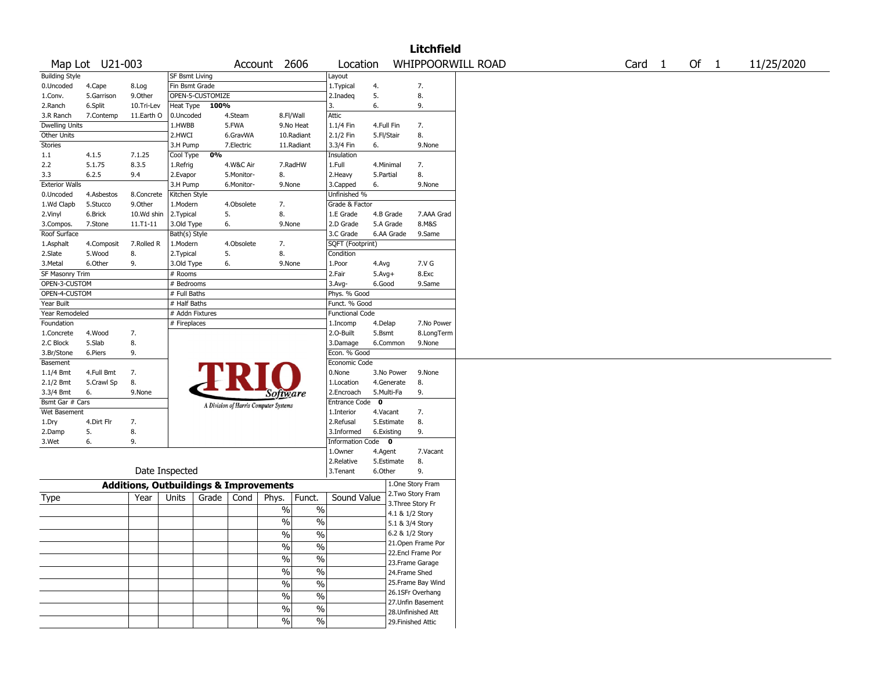|                       |                 |                                                   |                 |                  |            |                                       |                          |                        |             |                 | <b>Litchfield</b>  |                   |                   |        |            |
|-----------------------|-----------------|---------------------------------------------------|-----------------|------------------|------------|---------------------------------------|--------------------------|------------------------|-------------|-----------------|--------------------|-------------------|-------------------|--------|------------|
|                       | Map Lot U21-003 |                                                   |                 |                  |            | Account 2606                          |                          | Location               |             |                 |                    | WHIPPOORWILL ROAD | Card <sub>1</sub> | Of $1$ | 11/25/2020 |
| <b>Building Style</b> |                 |                                                   | SF Bsmt Living  |                  |            |                                       |                          | Layout                 |             |                 |                    |                   |                   |        |            |
| 0.Uncoded             | 4.Cape          | 8.Log                                             | Fin Bsmt Grade  |                  |            |                                       |                          | 1. Typical             | 4.          |                 | 7.                 |                   |                   |        |            |
| 1.Conv.               | 5.Garrison      | 9.Other                                           |                 | OPEN-5-CUSTOMIZE |            |                                       |                          | 2.Inadeg               | 5.          |                 | 8.                 |                   |                   |        |            |
| 2.Ranch               | 6.Split         | 10.Tri-Lev                                        | Heat Type       | 100%             |            |                                       |                          | 3.                     | 6.          |                 | 9.                 |                   |                   |        |            |
| 3.R Ranch             | 7.Contemp       | 11.Earth O                                        | 0.Uncoded       |                  | 4.Steam    | 8.Fl/Wall                             |                          | Attic                  |             |                 |                    |                   |                   |        |            |
| <b>Dwelling Units</b> |                 |                                                   | 1.HWBB          |                  | 5.FWA      |                                       | 9.No Heat                | 1.1/4 Fin              | 4.Full Fin  |                 | 7.                 |                   |                   |        |            |
| Other Units           |                 |                                                   | 2.HWCI          |                  | 6.GravWA   |                                       | 10.Radiant               | 2.1/2 Fin              | 5.Fl/Stair  |                 | 8.                 |                   |                   |        |            |
| Stories               |                 |                                                   | 3.H Pump        |                  | 7.Electric |                                       | 11.Radiant               | 3.3/4 Fin              | 6.          |                 | 9.None             |                   |                   |        |            |
| 1.1                   | 4.1.5           | 7.1.25                                            | Cool Type       | 0%               |            |                                       |                          | Insulation             |             |                 |                    |                   |                   |        |            |
| 2.2                   | 5.1.75          | 8.3.5                                             | 1.Refrig        |                  | 4.W&C Air  |                                       | 7.RadHW                  | 1.Full                 | 4.Minimal   |                 | 7.                 |                   |                   |        |            |
| 3.3                   | 6.2.5           | 9.4                                               | 2.Evapor        |                  | 5.Monitor- | 8.                                    |                          | 2.Heavy                | 5.Partial   |                 | 8.                 |                   |                   |        |            |
| <b>Exterior Walls</b> |                 |                                                   | 3.H Pump        |                  | 6.Monitor- | 9.None                                |                          | 3.Capped               | 6.          |                 | 9.None             |                   |                   |        |            |
| 0.Uncoded             | 4.Asbestos      | 8.Concrete                                        | Kitchen Style   |                  |            |                                       |                          | Unfinished %           |             |                 |                    |                   |                   |        |            |
| 1.Wd Clapb            | 5.Stucco        | 9.Other                                           | 1.Modern        |                  | 4.Obsolete | 7.                                    |                          | Grade & Factor         |             |                 |                    |                   |                   |        |            |
| 2.Vinyl               | 6.Brick         | 10.Wd shin                                        | 2.Typical       | 5.               |            | 8.                                    |                          | 1.E Grade              | 4.B Grade   |                 | 7.AAA Grad         |                   |                   |        |            |
| 3.Compos.             | 7.Stone         | 11.T1-11                                          | 3.Old Type      |                  | 6.         | 9.None                                |                          | 2.D Grade              | 5.A Grade   |                 | 8.M&S              |                   |                   |        |            |
| Roof Surface          |                 |                                                   | Bath(s) Style   |                  |            |                                       |                          | 3.C Grade              |             | 6.AA Grade      | 9.Same             |                   |                   |        |            |
| 1.Asphalt             | 4.Composit      | 7.Rolled R                                        | 1.Modern        |                  | 4.Obsolete | 7.                                    |                          | SQFT (Footprint)       |             |                 |                    |                   |                   |        |            |
| 2.Slate               | 5.Wood          | 8.                                                | 2. Typical      | 5.               |            | 8.                                    |                          | Condition              |             |                 |                    |                   |                   |        |            |
| 3. Metal              | 6.Other         | 9.                                                | 3.Old Type      |                  | 6.         | 9.None                                |                          | 1.Poor                 | 4.Avg       |                 | 7.V G              |                   |                   |        |            |
| SF Masonry Trim       |                 |                                                   | # Rooms         |                  |            |                                       |                          | 2.Fair                 | $5.Avg+$    |                 | 8.Exc              |                   |                   |        |            |
| OPEN-3-CUSTOM         |                 |                                                   | # Bedrooms      |                  |            |                                       |                          | $3.$ Avg-              | 6.Good      |                 | 9.Same             |                   |                   |        |            |
| OPEN-4-CUSTOM         |                 |                                                   | # Full Baths    |                  |            |                                       |                          | Phys. % Good           |             |                 |                    |                   |                   |        |            |
| Year Built            |                 |                                                   | # Half Baths    |                  |            |                                       |                          | Funct. % Good          |             |                 |                    |                   |                   |        |            |
| Year Remodeled        |                 |                                                   | # Addn Fixtures |                  |            |                                       |                          | <b>Functional Code</b> |             |                 |                    |                   |                   |        |            |
| Foundation            |                 |                                                   | # Fireplaces    |                  |            |                                       |                          | 1.Incomp               | 4.Delap     |                 | 7.No Power         |                   |                   |        |            |
| 1.Concrete            | 4.Wood          | 7.                                                |                 |                  |            |                                       |                          | 2.0-Built              | 5.Bsmt      |                 | 8.LongTerm         |                   |                   |        |            |
| 2.C Block             | 5.Slab          | 8.                                                |                 |                  |            |                                       |                          | 3.Damage               |             | 6.Common        | 9.None             |                   |                   |        |            |
| 3.Br/Stone            | 6.Piers         | 9.                                                |                 |                  |            |                                       |                          | Econ. % Good           |             |                 |                    |                   |                   |        |            |
| Basement              |                 |                                                   |                 |                  |            |                                       |                          | Economic Code          |             |                 |                    |                   |                   |        |            |
| $1.1/4$ Bmt           | 4.Full Bmt      | 7.                                                |                 |                  |            |                                       |                          | 0.None                 |             | 3.No Power      | 9.None             |                   |                   |        |            |
| 2.1/2 Bmt             | 5.Crawl Sp      | 8.                                                |                 |                  |            |                                       |                          | 1.Location             |             | 4.Generate      | 8.                 |                   |                   |        |            |
| 3.3/4 Bmt             | 6.              | 9.None                                            |                 |                  |            | Software                              |                          | 2.Encroach             | 5.Multi-Fa  |                 | 9.                 |                   |                   |        |            |
| Bsmt Gar # Cars       |                 |                                                   |                 |                  |            | A Division of Harris Computer Systems |                          | <b>Entrance Code</b>   | $\mathbf 0$ |                 |                    |                   |                   |        |            |
| Wet Basement          |                 |                                                   |                 |                  |            |                                       |                          | 1.Interior             | 4.Vacant    |                 | 7.                 |                   |                   |        |            |
| 1.Dry                 | 4.Dirt Flr      | 7.                                                |                 |                  |            |                                       |                          | 2.Refusal              |             | 5.Estimate      | 8.                 |                   |                   |        |            |
| 2.Damp                | 5.              | 8.                                                |                 |                  |            |                                       |                          | 3.Informed             | 6.Existing  |                 | 9.                 |                   |                   |        |            |
| 3.Wet                 | 6.              | 9.                                                |                 |                  |            |                                       |                          | Information Code 0     |             |                 |                    |                   |                   |        |            |
|                       |                 |                                                   |                 |                  |            |                                       |                          | 1.0wner                | 4.Agent     |                 | 7.Vacant           |                   |                   |        |            |
|                       |                 |                                                   |                 |                  |            |                                       |                          | 2.Relative             |             | 5.Estimate      | 8.                 |                   |                   |        |            |
|                       |                 |                                                   | Date Inspected  |                  |            |                                       |                          | 3. Tenant              | 6.Other     |                 | 9.                 |                   |                   |        |            |
|                       |                 | <b>Additions, Outbuildings &amp; Improvements</b> |                 |                  |            |                                       |                          |                        |             |                 | 1.One Story Fram   |                   |                   |        |            |
| Type                  |                 | Year                                              | Units           | Grade            | Cond       | Phys.                                 | Funct.                   | Sound Value            |             |                 | 2. Two Story Fram  |                   |                   |        |            |
|                       |                 |                                                   |                 |                  |            |                                       |                          |                        |             |                 | 3. Three Story Fr  |                   |                   |        |            |
|                       |                 |                                                   |                 |                  |            | $\%$                                  | $\%$                     |                        |             | 4.1 & 1/2 Story |                    |                   |                   |        |            |
|                       |                 |                                                   |                 |                  |            | %                                     | $\%$                     |                        |             | 5.1 & 3/4 Story |                    |                   |                   |        |            |
|                       |                 |                                                   |                 |                  |            | $\frac{0}{0}$                         | $\frac{0}{0}$            |                        |             | 6.2 & 1/2 Story |                    |                   |                   |        |            |
|                       |                 |                                                   |                 |                  |            | $\%$                                  | $\%$                     |                        |             |                 | 21. Open Frame Por |                   |                   |        |            |
|                       |                 |                                                   |                 |                  |            |                                       |                          |                        |             |                 | 22.Encl Frame Por  |                   |                   |        |            |
|                       |                 |                                                   |                 |                  |            | $\frac{1}{2}$                         | $\overline{\frac{0}{6}}$ |                        |             |                 | 23. Frame Garage   |                   |                   |        |            |
|                       |                 |                                                   |                 |                  |            | $\frac{1}{2}$                         | $\overline{\frac{0}{0}}$ |                        |             | 24.Frame Shed   |                    |                   |                   |        |            |
|                       |                 |                                                   |                 |                  |            | $\frac{1}{2}$                         | $\overline{\frac{0}{6}}$ |                        |             |                 | 25. Frame Bay Wind |                   |                   |        |            |
|                       |                 |                                                   |                 |                  |            | $\frac{1}{2}$                         | $\overline{\frac{0}{6}}$ |                        |             |                 | 26.1SFr Overhang   |                   |                   |        |            |
|                       |                 |                                                   |                 |                  |            |                                       |                          |                        |             |                 | 27. Unfin Basement |                   |                   |        |            |
|                       |                 |                                                   |                 |                  |            | $\sqrt{6}$                            | $\%$                     |                        |             |                 | 28. Unfinished Att |                   |                   |        |            |
|                       |                 |                                                   |                 |                  |            | $\sqrt{6}$                            | $\frac{1}{2}$            |                        |             |                 | 29. Finished Attic |                   |                   |        |            |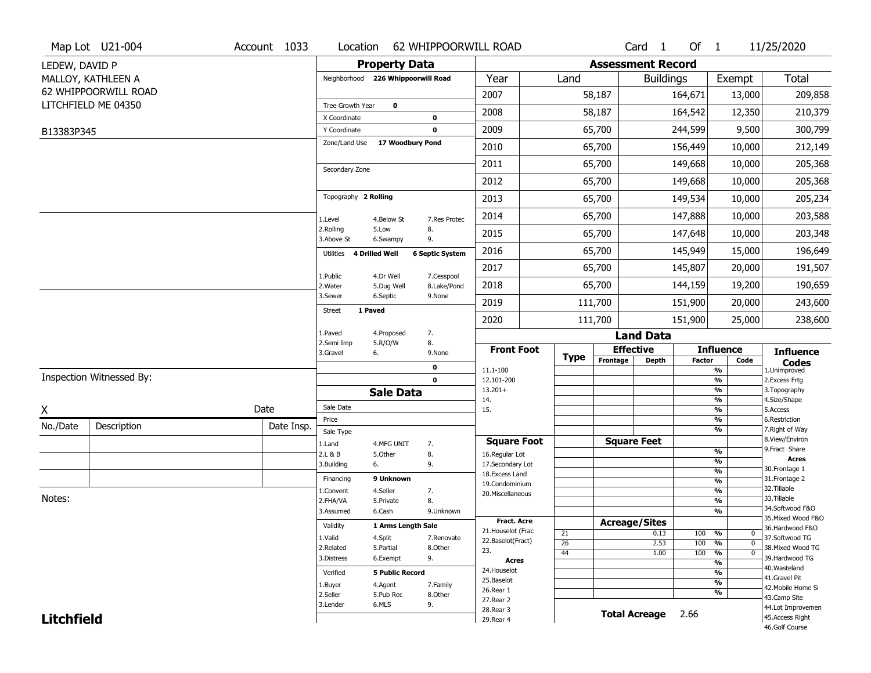|                   | Map Lot U21-004          | Account 1033 | Location                      |                                    | 62 WHIPPOORWILL ROAD      |                                  |             |                          | Card <sub>1</sub>    | Of $1$        |                                | 11/25/2020                        |
|-------------------|--------------------------|--------------|-------------------------------|------------------------------------|---------------------------|----------------------------------|-------------|--------------------------|----------------------|---------------|--------------------------------|-----------------------------------|
| LEDEW, DAVID P    |                          |              |                               | <b>Property Data</b>               |                           |                                  |             | <b>Assessment Record</b> |                      |               |                                |                                   |
|                   | MALLOY, KATHLEEN A       |              |                               | Neighborhood 226 Whippoorwill Road |                           | Year                             | Land        |                          | <b>Buildings</b>     |               | Exempt                         | Total                             |
|                   | 62 WHIPPOORWILL ROAD     |              |                               |                                    |                           | 2007                             |             | 58,187                   |                      | 164,671       | 13,000                         | 209,858                           |
|                   | LITCHFIELD ME 04350      |              | Tree Growth Year              | $\mathbf 0$                        |                           | 2008                             |             | 58,187                   |                      | 164,542       | 12,350                         | 210,379                           |
|                   |                          |              | X Coordinate                  |                                    | $\mathbf 0$               |                                  |             |                          |                      |               |                                |                                   |
| B13383P345        |                          |              | Y Coordinate<br>Zone/Land Use | 17 Woodbury Pond                   | $\mathbf 0$               | 2009                             |             | 65,700                   |                      | 244,599       | 9,500                          | 300,799                           |
|                   |                          |              |                               |                                    |                           | 2010                             |             | 65,700                   |                      | 156,449       | 10,000                         | 212,149                           |
|                   |                          |              | Secondary Zone                |                                    |                           | 2011                             |             | 65,700                   |                      | 149,668       | 10,000                         | 205,368                           |
|                   |                          |              |                               |                                    |                           | 2012                             |             | 65,700                   |                      | 149,668       | 10,000                         | 205,368                           |
|                   |                          |              | Topography 2 Rolling          |                                    |                           | 2013                             |             | 65,700                   |                      | 149,534       | 10,000                         | 205,234                           |
|                   |                          |              | 1.Level                       | 4.Below St                         | 7.Res Protec              | 2014                             |             | 65,700                   |                      | 147,888       | 10,000                         | 203,588                           |
|                   |                          |              | 2.Rolling<br>3.Above St       | 5.Low<br>6.Swampy                  | 8.<br>9.                  | 2015                             |             | 65,700                   |                      | 147,648       | 10,000                         | 203,348                           |
|                   |                          |              | Utilities 4 Drilled Well      |                                    | <b>6 Septic System</b>    | 2016                             |             | 65,700                   |                      | 145,949       | 15,000                         | 196,649                           |
|                   |                          |              | 1.Public                      | 4.Dr Well                          |                           | 2017                             |             | 65,700                   |                      | 145,807       | 20,000                         | 191,507                           |
|                   |                          |              | 2. Water                      | 5.Dug Well                         | 7.Cesspool<br>8.Lake/Pond | 2018                             |             | 65,700                   |                      | 144,159       | 19,200                         | 190,659                           |
|                   |                          |              | 3.Sewer                       | 6.Septic                           | 9.None                    | 2019                             |             | 111,700                  |                      | 151,900       | 20,000                         | 243,600                           |
|                   |                          |              | <b>Street</b>                 | 1 Paved                            |                           | 2020                             |             | 111,700                  |                      | 151,900       | 25,000                         | 238,600                           |
|                   |                          |              | 1.Paved                       | 4.Proposed                         | 7.                        |                                  |             |                          | <b>Land Data</b>     |               |                                |                                   |
|                   |                          |              | 2.Semi Imp<br>3.Gravel        | 5.R/O/W<br>6.                      | 8.<br>9.None              | <b>Front Foot</b>                | <b>Type</b> |                          | <b>Effective</b>     |               | <b>Influence</b>               | <b>Influence</b>                  |
|                   |                          |              |                               |                                    | $\mathbf 0$               | 11.1-100                         |             | Frontage                 | <b>Depth</b>         | <b>Factor</b> | Code<br>$\frac{9}{6}$          | <b>Codes</b><br>1.Unimproved      |
|                   | Inspection Witnessed By: |              |                               |                                    | $\mathbf 0$               | 12.101-200                       |             |                          |                      |               | $\frac{9}{6}$                  | 2.Excess Frtg                     |
|                   |                          |              |                               | <b>Sale Data</b>                   |                           | $13.201+$<br>14.                 |             |                          |                      |               | $\frac{9}{6}$<br>$\frac{9}{6}$ | 3. Topography<br>4.Size/Shape     |
| χ                 |                          | Date         | Sale Date                     |                                    |                           | 15.                              |             |                          |                      |               | $\frac{9}{6}$                  | 5.Access                          |
| No./Date          | Description              | Date Insp.   | Price                         |                                    |                           |                                  |             |                          |                      |               | %<br>$\frac{9}{6}$             | 6.Restriction<br>7. Right of Way  |
|                   |                          |              | Sale Type<br>1.Land           | 4.MFG UNIT                         | 7.                        | <b>Square Foot</b>               |             |                          | <b>Square Feet</b>   |               |                                | 8.View/Environ                    |
|                   |                          |              | 2.L & B                       | 5.Other                            | 8.                        | 16.Regular Lot                   |             |                          |                      |               | %                              | 9. Fract Share                    |
|                   |                          |              | 3.Building                    | 6.                                 | 9.                        | 17.Secondary Lot                 |             |                          |                      |               | %<br>%                         | <b>Acres</b><br>30. Frontage 1    |
|                   |                          |              | Financing                     | 9 Unknown                          |                           | 18.Excess Land<br>19.Condominium |             |                          |                      |               | %                              | 31. Frontage 2                    |
|                   |                          |              | 1.Convent                     | 4.Seller                           | 7.                        | 20.Miscellaneous                 |             |                          |                      |               | %                              | 32. Tillable                      |
| Notes:            |                          |              | 2.FHA/VA                      | 5.Private                          | 8.                        |                                  |             |                          |                      |               | %                              | 33.Tillable<br>34.Softwood F&O    |
|                   |                          |              | 3.Assumed                     | 6.Cash                             | 9.Unknown                 | Fract. Acre                      |             |                          |                      |               | %                              | 35. Mixed Wood F&O                |
|                   |                          |              | Validity                      | 1 Arms Length Sale                 |                           | 21. Houselot (Frac               |             | <b>Acreage/Sites</b>     |                      |               |                                | 36.Hardwood F&O                   |
|                   |                          |              | 1.Valid                       | 4.Split                            | 7.Renovate                | 22.Baselot(Fract)                | 21<br>26    |                          | 0.13<br>2.53         | 100<br>100    | %<br>0<br>%<br>$\mathbf{0}$    | 37.Softwood TG                    |
|                   |                          |              | 2.Related                     | 5.Partial                          | 8.Other                   | 23.                              | 44          |                          | 1.00                 | 100           | %<br>$\mathbf{0}$              | 38. Mixed Wood TG                 |
|                   |                          |              | 3.Distress                    | 6.Exempt                           | 9.                        | Acres                            |             |                          |                      |               | $\frac{9}{6}$                  | 39.Hardwood TG                    |
|                   |                          |              | Verified                      | <b>5 Public Record</b>             |                           | 24. Houselot                     |             |                          |                      |               | $\frac{9}{6}$                  | 40.Wasteland<br>41.Gravel Pit     |
|                   |                          |              | 1.Buyer                       | 4.Agent                            | 7.Family                  | 25.Baselot<br>26.Rear 1          |             |                          |                      |               | $\frac{9}{6}$                  | 42. Mobile Home Si                |
|                   |                          |              | 2.Seller                      | 5.Pub Rec                          | 8.Other                   | 27. Rear 2                       |             |                          |                      |               | $\frac{9}{6}$                  | 43.Camp Site                      |
|                   |                          |              | 3.Lender                      | 6.MLS                              | 9.                        | 28. Rear 3                       |             |                          | <b>Total Acreage</b> | 2.66          |                                | 44.Lot Improvemen                 |
| <b>Litchfield</b> |                          |              |                               |                                    |                           | 29. Rear 4                       |             |                          |                      |               |                                | 45.Access Right<br>46.Golf Course |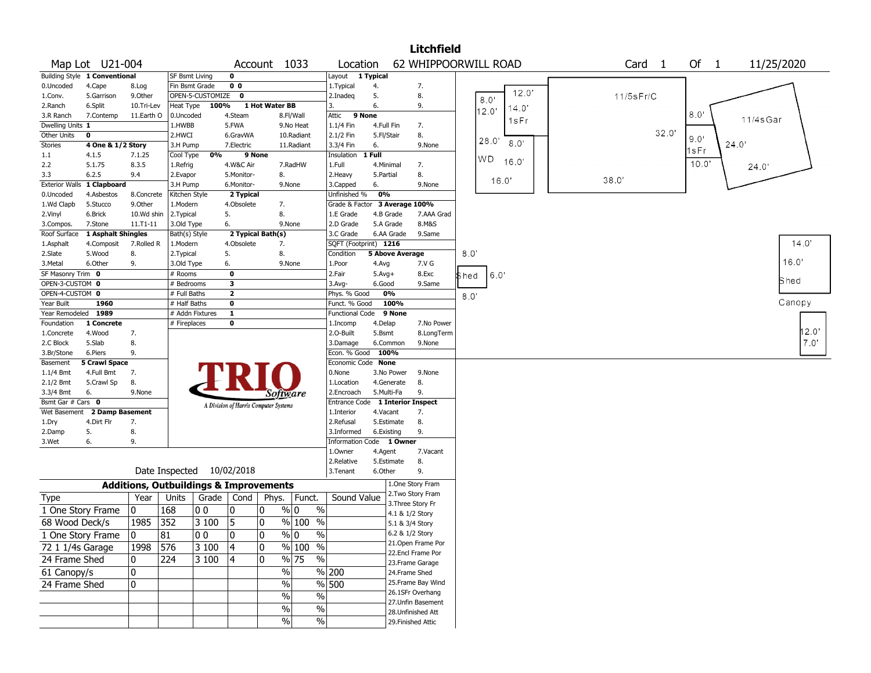|                       |                               |            |                                                            |                  |                |                                       |                         |                          |                       | <b>Litchfield</b>                |            |        |       |       |                 |      |                    |          |            |
|-----------------------|-------------------------------|------------|------------------------------------------------------------|------------------|----------------|---------------------------------------|-------------------------|--------------------------|-----------------------|----------------------------------|------------|--------|-------|-------|-----------------|------|--------------------|----------|------------|
|                       | Map Lot U21-004               |            |                                                            |                  |                | Account 1033                          |                         | Location                 |                       | 62 WHIPPOORWILL ROAD             |            |        |       |       | Card 1          |      | Of<br>$\mathbf{1}$ |          | 11/25/2020 |
|                       | Building Style 1 Conventional |            | SF Bsmt Living                                             |                  | 0              |                                       |                         | Layout 1 Typical         |                       |                                  |            |        |       |       |                 |      |                    |          |            |
| 0.Uncoded             | 4.Cape                        | 8.Log      | Fin Bsmt Grade                                             |                  | 0 <sub>0</sub> |                                       |                         | 1. Typical               | 4.                    | 7.                               |            |        |       |       |                 |      |                    |          |            |
| 1.Conv.               | 5.Garrison                    | 9.0ther    |                                                            | OPEN-5-CUSTOMIZE | $\mathbf{0}$   |                                       |                         | 2.Inadeq                 | 5.                    | 8.                               |            |        | 8.0'  | 12.0' | $11/5$ s $Fr/C$ |      |                    |          |            |
| 2.Ranch               | 6.Split                       | 10.Tri-Lev | Heat Type                                                  | 100%             |                | 1 Hot Water BB                        |                         |                          | 6.                    | 9.                               |            |        | 12.0' | 14.0' |                 |      |                    |          |            |
| 3.R Ranch             | 7.Contemp                     | 11.Earth O | 0.Uncoded                                                  |                  | 4.Steam        |                                       | 8.Fl/Wall               | Attic                    | 9 None                |                                  |            |        |       | 1sFr  |                 |      | $8.0^{\circ}$      | 11/4sGar |            |
| Dwelling Units 1      |                               |            | 1.HWBB                                                     |                  | 5.FWA          |                                       | 9.No Heat               | 1.1/4 Fin                | 4.Full Fin            | 7.                               |            |        |       |       |                 |      |                    |          |            |
| Other Units           | $\mathbf 0$                   |            | 2.HWCI                                                     |                  | 6.GravWA       |                                       | 10.Radiant              | 2.1/2 Fin                | 5.Fl/Stair            | 8.                               |            |        | 28.0' |       |                 | 32.0 | 9.0'               |          |            |
| Stories               | 4 One & 1/2 Story             |            | 3.H Pump                                                   |                  | 7.Electric     |                                       | 11.Radiant              | 3.3/4 Fin                | 6.                    | 9.None                           |            |        |       | 8.0'  |                 |      | 1sFr               | 24.0     |            |
| $1.1\,$               | 4.1.5                         | 7.1.25     | Cool Type                                                  | 0%               | 9 None         |                                       |                         | Insulation               | 1 Full                |                                  |            | WD.    | 16.0' |       |                 |      |                    |          |            |
| 2.2                   | 5.1.75                        | 8.3.5      | 1.Refrig                                                   |                  | 4.W&C Air      |                                       | 7.RadHW                 | 1.Full                   | 4.Minimal             | 7.                               |            |        |       |       |                 |      | 10.0'              | 24.0'    |            |
| 3.3                   | 6.2.5                         | 9.4        | 2.Evapor                                                   |                  | 5.Monitor-     | 8.                                    |                         | 2. Heavy                 | 5.Partial             | 8.                               |            |        | 16.0' |       | 38.0'           |      |                    |          |            |
| <b>Exterior Walls</b> | 1 Clapboard                   |            | 3.H Pump                                                   |                  | 6.Monitor-     | 9.None                                |                         | 3.Capped                 | 6.                    | 9.None                           |            |        |       |       |                 |      |                    |          |            |
| 0.Uncoded             | 4.Asbestos                    | 8.Concrete | Kitchen Style                                              |                  | 2 Typical      |                                       |                         | Unfinished %             | 0%                    |                                  |            |        |       |       |                 |      |                    |          |            |
| 1.Wd Clapb            | 5.Stucco                      | 9.0ther    | 1.Modern                                                   |                  | 4.Obsolete     | 7.                                    |                         | Grade & Factor           |                       | 3 Average 100%                   |            |        |       |       |                 |      |                    |          |            |
| 2.Vinyl               | 6.Brick                       | 10.Wd shin | 2. Typical                                                 |                  | 5.             | 8.                                    |                         | 1.E Grade                | 4.B Grade             |                                  | 7.AAA Grad |        |       |       |                 |      |                    |          |            |
| 3.Compos.             | 7.Stone                       | 11.T1-11   | 3.Old Type                                                 |                  | 6.             | 9.None                                |                         | 2.D Grade                | 5.A Grade             | 8.M&S                            |            |        |       |       |                 |      |                    |          |            |
| Roof Surface          | 1 Asphalt Shingles            |            | Bath(s) Style                                              |                  |                | 2 Typical Bath(s)                     |                         | 3.C Grade                |                       | 6.AA Grade<br>9.Same             |            |        |       |       |                 |      |                    |          |            |
| 1.Asphalt             | 4.Composit                    | 7.Rolled R | 1.Modern                                                   |                  | 4.Obsolete     | 7.                                    |                         | SQFT (Footprint) 1216    |                       |                                  |            |        |       |       |                 |      |                    |          | 14.0'      |
| 2.Slate               | 5.Wood                        | 8.         | 2. Typical                                                 |                  | 5.             | 8.                                    |                         | Condition                |                       | <b>5 Above Average</b>           |            | 8.0    |       |       |                 |      |                    |          |            |
| 3.Metal               | 6.Other                       | 9.         | 3.Old Type                                                 |                  | 6.             | 9.None                                |                         | 1.Poor                   | 4.Avg                 | 7.V G                            |            |        |       |       |                 |      |                    |          | 16.0'      |
| SF Masonry Trim 0     |                               |            | # Rooms                                                    |                  | $\mathbf 0$    |                                       |                         | 2.Fair                   | $5.Avg+$              | 8.Exc                            |            | l\$hed | 16.0' |       |                 |      |                    |          | Shed       |
| OPEN-3-CUSTOM 0       |                               |            | # Bedrooms                                                 |                  | 3              |                                       |                         | 3.Avg-                   | 6.Good                | 9.Same                           |            |        |       |       |                 |      |                    |          |            |
| OPEN-4-CUSTOM 0       |                               |            | # Full Baths                                               |                  | $\overline{2}$ |                                       |                         | Phys. % Good             | 0%                    |                                  |            | 8.0    |       |       |                 |      |                    |          |            |
| Year Built            | 1960                          |            | # Half Baths                                               |                  | 0              |                                       |                         | Funct. % Good            |                       | 100%                             |            |        |       |       |                 |      |                    |          | Canopy     |
| Year Remodeled 1989   |                               |            |                                                            | # Addn Fixtures  | $\mathbf{1}$   |                                       |                         | <b>Functional Code</b>   |                       | 9 None                           |            |        |       |       |                 |      |                    |          |            |
| Foundation            | 1 Concrete                    |            | # Fireplaces                                               |                  | 0              |                                       |                         | 1.Incomp                 | 4.Delap               |                                  | 7.No Power |        |       |       |                 |      |                    |          |            |
| 1.Concrete            | 4.Wood                        | 7.         |                                                            |                  |                |                                       |                         | 2.O-Built                | 5.Bsmt                |                                  | 8.LongTerm |        |       |       |                 |      |                    |          | 12.0'      |
| 2.C Block             | 5.Slab                        | 8.         |                                                            |                  |                |                                       |                         | 3.Damage                 | 6.Common              | 9.None                           |            |        |       |       |                 |      |                    |          | 7.0'       |
| 3.Br/Stone            | 6.Piers                       | 9.         |                                                            |                  |                |                                       |                         | Econ. % Good             | 100%                  |                                  |            |        |       |       |                 |      |                    |          |            |
| Basement              | 5 Crawl Space                 |            |                                                            |                  |                |                                       |                         | Economic Code None       |                       |                                  |            |        |       |       |                 |      |                    |          |            |
| $1.1/4$ Bmt           | 4.Full Bmt                    | 7.         |                                                            |                  |                |                                       |                         | 0.None                   |                       | 3.No Power<br>9.None             |            |        |       |       |                 |      |                    |          |            |
| 2.1/2 Bmt             | 5.Crawl Sp                    | 8.         |                                                            |                  |                |                                       |                         | 1.Location               |                       | 4.Generate<br>8.                 |            |        |       |       |                 |      |                    |          |            |
| 3.3/4 Bmt             | 6.                            | 9.None     |                                                            |                  |                | Software                              |                         | 2.Encroach               | 5.Multi-Fa            | 9.                               |            |        |       |       |                 |      |                    |          |            |
| Bsmt Gar # Cars 0     |                               |            |                                                            |                  |                | A Division of Harris Computer Systems |                         |                          |                       | Entrance Code 1 Interior Inspect |            |        |       |       |                 |      |                    |          |            |
| Wet Basement          | 2 Damp Basement               |            |                                                            |                  |                |                                       |                         | 1.Interior               | 4.Vacant              | 7.                               |            |        |       |       |                 |      |                    |          |            |
| 1.Dry                 | 4.Dirt Flr                    | 7.         |                                                            |                  |                |                                       |                         | 2.Refusal                | 5.Estimate            | 8.                               |            |        |       |       |                 |      |                    |          |            |
| 2.Damp                | 5.                            | 8.         |                                                            |                  |                |                                       |                         | 3.Informed               | 6.Existing            | 9.                               |            |        |       |       |                 |      |                    |          |            |
| 3.Wet                 | 6.                            | 9.         |                                                            |                  |                |                                       |                         | Information Code 1 Owner |                       |                                  |            |        |       |       |                 |      |                    |          |            |
|                       |                               |            |                                                            |                  |                |                                       |                         | 1.Owner                  | 4.Agent               | 7.Vacant<br>8.                   |            |        |       |       |                 |      |                    |          |            |
|                       |                               |            | Date Inspected 10/02/2018                                  |                  |                |                                       |                         | 2.Relative<br>3. Tenant  | 5.Estimate<br>6.Other | 9.                               |            |        |       |       |                 |      |                    |          |            |
|                       |                               |            |                                                            |                  |                |                                       |                         |                          |                       | 1.One Story Fram                 |            |        |       |       |                 |      |                    |          |            |
| <b>Type</b>           |                               | Year       | <b>Additions, Outbuildings &amp; Improvements</b><br>Units | Grade   Cond     |                |                                       | Phys. Funct.            | Sound Value              |                       | 2. Two Story Fram                |            |        |       |       |                 |      |                    |          |            |
|                       |                               |            |                                                            |                  |                |                                       |                         |                          |                       | 3. Three Story Fr                |            |        |       |       |                 |      |                    |          |            |
| 1 One Story Frame     |                               | 10         | 168                                                        | O O              | 0              | 0                                     | $\frac{9}{0}$ 0<br>$\%$ |                          |                       | 4.1 & 1/2 Story                  |            |        |       |       |                 |      |                    |          |            |
| 68 Wood Deck/s        |                               | 1985       | 352                                                        | 3 100            | 5              | 10                                    | $\sqrt{20}$ 100<br>$\%$ |                          |                       | 5.1 & 3/4 Story                  |            |        |       |       |                 |      |                    |          |            |
| 1 One Story Frame     |                               | 0          | 81                                                         | 00               | 0              | 0                                     | $\frac{9}{0}$<br>$\%$   |                          |                       | 6.2 & 1/2 Story                  |            |        |       |       |                 |      |                    |          |            |
| 72 1 1/4s Garage      |                               | 1998 576   |                                                            | 3 100            | 4              | 10                                    | % 100 %                 |                          |                       | 21.Open Frame Por                |            |        |       |       |                 |      |                    |          |            |
|                       |                               |            |                                                            |                  |                |                                       |                         |                          |                       | 22.Encl Frame Por                |            |        |       |       |                 |      |                    |          |            |
| 24 Frame Shed         |                               | 0          | 224                                                        | 3100             | 4              | 0                                     | % 75<br>$\frac{0}{0}$   |                          |                       | 23. Frame Garage                 |            |        |       |       |                 |      |                    |          |            |
| 61 Canopy/s           |                               | 0          |                                                            |                  |                | $\%$                                  |                         | % 200                    |                       | 24.Frame Shed                    |            |        |       |       |                 |      |                    |          |            |
| 24 Frame Shed         |                               | 10         |                                                            |                  |                | $\%$                                  |                         | $\sqrt{96}$ 500          |                       | 25. Frame Bay Wind               |            |        |       |       |                 |      |                    |          |            |
|                       |                               |            |                                                            |                  |                | %                                     | %                       |                          |                       | 26.1SFr Overhang                 |            |        |       |       |                 |      |                    |          |            |
|                       |                               |            |                                                            |                  |                | $\%$                                  | $\%$                    |                          |                       | 27.Unfin Basement                |            |        |       |       |                 |      |                    |          |            |
|                       |                               |            |                                                            |                  |                |                                       |                         |                          |                       | 28. Unfinished Att               |            |        |       |       |                 |      |                    |          |            |
|                       |                               |            |                                                            |                  |                | $\frac{0}{0}$                         | %                       |                          |                       | 29. Finished Attic               |            |        |       |       |                 |      |                    |          |            |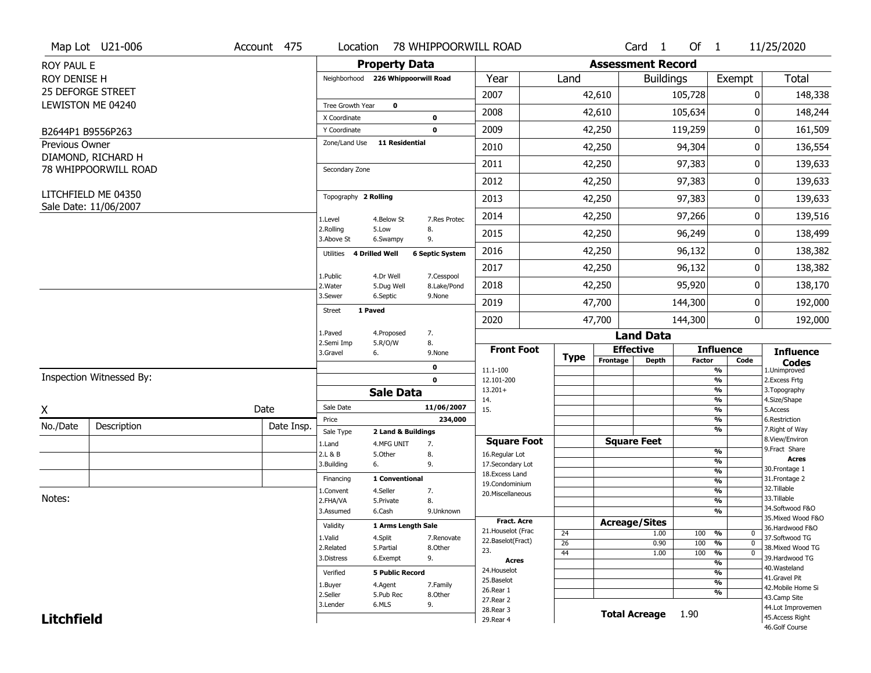|                   | Map Lot U21-006          | Account 475 | Location                            |                        | 78 WHIPPOORWILL ROAD   |                                         |             |          | Card <sub>1</sub>        | Of $1$        |                                                   | 11/25/2020                           |
|-------------------|--------------------------|-------------|-------------------------------------|------------------------|------------------------|-----------------------------------------|-------------|----------|--------------------------|---------------|---------------------------------------------------|--------------------------------------|
| <b>ROY PAUL E</b> |                          |             |                                     | <b>Property Data</b>   |                        |                                         |             |          | <b>Assessment Record</b> |               |                                                   |                                      |
| ROY DENISE H      |                          |             | Neighborhood 226 Whippoorwill Road  |                        |                        | Year                                    | Land        |          | <b>Buildings</b>         |               | Exempt                                            | <b>Total</b>                         |
|                   | 25 DEFORGE STREET        |             |                                     |                        |                        | 2007                                    |             | 42,610   |                          | 105,728       | 0                                                 | 148,338                              |
|                   | LEWISTON ME 04240        |             | Tree Growth Year                    | $\mathbf 0$            |                        | 2008                                    |             | 42,610   |                          | 105,634       | 0                                                 | 148,244                              |
|                   |                          |             | X Coordinate                        |                        | 0                      |                                         |             |          |                          |               |                                                   |                                      |
|                   | B2644P1 B9556P263        |             | Y Coordinate<br>Zone/Land Use       | <b>11 Residential</b>  | $\mathbf 0$            | 2009                                    |             | 42,250   |                          | 119,259       | 0                                                 | 161,509                              |
| Previous Owner    | DIAMOND, RICHARD H       |             |                                     |                        |                        | 2010                                    |             | 42,250   |                          | 94,304        | 0                                                 | 136,554                              |
|                   | 78 WHIPPOORWILL ROAD     |             | Secondary Zone                      |                        |                        | 2011                                    |             | 42,250   |                          | 97,383        | 0                                                 | 139,633                              |
|                   |                          |             |                                     |                        |                        | 2012                                    |             | 42,250   |                          | 97,383        | 0                                                 | 139,633                              |
|                   | LITCHFIELD ME 04350      |             | Topography 2 Rolling                |                        |                        | 2013                                    |             | 42,250   |                          | 97,383        | 0                                                 | 139,633                              |
|                   | Sale Date: 11/06/2007    |             | 1.Level                             | 4.Below St             | 7.Res Protec           | 2014                                    |             | 42,250   |                          | 97,266        | 0                                                 | 139,516                              |
|                   |                          |             | 2.Rolling<br>3.Above St             | 5.Low<br>6.Swampy      | 8.<br>9.               | 2015                                    |             | 42,250   |                          | 96,249        | 0                                                 | 138,499                              |
|                   |                          |             | 4 Drilled Well<br>Utilities         |                        | <b>6 Septic System</b> | 2016                                    |             | 42,250   |                          | 96,132        | 0                                                 | 138,382                              |
|                   |                          |             | 1.Public                            | 4.Dr Well              | 7.Cesspool             | 2017                                    |             | 42,250   |                          | 96,132        | 0                                                 | 138,382                              |
|                   |                          |             | 2. Water                            | 5.Dug Well             | 8.Lake/Pond            | 2018                                    |             | 42,250   |                          | 95,920        | 0                                                 | 138,170                              |
|                   |                          |             | 3.Sewer<br>1 Paved<br><b>Street</b> | 6.Septic               | 9.None                 | 2019                                    |             | 47,700   |                          | 144,300       | 0                                                 | 192,000                              |
|                   |                          |             |                                     |                        |                        | 2020                                    |             | 47,700   |                          | 144,300       | $\overline{0}$                                    | 192,000                              |
|                   |                          |             | 1.Paved<br>2.Semi Imp               | 4.Proposed<br>5.R/O/W  | 7.<br>8.               |                                         |             |          | <b>Land Data</b>         |               |                                                   |                                      |
|                   |                          |             | 3.Gravel<br>6.                      |                        | 9.None                 | <b>Front Foot</b>                       | <b>Type</b> |          | <b>Effective</b>         | <b>Factor</b> | <b>Influence</b><br>Code                          | <b>Influence</b>                     |
|                   |                          |             |                                     |                        | 0                      | 11.1-100                                |             | Frontage | <b>Depth</b>             |               | %                                                 | <b>Codes</b><br>1.Unimproved         |
|                   | Inspection Witnessed By: |             |                                     |                        | $\mathbf 0$            | 12.101-200<br>$13.201+$                 |             |          |                          |               | $\frac{9}{6}$<br>%                                | 2.Excess Frtg<br>3. Topography       |
|                   |                          |             |                                     | <b>Sale Data</b>       |                        | 14.                                     |             |          |                          |               | %                                                 | 4.Size/Shape                         |
| X                 |                          | Date        | Sale Date                           |                        | 11/06/2007             | 15.                                     |             |          |                          |               | %                                                 | 5.Access                             |
| No./Date          | Description              | Date Insp.  | Price<br>Sale Type                  | 2 Land & Buildings     | 234,000                |                                         |             |          |                          |               | %<br>%                                            | 6.Restriction<br>7. Right of Way     |
|                   |                          |             | 1.Land                              | 4.MFG UNIT             | 7.                     | <b>Square Foot</b>                      |             |          | <b>Square Feet</b>       |               |                                                   | 8.View/Environ                       |
|                   |                          |             | 2.L & B                             | 5.Other                | 8.                     | 16.Regular Lot                          |             |          |                          |               | $\frac{9}{6}$                                     | 9. Fract Share<br><b>Acres</b>       |
|                   |                          |             | 3.Building<br>6.                    |                        | 9.                     | 17.Secondary Lot<br>18.Excess Land      |             |          |                          |               | %<br>$\frac{9}{6}$                                | 30.Frontage 1                        |
|                   |                          |             | Financing                           | 1 Conventional         |                        | 19.Condominium                          |             |          |                          |               | $\frac{9}{6}$                                     | 31. Frontage 2                       |
|                   |                          |             | 1.Convent                           | 4.Seller               | 7.                     | 20.Miscellaneous                        |             |          |                          |               | $\frac{9}{6}$                                     | 32.Tillable                          |
| Notes:            |                          |             | 2.FHA/VA                            | 5.Private              | 8.                     |                                         |             |          |                          |               | $\frac{9}{6}$                                     | 33.Tillable<br>34.Softwood F&O       |
|                   |                          |             | 3.Assumed                           | 6.Cash                 | 9.Unknown              |                                         |             |          |                          |               | $\frac{9}{6}$                                     | 35. Mixed Wood F&O                   |
|                   |                          |             | Validity                            | 1 Arms Length Sale     |                        | <b>Fract. Acre</b>                      |             |          | <b>Acreage/Sites</b>     |               |                                                   | 36.Hardwood F&O                      |
|                   |                          |             | 1.Valid                             | 4.Split                | 7.Renovate             | 21. Houselot (Frac<br>22.Baselot(Fract) | 24          |          | 1.00                     | 100           | %<br>$\mathbf 0$                                  | 37.Softwood TG                       |
|                   |                          |             | 2.Related                           | 5.Partial              | 8.Other                | 23.                                     | 26          |          | 0.90                     | 100           | %<br>$\mathbf{0}$<br>$\frac{9}{6}$<br>$\mathbf 0$ | 38. Mixed Wood TG                    |
|                   |                          |             | 3.Distress                          | 6.Exempt               | 9.                     | <b>Acres</b>                            | 44          |          | 1.00                     | 100           | $\frac{9}{6}$                                     | 39.Hardwood TG                       |
|                   |                          |             | Verified                            | <b>5 Public Record</b> |                        | 24. Houselot                            |             |          |                          |               | %                                                 | 40. Wasteland                        |
|                   |                          |             | 1.Buyer                             | 4.Agent                | 7.Family               | 25.Baselot                              |             |          |                          |               | $\frac{9}{6}$                                     | 41.Gravel Pit                        |
|                   |                          |             | 2.Seller                            | 5.Pub Rec              | 8.Other                | 26.Rear 1                               |             |          |                          |               | %                                                 | 42. Mobile Home Si                   |
|                   |                          |             |                                     |                        |                        |                                         |             |          |                          |               |                                                   | 43.Camp Site                         |
|                   |                          |             |                                     |                        |                        | 27.Rear 2                               |             |          |                          |               |                                                   |                                      |
| <b>Litchfield</b> |                          |             | 3.Lender                            | 6.MLS                  | 9.                     | 28. Rear 3<br>29. Rear 4                |             |          | <b>Total Acreage</b>     | 1.90          |                                                   | 44.Lot Improvemen<br>45.Access Right |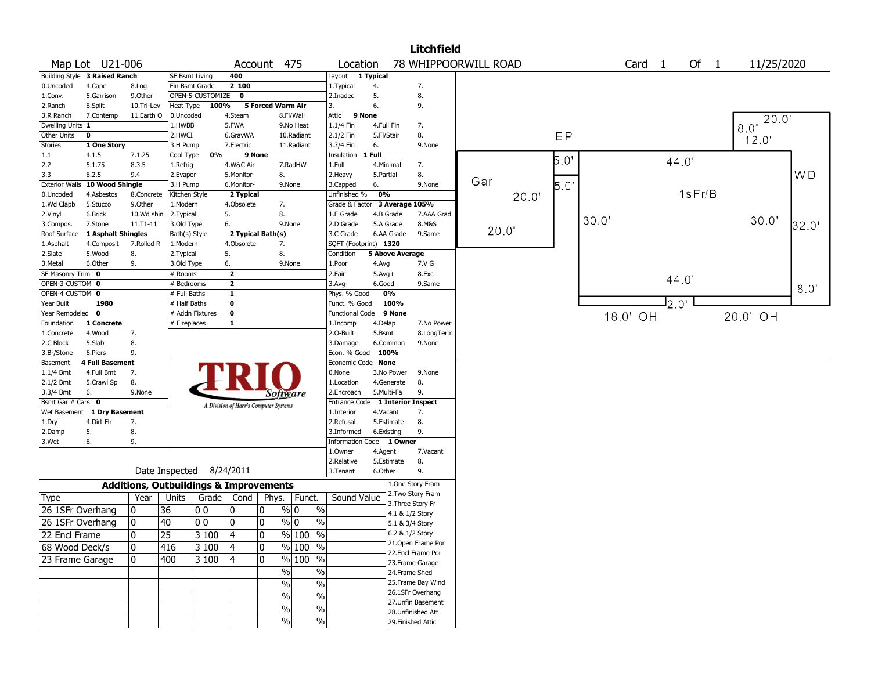| 78 WHIPPOORWILL ROAD<br>Of 1<br>Map Lot U21-006<br>Account 475<br>Location<br>Card <sub>1</sub><br>11/25/2020<br>Building Style 3 Raised Ranch<br>400<br>1 Typical<br><b>SF Bsmt Living</b><br>Layout<br>2100<br>Fin Bsmt Grade<br>7.<br>0.Uncoded<br>4.Cape<br>1. Typical<br>4.<br>8.Log<br>$\overline{\mathbf{0}}$<br>OPEN-5-CUSTOMIZE<br>5.<br>8.<br>5.Garrison<br>9.Other<br>2.Inadeg<br>1.Conv.<br>5 Forced Warm Air<br>100%<br>6.<br>9.<br>6.Split<br>Heat Type<br>3.<br>2.Ranch<br>10.Tri-Lev<br>9 None<br>11.Earth O<br>0.Uncoded<br>4.Steam<br>Attic<br>7.Contemp<br>8.Fl/Wall<br>3.R Ranch<br>20.0<br>Dwelling Units 1<br>5.FWA<br>1.HWBB<br>9.No Heat<br>1.1/4 Fin<br>4.Full Fin<br>7.<br>8.0<br>EP<br>Other Units<br>8.<br>$\mathbf 0$<br>2.HWCI<br>2.1/2 Fin<br>6.GravWA<br>10.Radiant<br>5.Fl/Stair<br>12.0'<br><b>Stories</b><br>1 One Story<br>7.Electric<br>11.Radiant<br>6.<br>9.None<br>3.H Pump<br>3.3/4 Fin<br>$1$ Full<br>7.1.25<br>0%<br>9 None<br>Insulation<br>1.1<br>4.1.5<br>Cool Type<br>$5.0^{\circ}$<br>44.0<br>5.1.75<br>8.3.5<br>4.W&C Air<br>7.RadHW<br>4.Minimal<br>2.2<br>1.Full<br>7.<br>1.Refrig<br>W <sub>D</sub><br>5.Monitor-<br>8.<br>8.<br>3.3<br>6.2.5<br>9.4<br>2.Evapor<br>2.Heavy<br>5.Partial<br>Gar<br>$5.0^{\circ}$<br><b>Exterior Walls</b><br>10 Wood Shingle<br>9.None<br>3.H Pump<br>6.Monitor-<br>9.None<br>3.Capped<br>6.<br>1sFr/B<br>0%<br>2 Typical<br>Unfinished %<br>0.Uncoded<br>4.Asbestos<br>8.Concrete<br>Kitchen Style<br>20.0'<br>3 Average 105%<br>1.Wd Clapb<br>5.Stucco<br>9.0ther<br>1.Modern<br>4.Obsolete<br>7.<br>Grade & Factor<br>8.<br>5.<br>2.Vinyl<br>6.Brick<br>10.Wd shin<br>2.Typical<br>1.E Grade<br>4.B Grade<br>7.AAA Grad<br>30.0<br>30.0<br>6.<br>5.A Grade<br>8.M&S<br>32.0"<br>7.Stone<br>11.T1-11<br>3.Old Type<br>9.None<br>2.D Grade<br>3.Compos.<br>20.0"<br>1 Asphalt Shingles<br>2 Typical Bath(s)<br>3.C Grade<br>6.AA Grade<br>9.Same<br>Roof Surface<br>Bath(s) Style<br>SQFT (Footprint) 1320<br>7.Rolled R<br>4.Obsolete<br>7.<br>4.Composit<br>1.Modern<br>1.Asphalt<br>8.<br>8.<br>5.<br>5 Above Average<br>2.Slate<br>5.Wood<br>2. Typical<br>Condition<br>3.Metal<br>6.Other<br>9.<br>3.Old Type<br>6.<br>9.None<br>7.V G<br>1.Poor<br>4.Avg<br>$\overline{2}$<br>SF Masonry Trim 0<br># Rooms<br>2.Fair<br>$5.Avg+$<br>8.Exc<br>44.0<br>OPEN-3-CUSTOM 0<br>$\mathbf{2}$<br># Bedrooms<br>6.Good<br>9.Same<br>3.Avg-<br>8.0<br>OPEN-4-CUSTOM 0<br>0%<br># Full Baths<br>$\mathbf{1}$<br>Phys. % Good<br><b>I</b> 2.0'<br>100%<br>Year Built<br>1980<br># Half Baths<br>0<br>Funct. % Good<br>Year Remodeled 0<br># Addn Fixtures<br>$\mathbf 0$<br>9 None<br><b>Functional Code</b><br>18.0' OH<br>20.0' OH<br>1 Concrete<br># Fireplaces<br>$\mathbf{1}$<br>Foundation<br>4.Delap<br>7.No Power<br>1.Incomp<br>2.0-Built<br>8.LongTerm<br>4.Wood<br>7.<br>5.Bsmt<br>1.Concrete<br>5.Slab<br>8.<br>2.C Block<br>3.Damage<br>6.Common<br>9.None<br>100%<br>9.<br>Econ. % Good<br>3.Br/Stone<br>6.Piers<br><b>4 Full Basement</b><br>Economic Code None<br>Basement<br>4.Full Bmt<br>7.<br>0.None<br>$1.1/4$ Bmt<br>3.No Power<br>9.None<br>8.<br>8.<br>$2.1/2$ Bmt<br>5.Crawl Sp<br>1.Location<br>4.Generate<br>6.<br>9.None<br>5.Multi-Fa<br>9.<br>3.3/4 Bmt<br>2.Encroach<br>Software<br>Bsmt Gar # Cars 0<br><b>1 Interior Inspect</b><br><b>Entrance Code</b><br>A Division of Harris Computer Systems<br>Wet Basement 1 Dry Basement<br>1.Interior<br>4.Vacant<br>7.<br>5.Estimate<br>8.<br>4.Dirt Flr<br>7.<br>2.Refusal<br>1.Dry<br>8.<br>9.<br>2.Damp<br>5.<br>3.Informed<br>6.Existing<br>9.<br>1 Owner<br>3.Wet<br>6.<br><b>Information Code</b><br>1.0wner<br>4.Agent<br>7.Vacant<br>8.<br>2.Relative<br>5.Estimate<br>Date Inspected 8/24/2011<br>9.<br>6.Other<br>3. Tenant<br>1.One Story Fram<br><b>Additions, Outbuildings &amp; Improvements</b><br>2. Two Story Fram<br>Sound Value<br>Grade   Cond |             |      |       |  |       |        |  | <b>Litchfield</b> |  |  |  |  |  |
|-----------------------------------------------------------------------------------------------------------------------------------------------------------------------------------------------------------------------------------------------------------------------------------------------------------------------------------------------------------------------------------------------------------------------------------------------------------------------------------------------------------------------------------------------------------------------------------------------------------------------------------------------------------------------------------------------------------------------------------------------------------------------------------------------------------------------------------------------------------------------------------------------------------------------------------------------------------------------------------------------------------------------------------------------------------------------------------------------------------------------------------------------------------------------------------------------------------------------------------------------------------------------------------------------------------------------------------------------------------------------------------------------------------------------------------------------------------------------------------------------------------------------------------------------------------------------------------------------------------------------------------------------------------------------------------------------------------------------------------------------------------------------------------------------------------------------------------------------------------------------------------------------------------------------------------------------------------------------------------------------------------------------------------------------------------------------------------------------------------------------------------------------------------------------------------------------------------------------------------------------------------------------------------------------------------------------------------------------------------------------------------------------------------------------------------------------------------------------------------------------------------------------------------------------------------------------------------------------------------------------------------------------------------------------------------------------------------------------------------------------------------------------------------------------------------------------------------------------------------------------------------------------------------------------------------------------------------------------------------------------------------------------------------------------------------------------------------------------------------------------------------------------------------------------------------------------------------------------------------------------------------------------------------------------------------------------------------------------------------------------------------------------------------------------------------------------------------------------------------------------------------------------------------------------------------------------------------------------------------------------------------------------------------------------------------------------------------------------------------------------------------------------------------------------------------------------------------------------------------------------------------------------------------------------------|-------------|------|-------|--|-------|--------|--|-------------------|--|--|--|--|--|
|                                                                                                                                                                                                                                                                                                                                                                                                                                                                                                                                                                                                                                                                                                                                                                                                                                                                                                                                                                                                                                                                                                                                                                                                                                                                                                                                                                                                                                                                                                                                                                                                                                                                                                                                                                                                                                                                                                                                                                                                                                                                                                                                                                                                                                                                                                                                                                                                                                                                                                                                                                                                                                                                                                                                                                                                                                                                                                                                                                                                                                                                                                                                                                                                                                                                                                                                                                                                                                                                                                                                                                                                                                                                                                                                                                                                                                                                                                                             |             |      |       |  |       |        |  |                   |  |  |  |  |  |
|                                                                                                                                                                                                                                                                                                                                                                                                                                                                                                                                                                                                                                                                                                                                                                                                                                                                                                                                                                                                                                                                                                                                                                                                                                                                                                                                                                                                                                                                                                                                                                                                                                                                                                                                                                                                                                                                                                                                                                                                                                                                                                                                                                                                                                                                                                                                                                                                                                                                                                                                                                                                                                                                                                                                                                                                                                                                                                                                                                                                                                                                                                                                                                                                                                                                                                                                                                                                                                                                                                                                                                                                                                                                                                                                                                                                                                                                                                                             |             |      |       |  |       |        |  |                   |  |  |  |  |  |
|                                                                                                                                                                                                                                                                                                                                                                                                                                                                                                                                                                                                                                                                                                                                                                                                                                                                                                                                                                                                                                                                                                                                                                                                                                                                                                                                                                                                                                                                                                                                                                                                                                                                                                                                                                                                                                                                                                                                                                                                                                                                                                                                                                                                                                                                                                                                                                                                                                                                                                                                                                                                                                                                                                                                                                                                                                                                                                                                                                                                                                                                                                                                                                                                                                                                                                                                                                                                                                                                                                                                                                                                                                                                                                                                                                                                                                                                                                                             |             |      |       |  |       |        |  |                   |  |  |  |  |  |
|                                                                                                                                                                                                                                                                                                                                                                                                                                                                                                                                                                                                                                                                                                                                                                                                                                                                                                                                                                                                                                                                                                                                                                                                                                                                                                                                                                                                                                                                                                                                                                                                                                                                                                                                                                                                                                                                                                                                                                                                                                                                                                                                                                                                                                                                                                                                                                                                                                                                                                                                                                                                                                                                                                                                                                                                                                                                                                                                                                                                                                                                                                                                                                                                                                                                                                                                                                                                                                                                                                                                                                                                                                                                                                                                                                                                                                                                                                                             |             |      |       |  |       |        |  |                   |  |  |  |  |  |
|                                                                                                                                                                                                                                                                                                                                                                                                                                                                                                                                                                                                                                                                                                                                                                                                                                                                                                                                                                                                                                                                                                                                                                                                                                                                                                                                                                                                                                                                                                                                                                                                                                                                                                                                                                                                                                                                                                                                                                                                                                                                                                                                                                                                                                                                                                                                                                                                                                                                                                                                                                                                                                                                                                                                                                                                                                                                                                                                                                                                                                                                                                                                                                                                                                                                                                                                                                                                                                                                                                                                                                                                                                                                                                                                                                                                                                                                                                                             |             |      |       |  |       |        |  |                   |  |  |  |  |  |
|                                                                                                                                                                                                                                                                                                                                                                                                                                                                                                                                                                                                                                                                                                                                                                                                                                                                                                                                                                                                                                                                                                                                                                                                                                                                                                                                                                                                                                                                                                                                                                                                                                                                                                                                                                                                                                                                                                                                                                                                                                                                                                                                                                                                                                                                                                                                                                                                                                                                                                                                                                                                                                                                                                                                                                                                                                                                                                                                                                                                                                                                                                                                                                                                                                                                                                                                                                                                                                                                                                                                                                                                                                                                                                                                                                                                                                                                                                                             |             |      |       |  |       |        |  |                   |  |  |  |  |  |
|                                                                                                                                                                                                                                                                                                                                                                                                                                                                                                                                                                                                                                                                                                                                                                                                                                                                                                                                                                                                                                                                                                                                                                                                                                                                                                                                                                                                                                                                                                                                                                                                                                                                                                                                                                                                                                                                                                                                                                                                                                                                                                                                                                                                                                                                                                                                                                                                                                                                                                                                                                                                                                                                                                                                                                                                                                                                                                                                                                                                                                                                                                                                                                                                                                                                                                                                                                                                                                                                                                                                                                                                                                                                                                                                                                                                                                                                                                                             |             |      |       |  |       |        |  |                   |  |  |  |  |  |
|                                                                                                                                                                                                                                                                                                                                                                                                                                                                                                                                                                                                                                                                                                                                                                                                                                                                                                                                                                                                                                                                                                                                                                                                                                                                                                                                                                                                                                                                                                                                                                                                                                                                                                                                                                                                                                                                                                                                                                                                                                                                                                                                                                                                                                                                                                                                                                                                                                                                                                                                                                                                                                                                                                                                                                                                                                                                                                                                                                                                                                                                                                                                                                                                                                                                                                                                                                                                                                                                                                                                                                                                                                                                                                                                                                                                                                                                                                                             |             |      |       |  |       |        |  |                   |  |  |  |  |  |
|                                                                                                                                                                                                                                                                                                                                                                                                                                                                                                                                                                                                                                                                                                                                                                                                                                                                                                                                                                                                                                                                                                                                                                                                                                                                                                                                                                                                                                                                                                                                                                                                                                                                                                                                                                                                                                                                                                                                                                                                                                                                                                                                                                                                                                                                                                                                                                                                                                                                                                                                                                                                                                                                                                                                                                                                                                                                                                                                                                                                                                                                                                                                                                                                                                                                                                                                                                                                                                                                                                                                                                                                                                                                                                                                                                                                                                                                                                                             |             |      |       |  |       |        |  |                   |  |  |  |  |  |
|                                                                                                                                                                                                                                                                                                                                                                                                                                                                                                                                                                                                                                                                                                                                                                                                                                                                                                                                                                                                                                                                                                                                                                                                                                                                                                                                                                                                                                                                                                                                                                                                                                                                                                                                                                                                                                                                                                                                                                                                                                                                                                                                                                                                                                                                                                                                                                                                                                                                                                                                                                                                                                                                                                                                                                                                                                                                                                                                                                                                                                                                                                                                                                                                                                                                                                                                                                                                                                                                                                                                                                                                                                                                                                                                                                                                                                                                                                                             |             |      |       |  |       |        |  |                   |  |  |  |  |  |
|                                                                                                                                                                                                                                                                                                                                                                                                                                                                                                                                                                                                                                                                                                                                                                                                                                                                                                                                                                                                                                                                                                                                                                                                                                                                                                                                                                                                                                                                                                                                                                                                                                                                                                                                                                                                                                                                                                                                                                                                                                                                                                                                                                                                                                                                                                                                                                                                                                                                                                                                                                                                                                                                                                                                                                                                                                                                                                                                                                                                                                                                                                                                                                                                                                                                                                                                                                                                                                                                                                                                                                                                                                                                                                                                                                                                                                                                                                                             |             |      |       |  |       |        |  |                   |  |  |  |  |  |
|                                                                                                                                                                                                                                                                                                                                                                                                                                                                                                                                                                                                                                                                                                                                                                                                                                                                                                                                                                                                                                                                                                                                                                                                                                                                                                                                                                                                                                                                                                                                                                                                                                                                                                                                                                                                                                                                                                                                                                                                                                                                                                                                                                                                                                                                                                                                                                                                                                                                                                                                                                                                                                                                                                                                                                                                                                                                                                                                                                                                                                                                                                                                                                                                                                                                                                                                                                                                                                                                                                                                                                                                                                                                                                                                                                                                                                                                                                                             |             |      |       |  |       |        |  |                   |  |  |  |  |  |
|                                                                                                                                                                                                                                                                                                                                                                                                                                                                                                                                                                                                                                                                                                                                                                                                                                                                                                                                                                                                                                                                                                                                                                                                                                                                                                                                                                                                                                                                                                                                                                                                                                                                                                                                                                                                                                                                                                                                                                                                                                                                                                                                                                                                                                                                                                                                                                                                                                                                                                                                                                                                                                                                                                                                                                                                                                                                                                                                                                                                                                                                                                                                                                                                                                                                                                                                                                                                                                                                                                                                                                                                                                                                                                                                                                                                                                                                                                                             |             |      |       |  |       |        |  |                   |  |  |  |  |  |
|                                                                                                                                                                                                                                                                                                                                                                                                                                                                                                                                                                                                                                                                                                                                                                                                                                                                                                                                                                                                                                                                                                                                                                                                                                                                                                                                                                                                                                                                                                                                                                                                                                                                                                                                                                                                                                                                                                                                                                                                                                                                                                                                                                                                                                                                                                                                                                                                                                                                                                                                                                                                                                                                                                                                                                                                                                                                                                                                                                                                                                                                                                                                                                                                                                                                                                                                                                                                                                                                                                                                                                                                                                                                                                                                                                                                                                                                                                                             |             |      |       |  |       |        |  |                   |  |  |  |  |  |
|                                                                                                                                                                                                                                                                                                                                                                                                                                                                                                                                                                                                                                                                                                                                                                                                                                                                                                                                                                                                                                                                                                                                                                                                                                                                                                                                                                                                                                                                                                                                                                                                                                                                                                                                                                                                                                                                                                                                                                                                                                                                                                                                                                                                                                                                                                                                                                                                                                                                                                                                                                                                                                                                                                                                                                                                                                                                                                                                                                                                                                                                                                                                                                                                                                                                                                                                                                                                                                                                                                                                                                                                                                                                                                                                                                                                                                                                                                                             |             |      |       |  |       |        |  |                   |  |  |  |  |  |
|                                                                                                                                                                                                                                                                                                                                                                                                                                                                                                                                                                                                                                                                                                                                                                                                                                                                                                                                                                                                                                                                                                                                                                                                                                                                                                                                                                                                                                                                                                                                                                                                                                                                                                                                                                                                                                                                                                                                                                                                                                                                                                                                                                                                                                                                                                                                                                                                                                                                                                                                                                                                                                                                                                                                                                                                                                                                                                                                                                                                                                                                                                                                                                                                                                                                                                                                                                                                                                                                                                                                                                                                                                                                                                                                                                                                                                                                                                                             |             |      |       |  |       |        |  |                   |  |  |  |  |  |
|                                                                                                                                                                                                                                                                                                                                                                                                                                                                                                                                                                                                                                                                                                                                                                                                                                                                                                                                                                                                                                                                                                                                                                                                                                                                                                                                                                                                                                                                                                                                                                                                                                                                                                                                                                                                                                                                                                                                                                                                                                                                                                                                                                                                                                                                                                                                                                                                                                                                                                                                                                                                                                                                                                                                                                                                                                                                                                                                                                                                                                                                                                                                                                                                                                                                                                                                                                                                                                                                                                                                                                                                                                                                                                                                                                                                                                                                                                                             |             |      |       |  |       |        |  |                   |  |  |  |  |  |
|                                                                                                                                                                                                                                                                                                                                                                                                                                                                                                                                                                                                                                                                                                                                                                                                                                                                                                                                                                                                                                                                                                                                                                                                                                                                                                                                                                                                                                                                                                                                                                                                                                                                                                                                                                                                                                                                                                                                                                                                                                                                                                                                                                                                                                                                                                                                                                                                                                                                                                                                                                                                                                                                                                                                                                                                                                                                                                                                                                                                                                                                                                                                                                                                                                                                                                                                                                                                                                                                                                                                                                                                                                                                                                                                                                                                                                                                                                                             |             |      |       |  |       |        |  |                   |  |  |  |  |  |
|                                                                                                                                                                                                                                                                                                                                                                                                                                                                                                                                                                                                                                                                                                                                                                                                                                                                                                                                                                                                                                                                                                                                                                                                                                                                                                                                                                                                                                                                                                                                                                                                                                                                                                                                                                                                                                                                                                                                                                                                                                                                                                                                                                                                                                                                                                                                                                                                                                                                                                                                                                                                                                                                                                                                                                                                                                                                                                                                                                                                                                                                                                                                                                                                                                                                                                                                                                                                                                                                                                                                                                                                                                                                                                                                                                                                                                                                                                                             |             |      |       |  |       |        |  |                   |  |  |  |  |  |
|                                                                                                                                                                                                                                                                                                                                                                                                                                                                                                                                                                                                                                                                                                                                                                                                                                                                                                                                                                                                                                                                                                                                                                                                                                                                                                                                                                                                                                                                                                                                                                                                                                                                                                                                                                                                                                                                                                                                                                                                                                                                                                                                                                                                                                                                                                                                                                                                                                                                                                                                                                                                                                                                                                                                                                                                                                                                                                                                                                                                                                                                                                                                                                                                                                                                                                                                                                                                                                                                                                                                                                                                                                                                                                                                                                                                                                                                                                                             |             |      |       |  |       |        |  |                   |  |  |  |  |  |
|                                                                                                                                                                                                                                                                                                                                                                                                                                                                                                                                                                                                                                                                                                                                                                                                                                                                                                                                                                                                                                                                                                                                                                                                                                                                                                                                                                                                                                                                                                                                                                                                                                                                                                                                                                                                                                                                                                                                                                                                                                                                                                                                                                                                                                                                                                                                                                                                                                                                                                                                                                                                                                                                                                                                                                                                                                                                                                                                                                                                                                                                                                                                                                                                                                                                                                                                                                                                                                                                                                                                                                                                                                                                                                                                                                                                                                                                                                                             |             |      |       |  |       |        |  |                   |  |  |  |  |  |
|                                                                                                                                                                                                                                                                                                                                                                                                                                                                                                                                                                                                                                                                                                                                                                                                                                                                                                                                                                                                                                                                                                                                                                                                                                                                                                                                                                                                                                                                                                                                                                                                                                                                                                                                                                                                                                                                                                                                                                                                                                                                                                                                                                                                                                                                                                                                                                                                                                                                                                                                                                                                                                                                                                                                                                                                                                                                                                                                                                                                                                                                                                                                                                                                                                                                                                                                                                                                                                                                                                                                                                                                                                                                                                                                                                                                                                                                                                                             |             |      |       |  |       |        |  |                   |  |  |  |  |  |
|                                                                                                                                                                                                                                                                                                                                                                                                                                                                                                                                                                                                                                                                                                                                                                                                                                                                                                                                                                                                                                                                                                                                                                                                                                                                                                                                                                                                                                                                                                                                                                                                                                                                                                                                                                                                                                                                                                                                                                                                                                                                                                                                                                                                                                                                                                                                                                                                                                                                                                                                                                                                                                                                                                                                                                                                                                                                                                                                                                                                                                                                                                                                                                                                                                                                                                                                                                                                                                                                                                                                                                                                                                                                                                                                                                                                                                                                                                                             |             |      |       |  |       |        |  |                   |  |  |  |  |  |
|                                                                                                                                                                                                                                                                                                                                                                                                                                                                                                                                                                                                                                                                                                                                                                                                                                                                                                                                                                                                                                                                                                                                                                                                                                                                                                                                                                                                                                                                                                                                                                                                                                                                                                                                                                                                                                                                                                                                                                                                                                                                                                                                                                                                                                                                                                                                                                                                                                                                                                                                                                                                                                                                                                                                                                                                                                                                                                                                                                                                                                                                                                                                                                                                                                                                                                                                                                                                                                                                                                                                                                                                                                                                                                                                                                                                                                                                                                                             |             |      |       |  |       |        |  |                   |  |  |  |  |  |
|                                                                                                                                                                                                                                                                                                                                                                                                                                                                                                                                                                                                                                                                                                                                                                                                                                                                                                                                                                                                                                                                                                                                                                                                                                                                                                                                                                                                                                                                                                                                                                                                                                                                                                                                                                                                                                                                                                                                                                                                                                                                                                                                                                                                                                                                                                                                                                                                                                                                                                                                                                                                                                                                                                                                                                                                                                                                                                                                                                                                                                                                                                                                                                                                                                                                                                                                                                                                                                                                                                                                                                                                                                                                                                                                                                                                                                                                                                                             |             |      |       |  |       |        |  |                   |  |  |  |  |  |
|                                                                                                                                                                                                                                                                                                                                                                                                                                                                                                                                                                                                                                                                                                                                                                                                                                                                                                                                                                                                                                                                                                                                                                                                                                                                                                                                                                                                                                                                                                                                                                                                                                                                                                                                                                                                                                                                                                                                                                                                                                                                                                                                                                                                                                                                                                                                                                                                                                                                                                                                                                                                                                                                                                                                                                                                                                                                                                                                                                                                                                                                                                                                                                                                                                                                                                                                                                                                                                                                                                                                                                                                                                                                                                                                                                                                                                                                                                                             |             |      |       |  |       |        |  |                   |  |  |  |  |  |
|                                                                                                                                                                                                                                                                                                                                                                                                                                                                                                                                                                                                                                                                                                                                                                                                                                                                                                                                                                                                                                                                                                                                                                                                                                                                                                                                                                                                                                                                                                                                                                                                                                                                                                                                                                                                                                                                                                                                                                                                                                                                                                                                                                                                                                                                                                                                                                                                                                                                                                                                                                                                                                                                                                                                                                                                                                                                                                                                                                                                                                                                                                                                                                                                                                                                                                                                                                                                                                                                                                                                                                                                                                                                                                                                                                                                                                                                                                                             |             |      |       |  |       |        |  |                   |  |  |  |  |  |
|                                                                                                                                                                                                                                                                                                                                                                                                                                                                                                                                                                                                                                                                                                                                                                                                                                                                                                                                                                                                                                                                                                                                                                                                                                                                                                                                                                                                                                                                                                                                                                                                                                                                                                                                                                                                                                                                                                                                                                                                                                                                                                                                                                                                                                                                                                                                                                                                                                                                                                                                                                                                                                                                                                                                                                                                                                                                                                                                                                                                                                                                                                                                                                                                                                                                                                                                                                                                                                                                                                                                                                                                                                                                                                                                                                                                                                                                                                                             |             |      |       |  |       |        |  |                   |  |  |  |  |  |
|                                                                                                                                                                                                                                                                                                                                                                                                                                                                                                                                                                                                                                                                                                                                                                                                                                                                                                                                                                                                                                                                                                                                                                                                                                                                                                                                                                                                                                                                                                                                                                                                                                                                                                                                                                                                                                                                                                                                                                                                                                                                                                                                                                                                                                                                                                                                                                                                                                                                                                                                                                                                                                                                                                                                                                                                                                                                                                                                                                                                                                                                                                                                                                                                                                                                                                                                                                                                                                                                                                                                                                                                                                                                                                                                                                                                                                                                                                                             |             |      |       |  |       |        |  |                   |  |  |  |  |  |
|                                                                                                                                                                                                                                                                                                                                                                                                                                                                                                                                                                                                                                                                                                                                                                                                                                                                                                                                                                                                                                                                                                                                                                                                                                                                                                                                                                                                                                                                                                                                                                                                                                                                                                                                                                                                                                                                                                                                                                                                                                                                                                                                                                                                                                                                                                                                                                                                                                                                                                                                                                                                                                                                                                                                                                                                                                                                                                                                                                                                                                                                                                                                                                                                                                                                                                                                                                                                                                                                                                                                                                                                                                                                                                                                                                                                                                                                                                                             |             |      |       |  |       |        |  |                   |  |  |  |  |  |
|                                                                                                                                                                                                                                                                                                                                                                                                                                                                                                                                                                                                                                                                                                                                                                                                                                                                                                                                                                                                                                                                                                                                                                                                                                                                                                                                                                                                                                                                                                                                                                                                                                                                                                                                                                                                                                                                                                                                                                                                                                                                                                                                                                                                                                                                                                                                                                                                                                                                                                                                                                                                                                                                                                                                                                                                                                                                                                                                                                                                                                                                                                                                                                                                                                                                                                                                                                                                                                                                                                                                                                                                                                                                                                                                                                                                                                                                                                                             |             |      |       |  |       |        |  |                   |  |  |  |  |  |
|                                                                                                                                                                                                                                                                                                                                                                                                                                                                                                                                                                                                                                                                                                                                                                                                                                                                                                                                                                                                                                                                                                                                                                                                                                                                                                                                                                                                                                                                                                                                                                                                                                                                                                                                                                                                                                                                                                                                                                                                                                                                                                                                                                                                                                                                                                                                                                                                                                                                                                                                                                                                                                                                                                                                                                                                                                                                                                                                                                                                                                                                                                                                                                                                                                                                                                                                                                                                                                                                                                                                                                                                                                                                                                                                                                                                                                                                                                                             |             |      |       |  |       |        |  |                   |  |  |  |  |  |
|                                                                                                                                                                                                                                                                                                                                                                                                                                                                                                                                                                                                                                                                                                                                                                                                                                                                                                                                                                                                                                                                                                                                                                                                                                                                                                                                                                                                                                                                                                                                                                                                                                                                                                                                                                                                                                                                                                                                                                                                                                                                                                                                                                                                                                                                                                                                                                                                                                                                                                                                                                                                                                                                                                                                                                                                                                                                                                                                                                                                                                                                                                                                                                                                                                                                                                                                                                                                                                                                                                                                                                                                                                                                                                                                                                                                                                                                                                                             |             |      |       |  |       |        |  |                   |  |  |  |  |  |
|                                                                                                                                                                                                                                                                                                                                                                                                                                                                                                                                                                                                                                                                                                                                                                                                                                                                                                                                                                                                                                                                                                                                                                                                                                                                                                                                                                                                                                                                                                                                                                                                                                                                                                                                                                                                                                                                                                                                                                                                                                                                                                                                                                                                                                                                                                                                                                                                                                                                                                                                                                                                                                                                                                                                                                                                                                                                                                                                                                                                                                                                                                                                                                                                                                                                                                                                                                                                                                                                                                                                                                                                                                                                                                                                                                                                                                                                                                                             |             |      |       |  |       |        |  |                   |  |  |  |  |  |
|                                                                                                                                                                                                                                                                                                                                                                                                                                                                                                                                                                                                                                                                                                                                                                                                                                                                                                                                                                                                                                                                                                                                                                                                                                                                                                                                                                                                                                                                                                                                                                                                                                                                                                                                                                                                                                                                                                                                                                                                                                                                                                                                                                                                                                                                                                                                                                                                                                                                                                                                                                                                                                                                                                                                                                                                                                                                                                                                                                                                                                                                                                                                                                                                                                                                                                                                                                                                                                                                                                                                                                                                                                                                                                                                                                                                                                                                                                                             |             |      |       |  |       |        |  |                   |  |  |  |  |  |
|                                                                                                                                                                                                                                                                                                                                                                                                                                                                                                                                                                                                                                                                                                                                                                                                                                                                                                                                                                                                                                                                                                                                                                                                                                                                                                                                                                                                                                                                                                                                                                                                                                                                                                                                                                                                                                                                                                                                                                                                                                                                                                                                                                                                                                                                                                                                                                                                                                                                                                                                                                                                                                                                                                                                                                                                                                                                                                                                                                                                                                                                                                                                                                                                                                                                                                                                                                                                                                                                                                                                                                                                                                                                                                                                                                                                                                                                                                                             |             |      |       |  |       |        |  |                   |  |  |  |  |  |
|                                                                                                                                                                                                                                                                                                                                                                                                                                                                                                                                                                                                                                                                                                                                                                                                                                                                                                                                                                                                                                                                                                                                                                                                                                                                                                                                                                                                                                                                                                                                                                                                                                                                                                                                                                                                                                                                                                                                                                                                                                                                                                                                                                                                                                                                                                                                                                                                                                                                                                                                                                                                                                                                                                                                                                                                                                                                                                                                                                                                                                                                                                                                                                                                                                                                                                                                                                                                                                                                                                                                                                                                                                                                                                                                                                                                                                                                                                                             |             |      |       |  |       |        |  |                   |  |  |  |  |  |
|                                                                                                                                                                                                                                                                                                                                                                                                                                                                                                                                                                                                                                                                                                                                                                                                                                                                                                                                                                                                                                                                                                                                                                                                                                                                                                                                                                                                                                                                                                                                                                                                                                                                                                                                                                                                                                                                                                                                                                                                                                                                                                                                                                                                                                                                                                                                                                                                                                                                                                                                                                                                                                                                                                                                                                                                                                                                                                                                                                                                                                                                                                                                                                                                                                                                                                                                                                                                                                                                                                                                                                                                                                                                                                                                                                                                                                                                                                                             |             |      |       |  |       |        |  |                   |  |  |  |  |  |
|                                                                                                                                                                                                                                                                                                                                                                                                                                                                                                                                                                                                                                                                                                                                                                                                                                                                                                                                                                                                                                                                                                                                                                                                                                                                                                                                                                                                                                                                                                                                                                                                                                                                                                                                                                                                                                                                                                                                                                                                                                                                                                                                                                                                                                                                                                                                                                                                                                                                                                                                                                                                                                                                                                                                                                                                                                                                                                                                                                                                                                                                                                                                                                                                                                                                                                                                                                                                                                                                                                                                                                                                                                                                                                                                                                                                                                                                                                                             |             |      |       |  |       |        |  |                   |  |  |  |  |  |
|                                                                                                                                                                                                                                                                                                                                                                                                                                                                                                                                                                                                                                                                                                                                                                                                                                                                                                                                                                                                                                                                                                                                                                                                                                                                                                                                                                                                                                                                                                                                                                                                                                                                                                                                                                                                                                                                                                                                                                                                                                                                                                                                                                                                                                                                                                                                                                                                                                                                                                                                                                                                                                                                                                                                                                                                                                                                                                                                                                                                                                                                                                                                                                                                                                                                                                                                                                                                                                                                                                                                                                                                                                                                                                                                                                                                                                                                                                                             |             |      |       |  |       |        |  |                   |  |  |  |  |  |
|                                                                                                                                                                                                                                                                                                                                                                                                                                                                                                                                                                                                                                                                                                                                                                                                                                                                                                                                                                                                                                                                                                                                                                                                                                                                                                                                                                                                                                                                                                                                                                                                                                                                                                                                                                                                                                                                                                                                                                                                                                                                                                                                                                                                                                                                                                                                                                                                                                                                                                                                                                                                                                                                                                                                                                                                                                                                                                                                                                                                                                                                                                                                                                                                                                                                                                                                                                                                                                                                                                                                                                                                                                                                                                                                                                                                                                                                                                                             |             |      |       |  |       |        |  |                   |  |  |  |  |  |
|                                                                                                                                                                                                                                                                                                                                                                                                                                                                                                                                                                                                                                                                                                                                                                                                                                                                                                                                                                                                                                                                                                                                                                                                                                                                                                                                                                                                                                                                                                                                                                                                                                                                                                                                                                                                                                                                                                                                                                                                                                                                                                                                                                                                                                                                                                                                                                                                                                                                                                                                                                                                                                                                                                                                                                                                                                                                                                                                                                                                                                                                                                                                                                                                                                                                                                                                                                                                                                                                                                                                                                                                                                                                                                                                                                                                                                                                                                                             |             |      |       |  |       |        |  |                   |  |  |  |  |  |
|                                                                                                                                                                                                                                                                                                                                                                                                                                                                                                                                                                                                                                                                                                                                                                                                                                                                                                                                                                                                                                                                                                                                                                                                                                                                                                                                                                                                                                                                                                                                                                                                                                                                                                                                                                                                                                                                                                                                                                                                                                                                                                                                                                                                                                                                                                                                                                                                                                                                                                                                                                                                                                                                                                                                                                                                                                                                                                                                                                                                                                                                                                                                                                                                                                                                                                                                                                                                                                                                                                                                                                                                                                                                                                                                                                                                                                                                                                                             | <b>Type</b> | Year | Units |  | Phys. | Funct. |  |                   |  |  |  |  |  |
| 3. Three Story Fr<br>26 1SFr Overhang<br>0<br>36<br>% 0<br>$\%$<br>0 <sub>0</sub><br>0<br>0<br>4.1 & 1/2 Story                                                                                                                                                                                                                                                                                                                                                                                                                                                                                                                                                                                                                                                                                                                                                                                                                                                                                                                                                                                                                                                                                                                                                                                                                                                                                                                                                                                                                                                                                                                                                                                                                                                                                                                                                                                                                                                                                                                                                                                                                                                                                                                                                                                                                                                                                                                                                                                                                                                                                                                                                                                                                                                                                                                                                                                                                                                                                                                                                                                                                                                                                                                                                                                                                                                                                                                                                                                                                                                                                                                                                                                                                                                                                                                                                                                                              |             |      |       |  |       |        |  |                   |  |  |  |  |  |
| $\mathbf{0}$<br>40<br>00<br>10<br>$\%$ 0<br>$\%$<br>26 1SFr Overhang<br>0<br>5.1 & 3/4 Story                                                                                                                                                                                                                                                                                                                                                                                                                                                                                                                                                                                                                                                                                                                                                                                                                                                                                                                                                                                                                                                                                                                                                                                                                                                                                                                                                                                                                                                                                                                                                                                                                                                                                                                                                                                                                                                                                                                                                                                                                                                                                                                                                                                                                                                                                                                                                                                                                                                                                                                                                                                                                                                                                                                                                                                                                                                                                                                                                                                                                                                                                                                                                                                                                                                                                                                                                                                                                                                                                                                                                                                                                                                                                                                                                                                                                                |             |      |       |  |       |        |  |                   |  |  |  |  |  |
| 6.2 & 1/2 Story                                                                                                                                                                                                                                                                                                                                                                                                                                                                                                                                                                                                                                                                                                                                                                                                                                                                                                                                                                                                                                                                                                                                                                                                                                                                                                                                                                                                                                                                                                                                                                                                                                                                                                                                                                                                                                                                                                                                                                                                                                                                                                                                                                                                                                                                                                                                                                                                                                                                                                                                                                                                                                                                                                                                                                                                                                                                                                                                                                                                                                                                                                                                                                                                                                                                                                                                                                                                                                                                                                                                                                                                                                                                                                                                                                                                                                                                                                             |             |      |       |  |       |        |  |                   |  |  |  |  |  |
| 22 Encl Frame<br>10<br> 25<br>3 100<br> 4<br>0<br>$%$  100 % <br>21. Open Frame Por                                                                                                                                                                                                                                                                                                                                                                                                                                                                                                                                                                                                                                                                                                                                                                                                                                                                                                                                                                                                                                                                                                                                                                                                                                                                                                                                                                                                                                                                                                                                                                                                                                                                                                                                                                                                                                                                                                                                                                                                                                                                                                                                                                                                                                                                                                                                                                                                                                                                                                                                                                                                                                                                                                                                                                                                                                                                                                                                                                                                                                                                                                                                                                                                                                                                                                                                                                                                                                                                                                                                                                                                                                                                                                                                                                                                                                         |             |      |       |  |       |        |  |                   |  |  |  |  |  |
| $\sqrt{3}100$<br>$ 4\rangle$<br>0<br>% 100 %<br>10<br>416<br>68 Wood Deck/s<br>22.Encl Frame Por                                                                                                                                                                                                                                                                                                                                                                                                                                                                                                                                                                                                                                                                                                                                                                                                                                                                                                                                                                                                                                                                                                                                                                                                                                                                                                                                                                                                                                                                                                                                                                                                                                                                                                                                                                                                                                                                                                                                                                                                                                                                                                                                                                                                                                                                                                                                                                                                                                                                                                                                                                                                                                                                                                                                                                                                                                                                                                                                                                                                                                                                                                                                                                                                                                                                                                                                                                                                                                                                                                                                                                                                                                                                                                                                                                                                                            |             |      |       |  |       |        |  |                   |  |  |  |  |  |
| % 100 %<br>$\mathbf 0$<br>400<br>3100<br> 4<br>23 Frame Garage<br>0<br>23. Frame Garage                                                                                                                                                                                                                                                                                                                                                                                                                                                                                                                                                                                                                                                                                                                                                                                                                                                                                                                                                                                                                                                                                                                                                                                                                                                                                                                                                                                                                                                                                                                                                                                                                                                                                                                                                                                                                                                                                                                                                                                                                                                                                                                                                                                                                                                                                                                                                                                                                                                                                                                                                                                                                                                                                                                                                                                                                                                                                                                                                                                                                                                                                                                                                                                                                                                                                                                                                                                                                                                                                                                                                                                                                                                                                                                                                                                                                                     |             |      |       |  |       |        |  |                   |  |  |  |  |  |
| $\frac{0}{0}$<br>$\%$<br>24.Frame Shed                                                                                                                                                                                                                                                                                                                                                                                                                                                                                                                                                                                                                                                                                                                                                                                                                                                                                                                                                                                                                                                                                                                                                                                                                                                                                                                                                                                                                                                                                                                                                                                                                                                                                                                                                                                                                                                                                                                                                                                                                                                                                                                                                                                                                                                                                                                                                                                                                                                                                                                                                                                                                                                                                                                                                                                                                                                                                                                                                                                                                                                                                                                                                                                                                                                                                                                                                                                                                                                                                                                                                                                                                                                                                                                                                                                                                                                                                      |             |      |       |  |       |        |  |                   |  |  |  |  |  |
| 25. Frame Bay Wind<br>$\frac{1}{2}$<br>$\%$                                                                                                                                                                                                                                                                                                                                                                                                                                                                                                                                                                                                                                                                                                                                                                                                                                                                                                                                                                                                                                                                                                                                                                                                                                                                                                                                                                                                                                                                                                                                                                                                                                                                                                                                                                                                                                                                                                                                                                                                                                                                                                                                                                                                                                                                                                                                                                                                                                                                                                                                                                                                                                                                                                                                                                                                                                                                                                                                                                                                                                                                                                                                                                                                                                                                                                                                                                                                                                                                                                                                                                                                                                                                                                                                                                                                                                                                                 |             |      |       |  |       |        |  |                   |  |  |  |  |  |
| 26.1SFr Overhang<br>$\frac{0}{0}$<br>$\frac{0}{0}$                                                                                                                                                                                                                                                                                                                                                                                                                                                                                                                                                                                                                                                                                                                                                                                                                                                                                                                                                                                                                                                                                                                                                                                                                                                                                                                                                                                                                                                                                                                                                                                                                                                                                                                                                                                                                                                                                                                                                                                                                                                                                                                                                                                                                                                                                                                                                                                                                                                                                                                                                                                                                                                                                                                                                                                                                                                                                                                                                                                                                                                                                                                                                                                                                                                                                                                                                                                                                                                                                                                                                                                                                                                                                                                                                                                                                                                                          |             |      |       |  |       |        |  |                   |  |  |  |  |  |
| 27.Unfin Basement                                                                                                                                                                                                                                                                                                                                                                                                                                                                                                                                                                                                                                                                                                                                                                                                                                                                                                                                                                                                                                                                                                                                                                                                                                                                                                                                                                                                                                                                                                                                                                                                                                                                                                                                                                                                                                                                                                                                                                                                                                                                                                                                                                                                                                                                                                                                                                                                                                                                                                                                                                                                                                                                                                                                                                                                                                                                                                                                                                                                                                                                                                                                                                                                                                                                                                                                                                                                                                                                                                                                                                                                                                                                                                                                                                                                                                                                                                           |             |      |       |  |       |        |  |                   |  |  |  |  |  |
| $\%$<br>$\%$<br>28. Unfinished Att                                                                                                                                                                                                                                                                                                                                                                                                                                                                                                                                                                                                                                                                                                                                                                                                                                                                                                                                                                                                                                                                                                                                                                                                                                                                                                                                                                                                                                                                                                                                                                                                                                                                                                                                                                                                                                                                                                                                                                                                                                                                                                                                                                                                                                                                                                                                                                                                                                                                                                                                                                                                                                                                                                                                                                                                                                                                                                                                                                                                                                                                                                                                                                                                                                                                                                                                                                                                                                                                                                                                                                                                                                                                                                                                                                                                                                                                                          |             |      |       |  |       |        |  |                   |  |  |  |  |  |
| $\sqrt{6}$<br>%<br>29. Finished Attic                                                                                                                                                                                                                                                                                                                                                                                                                                                                                                                                                                                                                                                                                                                                                                                                                                                                                                                                                                                                                                                                                                                                                                                                                                                                                                                                                                                                                                                                                                                                                                                                                                                                                                                                                                                                                                                                                                                                                                                                                                                                                                                                                                                                                                                                                                                                                                                                                                                                                                                                                                                                                                                                                                                                                                                                                                                                                                                                                                                                                                                                                                                                                                                                                                                                                                                                                                                                                                                                                                                                                                                                                                                                                                                                                                                                                                                                                       |             |      |       |  |       |        |  |                   |  |  |  |  |  |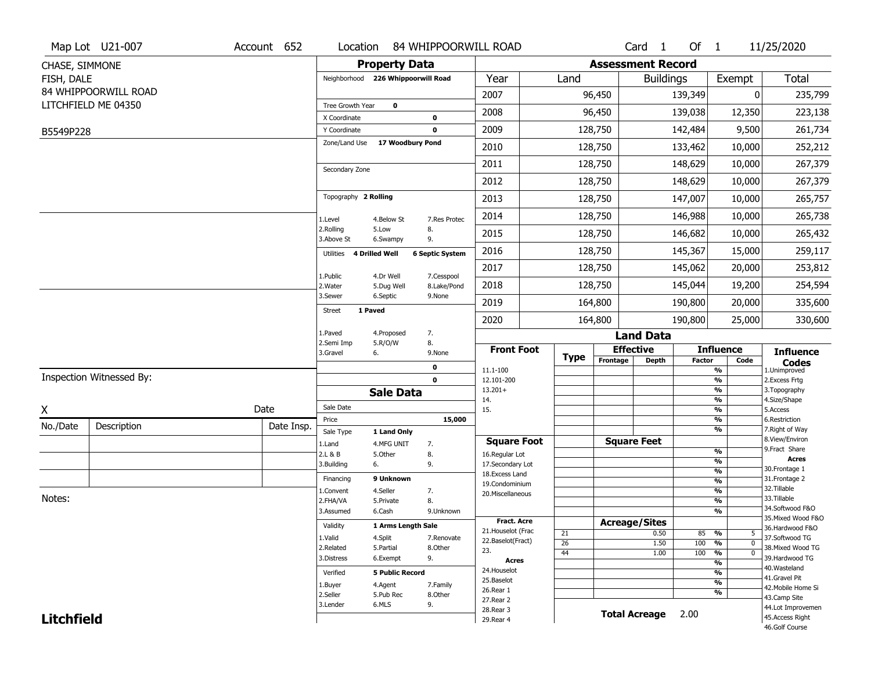|                   | Map Lot U21-007          | Account 652 | Location                           |                           | 84 WHIPPOORWILL ROAD   |                                   |             |                          | Card <sub>1</sub>            | Of $1$        |                               | 11/25/2020                        |
|-------------------|--------------------------|-------------|------------------------------------|---------------------------|------------------------|-----------------------------------|-------------|--------------------------|------------------------------|---------------|-------------------------------|-----------------------------------|
| CHASE, SIMMONE    |                          |             |                                    | <b>Property Data</b>      |                        |                                   |             | <b>Assessment Record</b> |                              |               |                               |                                   |
| FISH, DALE        |                          |             | Neighborhood 226 Whippoorwill Road |                           |                        | Year                              | Land        |                          | <b>Buildings</b>             |               | Exempt                        | <b>Total</b>                      |
|                   | 84 WHIPPOORWILL ROAD     |             |                                    |                           |                        | 2007                              |             | 96,450                   |                              | 139,349       | 0                             | 235,799                           |
|                   | LITCHFIELD ME 04350      |             | Tree Growth Year                   | $\mathbf 0$               |                        | 2008                              |             | 96,450                   |                              | 139,038       | 12,350                        | 223,138                           |
|                   |                          |             | X Coordinate                       |                           | $\bf{0}$               |                                   |             |                          |                              |               |                               |                                   |
| B5549P228         |                          |             | Y Coordinate<br>Zone/Land Use      | 17 Woodbury Pond          | $\mathbf 0$            | 2009                              |             | 128,750                  |                              | 142,484       | 9,500                         | 261,734                           |
|                   |                          |             |                                    |                           |                        | 2010                              |             | 128,750                  |                              | 133,462       | 10,000                        | 252,212                           |
|                   |                          |             | Secondary Zone                     |                           |                        | 2011                              |             | 128,750                  |                              | 148,629       | 10,000                        | 267,379                           |
|                   |                          |             |                                    |                           |                        | 2012                              |             | 128,750                  |                              | 148,629       | 10,000                        | 267,379                           |
|                   |                          |             | Topography 2 Rolling               |                           |                        | 2013                              |             | 128,750                  |                              | 147,007       | 10,000                        | 265,757                           |
|                   |                          |             | 1.Level                            | 4.Below St                | 7.Res Protec           | 2014                              |             | 128,750                  |                              | 146,988       | 10,000                        | 265,738                           |
|                   |                          |             | 2.Rolling<br>3.Above St            | 5.Low<br>6.Swampy         | 8.<br>9.               | 2015                              |             | 128,750                  |                              | 146,682       | 10,000                        | 265,432                           |
|                   |                          |             | Utilities 4 Drilled Well           |                           | <b>6 Septic System</b> | 2016                              |             | 128,750                  |                              | 145,367       | 15,000                        | 259,117                           |
|                   |                          |             | 1.Public                           | 4.Dr Well                 | 7.Cesspool             | 2017                              |             | 128,750                  |                              | 145,062       | 20,000                        | 253,812                           |
|                   |                          |             | 2. Water                           | 5.Dug Well                | 8.Lake/Pond            | 2018                              |             | 128,750                  |                              | 145,044       | 19,200                        | 254,594                           |
|                   |                          |             | 3.Sewer<br>1 Paved                 | 6.Septic                  | 9.None                 | 2019                              |             | 164,800                  |                              | 190,800       | 20,000                        | 335,600                           |
|                   |                          |             | <b>Street</b>                      |                           |                        | 2020                              |             | 164,800                  |                              | 190,800       | 25,000                        | 330,600                           |
|                   |                          |             | 1.Paved<br>2.Semi Imp              | 4.Proposed<br>5.R/O/W     | 7.<br>8.               |                                   |             |                          | <b>Land Data</b>             |               |                               |                                   |
|                   |                          |             | 3.Gravel                           | 6.                        | 9.None                 | <b>Front Foot</b>                 | <b>Type</b> |                          | <b>Effective</b>             |               | <b>Influence</b>              | <b>Influence</b>                  |
|                   |                          |             |                                    |                           | 0                      | 11.1-100                          |             | Frontage                 | <b>Depth</b>                 | <b>Factor</b> | Code<br>%                     | <b>Codes</b><br>1.Unimproved      |
|                   | Inspection Witnessed By: |             |                                    |                           | $\mathbf 0$            | 12.101-200                        |             |                          |                              |               | %                             | 2.Excess Frtg                     |
|                   |                          |             |                                    | <b>Sale Data</b>          |                        | $13.201+$<br>14.                  |             |                          |                              |               | %<br>%                        | 3. Topography<br>4.Size/Shape     |
| χ                 |                          | Date        | Sale Date                          |                           |                        | 15.                               |             |                          |                              |               | %                             | 5.Access                          |
| No./Date          | Description              | Date Insp.  | Price                              |                           | 15,000                 |                                   |             |                          |                              |               | %<br>%                        | 6.Restriction<br>7. Right of Way  |
|                   |                          |             | Sale Type<br>1.Land                | 1 Land Only<br>4.MFG UNIT | 7.                     | <b>Square Foot</b>                |             |                          | <b>Square Feet</b>           |               |                               | 8.View/Environ                    |
|                   |                          |             | 2.L & B                            | 5.Other                   | 8.                     | 16.Regular Lot                    |             |                          |                              |               | %                             | 9.Fract Share<br><b>Acres</b>     |
|                   |                          |             | 3.Building                         | 6.                        | 9.                     | 17.Secondary Lot                  |             |                          |                              |               | %<br>$\frac{9}{6}$            | 30.Frontage 1                     |
|                   |                          |             | Financing                          | 9 Unknown                 |                        | 18. Excess Land<br>19.Condominium |             |                          |                              |               | $\frac{9}{6}$                 | 31. Frontage 2                    |
|                   |                          |             | 1.Convent                          | 4.Seller                  | 7.                     | 20.Miscellaneous                  |             |                          |                              |               | $\frac{9}{6}$                 | 32. Tillable                      |
| Notes:            |                          |             | 2.FHA/VA                           | 5.Private                 | 8.                     |                                   |             |                          |                              |               | $\frac{9}{6}$                 | 33.Tillable<br>34.Softwood F&O    |
|                   |                          |             | 3.Assumed                          | 6.Cash                    | 9.Unknown              | Fract. Acre                       |             |                          |                              |               | %                             | 35. Mixed Wood F&O                |
|                   |                          |             | Validity                           | 1 Arms Length Sale        |                        | 21. Houselot (Frac                |             |                          | <b>Acreage/Sites</b><br>0.50 |               | %<br>5                        | 36.Hardwood F&O                   |
|                   |                          |             | 1.Valid                            | 4.Split                   | 7.Renovate             | 22.Baselot(Fract)                 | 21<br>26    |                          | 1.50                         | 85<br>100     | %<br>$\mathbf{0}$             | 37.Softwood TG                    |
|                   |                          |             | 2.Related                          | 5.Partial                 | 8.Other                | 23.                               | 44          |                          | 1.00                         | 100           | $\frac{9}{6}$<br>$\mathbf{0}$ | 38. Mixed Wood TG                 |
|                   |                          |             | 3.Distress                         | 6.Exempt                  | 9.                     | <b>Acres</b>                      |             |                          |                              |               | $\frac{9}{6}$                 | 39.Hardwood TG                    |
|                   |                          |             | Verified                           | <b>5 Public Record</b>    |                        | 24. Houselot                      |             |                          |                              |               | %                             | 40. Wasteland<br>41.Gravel Pit    |
|                   |                          |             | 1.Buyer                            | 4.Agent                   | 7.Family               | 25.Baselot<br>26.Rear 1           |             |                          |                              |               | $\frac{9}{6}$                 | 42. Mobile Home Si                |
|                   |                          |             | 2.Seller                           | 5.Pub Rec                 | 8.Other                | 27. Rear 2                        |             |                          |                              |               | %                             | 43.Camp Site                      |
|                   |                          |             | 3.Lender                           | 6.MLS                     | 9.                     | 28. Rear 3                        |             |                          | <b>Total Acreage</b>         | 2.00          |                               | 44.Lot Improvemen                 |
| <b>Litchfield</b> |                          |             |                                    |                           |                        | 29. Rear 4                        |             |                          |                              |               |                               | 45.Access Right<br>46.Golf Course |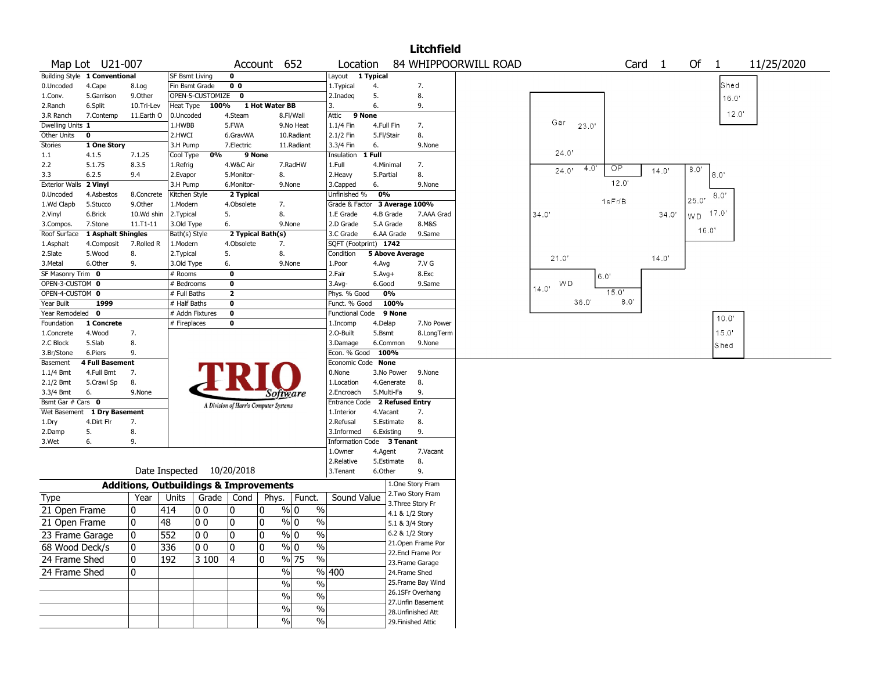|                       |                               |                |                       |                                                   |                         |                                       |                                  |                               |              |                        | <b>Litchfield</b>  |                      |             |       |        |        |       |                |            |  |
|-----------------------|-------------------------------|----------------|-----------------------|---------------------------------------------------|-------------------------|---------------------------------------|----------------------------------|-------------------------------|--------------|------------------------|--------------------|----------------------|-------------|-------|--------|--------|-------|----------------|------------|--|
|                       | Map Lot U21-007               |                |                       |                                                   |                         | Account 652                           |                                  | Location                      |              |                        |                    | 84 WHIPPOORWILL ROAD |             |       |        | Card 1 | Of    | $\mathbf{1}$   | 11/25/2020 |  |
|                       | Building Style 1 Conventional |                | <b>SF Bsmt Living</b> |                                                   | 0                       |                                       |                                  | Layout 1 Typical              |              |                        |                    |                      |             |       |        |        |       |                |            |  |
| 0.Uncoded             | 4.Cape                        | 8.Log          | Fin Bsmt Grade        |                                                   | 0 <sub>0</sub>          |                                       |                                  | 1.Typical                     | 4.           |                        | 7.                 |                      |             |       |        |        |       | Shed           |            |  |
| 1.Conv.               | 5.Garrison                    | 9.Other        |                       | OPEN-5-CUSTOMIZE                                  | $\mathbf{o}$            |                                       |                                  | 2.Inadeq                      | 5.           |                        | 8.                 |                      |             |       |        |        |       | 16.0'          |            |  |
| 2.Ranch               | 6.Split                       | 10.Tri-Lev     | Heat Type             | 100%                                              |                         | 1 Hot Water BB                        |                                  | 3.                            | 6.           |                        | 9.                 |                      |             |       |        |        |       |                |            |  |
| 3.R Ranch             | 7.Contemp                     | 11.Earth O     | 0.Uncoded             |                                                   | 4.Steam                 |                                       | 8.Fl/Wall                        | 9 None<br>Attic               |              |                        |                    |                      |             |       |        |        |       | 12.0'          |            |  |
| Dwelling Units 1      |                               |                | 1.HWBB                |                                                   | 5.FWA                   |                                       | 9.No Heat                        | 1.1/4 Fin                     | 4.Full Fin   |                        | 7.                 |                      | Gar         | 23.0' |        |        |       |                |            |  |
| Other Units           | $\mathbf 0$                   |                | 2.HWCI                |                                                   | 6.GravWA                |                                       | 10.Radiant                       | 2.1/2 Fin                     | 5.Fl/Stair   |                        | 8.                 |                      |             |       |        |        |       |                |            |  |
| Stories               | 1 One Story                   |                | 3.H Pump              |                                                   | 7.Electric              |                                       | 11.Radiant                       | 3.3/4 Fin                     | 6.           |                        | 9.None             |                      |             |       |        |        |       |                |            |  |
| $1.1\,$               | 4.1.5                         | 7.1.25         | Cool Type             | 0%                                                |                         | 9 None                                |                                  | Insulation                    | 1 Full       |                        |                    |                      | 24.0'       |       |        |        |       |                |            |  |
| 2.2                   | 5.1.75                        | 8.3.5          | 1.Refrig              |                                                   | 4.W&C Air               |                                       | 7.RadHW                          | 1.Full                        | 4.Minimal    |                        | 7.                 |                      | 24.0'       | 4.0"  | OP     | 14.0'  | 8.0'  |                |            |  |
| 3.3                   | 6.2.5                         | 9.4            | 2.Evapor              |                                                   | 5.Monitor-              | 8.                                    |                                  | 2.Heavy                       | 5.Partial    |                        | 8.                 |                      |             |       |        |        |       | 8.0            |            |  |
| <b>Exterior Walls</b> | 2 Vinyl                       |                | 3.H Pump              |                                                   | 6.Monitor-              |                                       | 9.None                           | 3.Capped                      | 6.           |                        | 9.None             |                      |             |       | 12.0'  |        |       |                |            |  |
| 0.Uncoded             | 4.Asbestos                    | 8.Concrete     | Kitchen Style         |                                                   | 2 Typical               |                                       |                                  | Unfinished %                  | 0%           |                        |                    |                      |             |       |        |        | 25.0' | 8.0'           |            |  |
| 1.Wd Clapb            | 5.Stucco                      | 9.0ther        | 1.Modern              |                                                   | 4.Obsolete              | 7.                                    |                                  | Grade & Factor 3 Average 100% |              |                        |                    |                      |             |       | 1sFr/B |        |       |                |            |  |
| 2.Vinyl               | 6.Brick                       | 10.Wd shin     | 2.Typical             |                                                   | 5.                      | 8.                                    |                                  | 1.E Grade                     |              | 4.B Grade              | 7.AAA Grad         |                      | 34.0'       |       |        | 34.0   | WD    | $17.0^{\circ}$ |            |  |
| 3.Compos.             | 7.Stone                       | $11. T1 - 11$  | 3.Old Type            |                                                   | 6.                      |                                       | 9.None                           | 2.D Grade                     |              | 5.A Grade              | 8.M&S              |                      |             |       |        |        |       |                |            |  |
| Roof Surface          | 1 Asphalt Shingles            |                | Bath(s) Style         |                                                   |                         | 2 Typical Bath(s)                     |                                  | 3.C Grade                     |              | 6.AA Grade             | 9.Same             |                      |             |       |        |        | 16.0' |                |            |  |
| 1.Asphalt             | 4.Composit                    | 7.Rolled R     | 1.Modern              |                                                   | 4.Obsolete              | 7.                                    |                                  | SQFT (Footprint) 1742         |              |                        |                    |                      |             |       |        |        |       |                |            |  |
| 2.Slate               | 5.Wood                        | 8.             | 2. Typical            |                                                   | 5.                      | 8.                                    |                                  | Condition                     |              | <b>5 Above Average</b> |                    |                      | 21.0'       |       |        | 14.0'  |       |                |            |  |
| 3.Metal               | 6.Other                       | 9.             | 3.Old Type            |                                                   | 6.                      |                                       | 9.None                           | 1.Poor                        | 4.Avg        |                        | 7.V G              |                      |             |       |        |        |       |                |            |  |
| SF Masonry Trim 0     |                               |                | # Rooms               |                                                   | $\mathbf 0$             |                                       |                                  | 2.Fair                        | $5.$ Avg $+$ |                        | 8.Exc              |                      |             | 6.0'  |        |        |       |                |            |  |
| OPEN-3-CUSTOM 0       |                               |                | # Bedrooms            |                                                   | 0                       |                                       |                                  | 3.Avg-                        | 6.Good       |                        | 9.Same             |                      | WD<br>14.0' |       |        |        |       |                |            |  |
| OPEN-4-CUSTOM 0       |                               |                | # Full Baths          |                                                   | $\overline{\mathbf{2}}$ |                                       |                                  | Phys. % Good                  |              | 0%                     |                    |                      |             |       | 15.0'  |        |       |                |            |  |
| Year Built            | 1999                          |                | # Half Baths          |                                                   | $\mathbf 0$             |                                       |                                  | Funct. % Good                 |              | 100%                   |                    |                      |             | 36.0' | 8.0'   |        |       |                |            |  |
| Year Remodeled        | $\mathbf{o}$                  |                |                       | # Addn Fixtures                                   | $\mathbf 0$             |                                       |                                  | Functional Code               |              | 9 None                 |                    |                      |             |       |        |        |       | 10.0'          |            |  |
| Foundation            | 1 Concrete                    |                | # Fireplaces          |                                                   | 0                       |                                       |                                  | 1.Incomp                      | 4.Delap      |                        | 7.No Power         |                      |             |       |        |        |       |                |            |  |
| 1.Concrete            | 4.Wood                        | 7.             |                       |                                                   |                         |                                       |                                  | 2.O-Built                     | 5.Bsmt       |                        | 8.LongTerm         |                      |             |       |        |        |       | 15.0'          |            |  |
| 2.C Block             | 5.Slab                        | 8.             |                       |                                                   |                         |                                       |                                  | 3.Damage                      |              | 6.Common               | 9.None             |                      |             |       |        |        |       | Shed           |            |  |
| 3.Br/Stone            | 6.Piers                       | 9.             |                       |                                                   |                         |                                       |                                  | Econ. % Good                  | 100%         |                        |                    |                      |             |       |        |        |       |                |            |  |
| Basement              | <b>4 Full Basement</b>        |                |                       |                                                   |                         |                                       |                                  | Economic Code None            |              |                        |                    |                      |             |       |        |        |       |                |            |  |
| $1.1/4$ Bmt           | 4.Full Bmt                    | 7.             |                       |                                                   |                         |                                       |                                  | 0.None                        |              | 3.No Power             | 9.None             |                      |             |       |        |        |       |                |            |  |
| 2.1/2 Bmt             | 5.Crawl Sp                    | 8.             |                       |                                                   |                         |                                       |                                  | 1.Location                    |              | 4.Generate             | 8.                 |                      |             |       |        |        |       |                |            |  |
| 3.3/4 Bmt             | 6.                            | 9.None         |                       |                                                   |                         | Software                              |                                  | 2.Encroach                    | 5.Multi-Fa   |                        | 9.                 |                      |             |       |        |        |       |                |            |  |
| Bsmt Gar # Cars 0     |                               |                |                       |                                                   |                         | A Division of Harris Computer Systems |                                  | Entrance Code                 |              | 2 Refused Entry        |                    |                      |             |       |        |        |       |                |            |  |
|                       | Wet Basement 1 Dry Basement   |                |                       |                                                   |                         |                                       |                                  | 1.Interior                    | 4.Vacant     |                        | 7.                 |                      |             |       |        |        |       |                |            |  |
| 1.Dry                 | 4.Dirt Flr                    | 7.             |                       |                                                   |                         |                                       |                                  | 2.Refusal                     |              | 5.Estimate             | 8.                 |                      |             |       |        |        |       |                |            |  |
| 2.Damp                | 5.                            | 8.             |                       |                                                   |                         |                                       |                                  | 3.Informed                    | 6.Existing   |                        | 9.                 |                      |             |       |        |        |       |                |            |  |
| 3.Wet                 | 6.                            | 9.             |                       |                                                   |                         |                                       |                                  | Information Code 3 Tenant     |              |                        |                    |                      |             |       |        |        |       |                |            |  |
|                       |                               |                |                       |                                                   |                         |                                       |                                  | 1.Owner                       | 4.Agent      |                        | 7.Vacant           |                      |             |       |        |        |       |                |            |  |
|                       |                               |                |                       |                                                   |                         |                                       |                                  | 2.Relative                    |              | 5.Estimate             | 8.                 |                      |             |       |        |        |       |                |            |  |
|                       |                               |                |                       | Date Inspected 10/20/2018                         |                         |                                       |                                  | 3.Tenant                      | 6.Other      |                        | 9.                 |                      |             |       |        |        |       |                |            |  |
|                       |                               |                |                       | <b>Additions, Outbuildings &amp; Improvements</b> |                         |                                       |                                  |                               |              |                        | 1.One Story Fram   |                      |             |       |        |        |       |                |            |  |
| <b>Type</b>           |                               | Year           | Units                 | Grade   Cond                                      |                         | Phys.                                 | Funct.                           | Sound Value                   |              |                        | 2. Two Story Fram  |                      |             |       |        |        |       |                |            |  |
|                       |                               |                |                       |                                                   |                         |                                       |                                  |                               |              |                        | 3. Three Story Fr  |                      |             |       |        |        |       |                |            |  |
| 21 Open Frame         |                               | 0              | 414                   | 10 O                                              | 10                      | 0                                     | % 0<br>$\%$                      |                               |              | 4.1 & 1/2 Story        |                    |                      |             |       |        |        |       |                |            |  |
| 21 Open Frame         |                               | 0              | 48                    | 00                                                | 10                      | 0                                     | $\frac{9}{0}$ 0<br>$\frac{0}{0}$ |                               |              | 5.1 & 3/4 Story        |                    |                      |             |       |        |        |       |                |            |  |
| 23 Frame Garage       |                               | $\overline{0}$ | 552                   | $ 00\rangle$                                      | 0                       | 0                                     | $\frac{9}{6}$ 0<br>$\frac{9}{6}$ |                               |              |                        | 6.2 & 1/2 Story    |                      |             |       |        |        |       |                |            |  |
|                       |                               |                |                       |                                                   |                         | 0                                     |                                  |                               |              |                        | 21. Open Frame Por |                      |             |       |        |        |       |                |            |  |
| 68 Wood Deck/s        |                               | 10             | 336                   | 00                                                | 10                      |                                       | $\%$ 0<br>%                      |                               |              |                        | 22.Encl Frame Por  |                      |             |       |        |        |       |                |            |  |
| 24 Frame Shed         |                               | 0              | 192                   | 3 100                                             | 4                       | 0                                     | % 75<br>%                        |                               |              |                        | 23. Frame Garage   |                      |             |       |        |        |       |                |            |  |
| 24 Frame Shed         |                               | 0              |                       |                                                   |                         | %                                     |                                  | %  400                        |              |                        | 24.Frame Shed      |                      |             |       |        |        |       |                |            |  |
|                       |                               |                |                       |                                                   |                         | %                                     | $\%$                             |                               |              |                        | 25. Frame Bay Wind |                      |             |       |        |        |       |                |            |  |
|                       |                               |                |                       |                                                   |                         |                                       |                                  |                               |              |                        | 26.1SFr Overhang   |                      |             |       |        |        |       |                |            |  |
|                       |                               |                |                       |                                                   |                         | $\frac{0}{0}$                         | $\%$                             |                               |              |                        | 27. Unfin Basement |                      |             |       |        |        |       |                |            |  |
|                       |                               |                |                       |                                                   |                         | $\frac{0}{0}$                         | $\frac{1}{2}$                    |                               |              |                        | 28. Unfinished Att |                      |             |       |        |        |       |                |            |  |
|                       |                               |                |                       |                                                   |                         | $\%$                                  | $\frac{0}{0}$                    |                               |              |                        | 29. Finished Attic |                      |             |       |        |        |       |                |            |  |
|                       |                               |                |                       |                                                   |                         |                                       |                                  |                               |              |                        |                    |                      |             |       |        |        |       |                |            |  |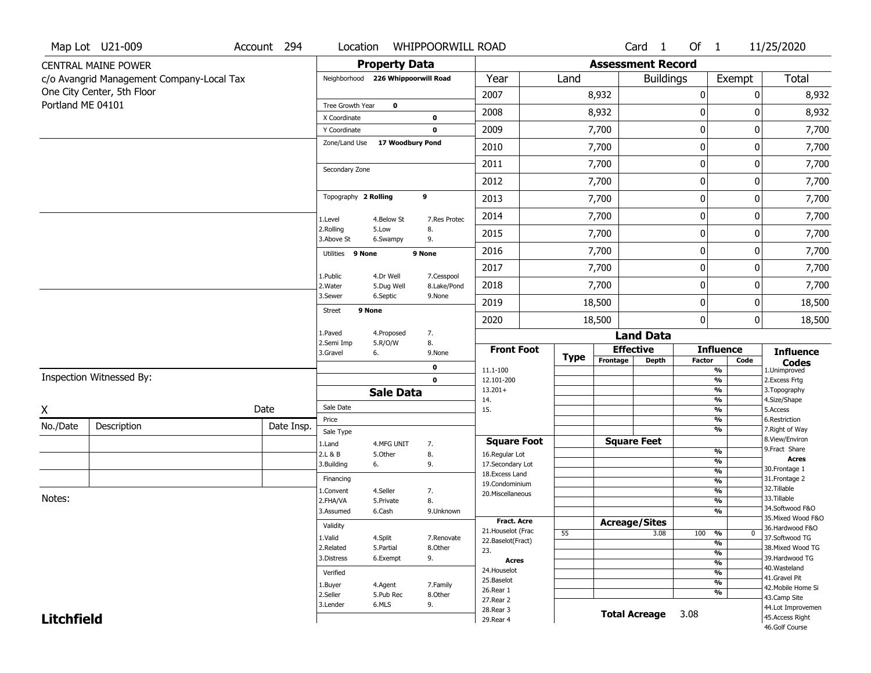|                   | Map Lot U21-009                           | Account 294 | Location                           |                         | <b>WHIPPOORWILL ROAD</b>  |                                    |             |                          | Card <sub>1</sub>    | Of 1        |                                                      | 11/25/2020                          |
|-------------------|-------------------------------------------|-------------|------------------------------------|-------------------------|---------------------------|------------------------------------|-------------|--------------------------|----------------------|-------------|------------------------------------------------------|-------------------------------------|
|                   | <b>CENTRAL MAINE POWER</b>                |             |                                    | <b>Property Data</b>    |                           |                                    |             | <b>Assessment Record</b> |                      |             |                                                      |                                     |
|                   | c/o Avangrid Management Company-Local Tax |             | Neighborhood 226 Whippoorwill Road |                         |                           | Year                               | Land        |                          | <b>Buildings</b>     |             | Exempt                                               | Total                               |
|                   | One City Center, 5th Floor                |             |                                    |                         |                           | 2007                               |             | 8,932                    |                      | 0           | 0                                                    | 8,932                               |
| Portland ME 04101 |                                           |             | Tree Growth Year                   | $\mathbf 0$             |                           | 2008                               |             | 8,932                    |                      | 0           | 0                                                    | 8,932                               |
|                   |                                           |             | X Coordinate<br>Y Coordinate       |                         | $\bf{0}$<br>$\mathbf 0$   | 2009                               |             | 7,700                    |                      | 0           | 0                                                    | 7,700                               |
|                   |                                           |             | Zone/Land Use                      | 17 Woodbury Pond        |                           | 2010                               |             | 7,700                    |                      | 0           | 0                                                    | 7,700                               |
|                   |                                           |             |                                    |                         |                           | 2011                               |             | 7,700                    |                      | $\mathbf 0$ | 0                                                    | 7,700                               |
|                   |                                           |             | Secondary Zone                     |                         |                           | 2012                               |             | 7,700                    |                      | $\pmb{0}$   | 0                                                    | 7,700                               |
|                   |                                           |             | Topography 2 Rolling               |                         | 9                         | 2013                               |             | 7,700                    |                      | 0           | 0                                                    | 7,700                               |
|                   |                                           |             | 1.Level                            | 4.Below St              | 7.Res Protec              | 2014                               |             | 7,700                    |                      | 0           | 0                                                    | 7,700                               |
|                   |                                           |             | 2.Rolling<br>3.Above St            | 5.Low<br>6.Swampy       | 8.<br>9.                  | 2015                               |             | 7,700                    |                      | 0           | 0                                                    | 7,700                               |
|                   |                                           |             | Utilities 9 None                   |                         | 9 None                    | 2016                               |             | 7,700                    |                      | 0           | 0                                                    | 7,700                               |
|                   |                                           |             |                                    |                         |                           | 2017                               |             | 7,700                    |                      | 0           | 0                                                    | 7,700                               |
|                   |                                           |             | 1.Public<br>2.Water                | 4.Dr Well<br>5.Dug Well | 7.Cesspool<br>8.Lake/Pond | 2018                               |             | 7,700                    |                      | 0           | 0                                                    | 7,700                               |
|                   |                                           |             | 3.Sewer                            | 6.Septic                | 9.None                    | 2019                               |             | 18,500                   |                      | 0           | 0                                                    | 18,500                              |
|                   |                                           |             | Street                             | 9 None                  |                           | 2020                               |             | 18,500                   |                      | 0           | 0                                                    | 18,500                              |
|                   |                                           |             | 1.Paved<br>2.Semi Imp              | 4.Proposed<br>5.R/O/W   | 7.                        |                                    |             |                          | <b>Land Data</b>     |             |                                                      |                                     |
|                   |                                           |             | 3.Gravel                           | 6.                      | 8.<br>9.None              | <b>Front Foot</b>                  | <b>Type</b> | <b>Effective</b>         |                      |             | <b>Influence</b>                                     | <b>Influence</b>                    |
|                   |                                           |             |                                    |                         | 0                         | 11.1-100                           |             | Frontage                 | Depth                | Factor      | Code<br>%                                            | <b>Codes</b><br>1.Unimproved        |
|                   | Inspection Witnessed By:                  |             |                                    |                         | $\mathbf 0$               | 12.101-200<br>$13.201+$            |             |                          |                      |             | $\frac{9}{6}$<br>$\overline{\frac{9}{6}}$            | 2.Excess Frtg<br>3. Topography      |
|                   |                                           |             |                                    | <b>Sale Data</b>        |                           | 14.                                |             |                          |                      |             | $\frac{9}{6}$                                        | 4.Size/Shape                        |
| X                 |                                           | Date        | Sale Date                          |                         |                           | 15.                                |             |                          |                      |             | $\overline{\frac{9}{6}}$                             | 5.Access<br>6.Restriction           |
| No./Date          | Description                               | Date Insp.  | Price<br>Sale Type                 |                         |                           |                                    |             |                          |                      |             | %<br>$\frac{9}{6}$                                   | 7. Right of Way                     |
|                   |                                           |             | 1.Land                             | 4.MFG UNIT              | 7.                        | <b>Square Foot</b>                 |             | <b>Square Feet</b>       |                      |             |                                                      | 8.View/Environ                      |
|                   |                                           |             | 2.L & B                            | 5.Other                 | 8.                        | 16.Regular Lot                     |             |                          |                      |             | %                                                    | 9. Fract Share<br><b>Acres</b>      |
|                   |                                           |             | 3.Building                         | 6.                      | 9.                        | 17.Secondary Lot<br>18.Excess Land |             |                          |                      |             | %<br>%                                               | 30. Frontage 1                      |
|                   |                                           |             | Financing                          |                         |                           | 19.Condominium                     |             |                          |                      |             | %                                                    | 31. Frontage 2                      |
| Notes:            |                                           |             | 1.Convent                          | 4.Seller                | 7.                        | 20.Miscellaneous                   |             |                          |                      |             | %                                                    | 32.Tillable<br>33.Tillable          |
|                   |                                           |             | 2.FHA/VA<br>3.Assumed              | 5.Private<br>6.Cash     | 8.<br>9.Unknown           |                                    |             |                          |                      |             | %<br>%                                               | 34.Softwood F&O                     |
|                   |                                           |             |                                    |                         |                           | <b>Fract. Acre</b>                 |             | <b>Acreage/Sites</b>     |                      |             |                                                      | 35. Mixed Wood F&O                  |
|                   |                                           |             | Validity                           |                         |                           | 21. Houselot (Frac                 | 55          |                          | 3.08                 | 100         | %<br>0                                               | 36.Hardwood F&O                     |
|                   |                                           |             | 1.Valid                            | 4.Split                 | 7.Renovate                | 22.Baselot(Fract)                  |             |                          |                      |             | $\frac{9}{6}$                                        | 37.Softwood TG                      |
|                   |                                           |             | 2.Related<br>3.Distress            | 5.Partial<br>6.Exempt   | 8.Other<br>9.             | 23.                                |             |                          |                      |             | %                                                    | 38. Mixed Wood TG<br>39.Hardwood TG |
|                   |                                           |             |                                    |                         |                           | <b>Acres</b><br>24. Houselot       |             |                          |                      |             | $\frac{9}{6}$                                        | 40. Wasteland                       |
|                   |                                           |             | Verified                           |                         |                           | 25.Baselot                         |             |                          |                      |             | $\overline{\frac{9}{6}}$<br>$\overline{\frac{9}{6}}$ | 41.Gravel Pit                       |
|                   |                                           |             | 1.Buyer<br>2.Seller                | 4.Agent<br>5.Pub Rec    | 7.Family<br>8.Other       | 26.Rear 1                          |             |                          |                      |             | %                                                    | 42. Mobile Home Si                  |
|                   |                                           |             | 3.Lender                           | 6.MLS                   | 9.                        | 27.Rear 2                          |             |                          |                      |             |                                                      | 43.Camp Site<br>44.Lot Improvemen   |
| <b>Litchfield</b> |                                           |             |                                    |                         |                           | 28. Rear 3<br>29. Rear 4           |             |                          | <b>Total Acreage</b> | 3.08        |                                                      | 45.Access Right                     |
|                   |                                           |             |                                    |                         |                           |                                    |             |                          |                      |             |                                                      |                                     |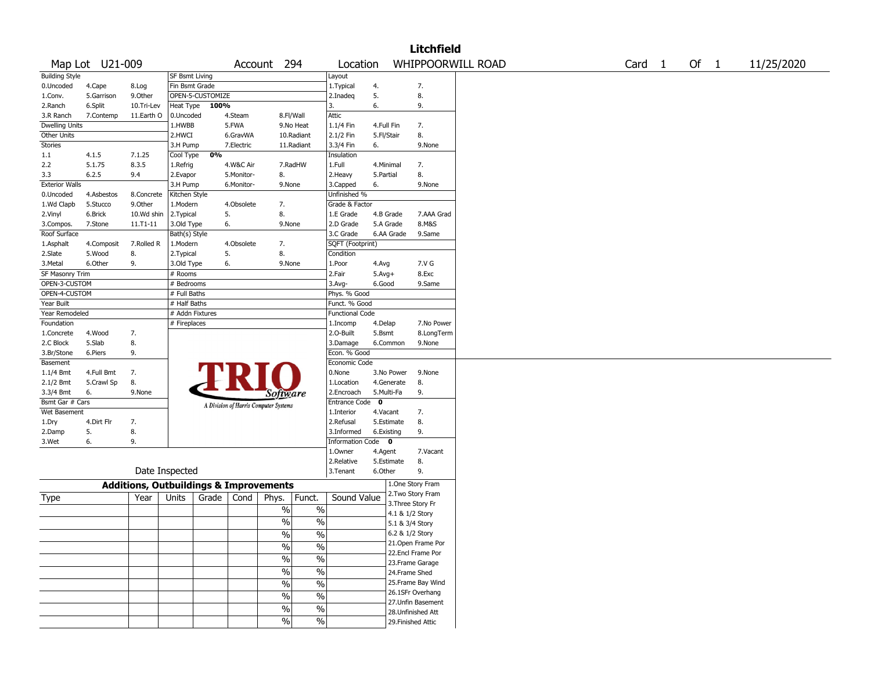|                       |                 |                                                   |                       |                  |            |                                       |                          |                        |             |                    | <b>Litchfield</b>  |                   |  |                   |        |            |
|-----------------------|-----------------|---------------------------------------------------|-----------------------|------------------|------------|---------------------------------------|--------------------------|------------------------|-------------|--------------------|--------------------|-------------------|--|-------------------|--------|------------|
|                       | Map Lot U21-009 |                                                   |                       |                  |            | Account 294                           |                          | Location               |             |                    |                    | WHIPPOORWILL ROAD |  | Card <sub>1</sub> | Of $1$ | 11/25/2020 |
| <b>Building Style</b> |                 |                                                   | <b>SF Bsmt Living</b> |                  |            |                                       |                          | Layout                 |             |                    |                    |                   |  |                   |        |            |
| 0.Uncoded             | 4.Cape          | 8.Log                                             | Fin Bsmt Grade        |                  |            |                                       |                          | 1. Typical             | 4.          |                    | 7.                 |                   |  |                   |        |            |
| 1.Conv.               | 5.Garrison      | 9.Other                                           |                       | OPEN-5-CUSTOMIZE |            |                                       |                          | 2.Inadeq               | 5.          |                    | 8.                 |                   |  |                   |        |            |
| 2.Ranch               | 6.Split         | 10.Tri-Lev                                        | Heat Type             | 100%             |            |                                       |                          | 3.                     | 6.          |                    | 9.                 |                   |  |                   |        |            |
| 3.R Ranch             | 7.Contemp       | 11.Earth O                                        | 0.Uncoded             |                  | 4.Steam    | 8.Fl/Wall                             |                          | Attic                  |             |                    |                    |                   |  |                   |        |            |
| Dwelling Units        |                 |                                                   | 1.HWBB                |                  | 5.FWA      |                                       | 9.No Heat                | 1.1/4 Fin              | 4.Full Fin  |                    | 7.                 |                   |  |                   |        |            |
| Other Units           |                 |                                                   | 2.HWCI                |                  | 6.GravWA   |                                       | 10.Radiant               | 2.1/2 Fin              | 5.Fl/Stair  |                    | 8.                 |                   |  |                   |        |            |
| Stories               |                 |                                                   | 3.H Pump              |                  | 7.Electric |                                       | 11.Radiant               | 3.3/4 Fin              | 6.          |                    | 9.None             |                   |  |                   |        |            |
| 1.1                   | 4.1.5           | 7.1.25                                            | Cool Type             | 0%               |            |                                       |                          | Insulation             |             |                    |                    |                   |  |                   |        |            |
| 2.2                   | 5.1.75          | 8.3.5                                             | 1.Refrig              |                  | 4.W&C Air  |                                       | 7.RadHW                  | 1.Full                 | 4.Minimal   |                    | 7.                 |                   |  |                   |        |            |
| 3.3                   | 6.2.5           | 9.4                                               | 2.Evapor              |                  | 5.Monitor- | 8.                                    |                          | 2.Heavy                | 5.Partial   |                    | 8.                 |                   |  |                   |        |            |
| <b>Exterior Walls</b> |                 |                                                   | 3.H Pump              |                  | 6.Monitor- | 9.None                                |                          | 3.Capped               | 6.          |                    | 9.None             |                   |  |                   |        |            |
| 0.Uncoded             | 4.Asbestos      | 8.Concrete                                        | Kitchen Style         |                  |            |                                       |                          | Unfinished %           |             |                    |                    |                   |  |                   |        |            |
| 1.Wd Clapb            | 5.Stucco        | 9.0ther                                           | 1.Modern              |                  | 4.Obsolete | 7.                                    |                          | Grade & Factor         |             |                    |                    |                   |  |                   |        |            |
| 2.Vinyl               | 6.Brick         | 10.Wd shin                                        | 2.Typical             |                  | 5.         | 8.                                    |                          | 1.E Grade              | 4.B Grade   |                    | 7.AAA Grad         |                   |  |                   |        |            |
| 3.Compos.             | 7.Stone         | 11.T1-11                                          | 3.Old Type            |                  | 6.         | 9.None                                |                          | 2.D Grade              | 5.A Grade   |                    | 8.M&S              |                   |  |                   |        |            |
| Roof Surface          |                 |                                                   | Bath(s) Style         |                  |            |                                       |                          | 3.C Grade              | 6.AA Grade  |                    | 9.Same             |                   |  |                   |        |            |
| 1.Asphalt             | 4.Composit      | 7.Rolled R                                        | 1.Modern              |                  | 4.Obsolete | 7.                                    |                          | SQFT (Footprint)       |             |                    |                    |                   |  |                   |        |            |
| 2.Slate               | 5.Wood          | 8.                                                | 2. Typical            |                  | 5.         | 8.                                    |                          | Condition              |             |                    |                    |                   |  |                   |        |            |
| 3.Metal               | 6.Other         | 9.                                                | 3.Old Type            |                  | 6.         | 9.None                                |                          | 1.Poor                 | 4.Avg       |                    | 7.V G              |                   |  |                   |        |            |
| SF Masonry Trim       |                 |                                                   | # Rooms               |                  |            |                                       |                          | 2.Fair                 | $5.Avg+$    |                    | 8.Exc              |                   |  |                   |        |            |
| OPEN-3-CUSTOM         |                 |                                                   | # Bedrooms            |                  |            |                                       |                          | 3.Avg-                 | 6.Good      |                    | 9.Same             |                   |  |                   |        |            |
| OPEN-4-CUSTOM         |                 |                                                   | # Full Baths          |                  |            |                                       |                          | Phys. % Good           |             |                    |                    |                   |  |                   |        |            |
| Year Built            |                 |                                                   | # Half Baths          |                  |            |                                       |                          | Funct. % Good          |             |                    |                    |                   |  |                   |        |            |
| Year Remodeled        |                 |                                                   | # Addn Fixtures       |                  |            |                                       |                          | <b>Functional Code</b> |             |                    |                    |                   |  |                   |        |            |
| Foundation            |                 |                                                   | # Fireplaces          |                  |            |                                       |                          | 1.Incomp               | 4.Delap     |                    | 7.No Power         |                   |  |                   |        |            |
| 1.Concrete            | 4.Wood          | 7.                                                |                       |                  |            |                                       |                          | 2.0-Built              | 5.Bsmt      |                    | 8.LongTerm         |                   |  |                   |        |            |
| 2.C Block             | 5.Slab          | 8.                                                |                       |                  |            |                                       |                          | 3.Damage               | 6.Common    |                    | 9.None             |                   |  |                   |        |            |
| 3.Br/Stone            | 6.Piers         | 9.                                                |                       |                  |            |                                       |                          | Econ. % Good           |             |                    |                    |                   |  |                   |        |            |
| Basement              |                 |                                                   |                       |                  |            |                                       |                          | Economic Code          |             |                    |                    |                   |  |                   |        |            |
| 1.1/4 Bmt             | 4.Full Bmt      | 7.                                                |                       |                  |            |                                       |                          | 0.None                 | 3.No Power  |                    | 9.None             |                   |  |                   |        |            |
| 2.1/2 Bmt             | 5.Crawl Sp      | 8.                                                |                       |                  | FRI        |                                       |                          | 1.Location             | 4.Generate  |                    | 8.                 |                   |  |                   |        |            |
| 3.3/4 Bmt             | 6.              | 9.None                                            |                       |                  |            |                                       |                          | 2.Encroach             | 5.Multi-Fa  |                    | 9.                 |                   |  |                   |        |            |
| Bsmt Gar # Cars       |                 |                                                   |                       |                  |            | Software                              |                          | <b>Entrance Code</b>   | $\mathbf 0$ |                    |                    |                   |  |                   |        |            |
| Wet Basement          |                 |                                                   |                       |                  |            | A Division of Harris Computer Systems |                          | 1.Interior             | 4.Vacant    |                    | 7.                 |                   |  |                   |        |            |
| 1.Dry                 | 4.Dirt Flr      | 7.                                                |                       |                  |            |                                       |                          | 2.Refusal              | 5.Estimate  |                    | 8.                 |                   |  |                   |        |            |
|                       | 5.              | 8.                                                |                       |                  |            |                                       |                          | 3.Informed             | 6.Existing  |                    | 9.                 |                   |  |                   |        |            |
| 2.Damp                | 6.              | 9.                                                |                       |                  |            |                                       |                          | Information Code 0     |             |                    |                    |                   |  |                   |        |            |
| 3.Wet                 |                 |                                                   |                       |                  |            |                                       |                          | 1.Owner                |             |                    | 7.Vacant           |                   |  |                   |        |            |
|                       |                 |                                                   |                       |                  |            |                                       |                          | 2.Relative             | 4.Agent     |                    | 8.                 |                   |  |                   |        |            |
|                       |                 |                                                   | Date Inspected        |                  |            |                                       |                          |                        | 5.Estimate  |                    | 9.                 |                   |  |                   |        |            |
|                       |                 |                                                   |                       |                  |            |                                       |                          | 3.Tenant               | 6.Other     |                    |                    |                   |  |                   |        |            |
|                       |                 | <b>Additions, Outbuildings &amp; Improvements</b> |                       |                  |            |                                       |                          |                        |             | 1.One Story Fram   |                    |                   |  |                   |        |            |
| Type                  |                 | Year                                              | Units                 | Grade            | Cond       | Phys.                                 | Funct.                   | Sound Value            |             | 2. Two Story Fram  |                    |                   |  |                   |        |            |
|                       |                 |                                                   |                       |                  |            | $\%$                                  | $\%$                     |                        |             | 3. Three Story Fr  |                    |                   |  |                   |        |            |
|                       |                 |                                                   |                       |                  |            |                                       |                          |                        |             | 4.1 & 1/2 Story    |                    |                   |  |                   |        |            |
|                       |                 |                                                   |                       |                  |            | $\%$                                  | $\%$                     |                        |             | 5.1 & 3/4 Story    |                    |                   |  |                   |        |            |
|                       |                 |                                                   |                       |                  |            | $\%$                                  | $\%$                     |                        |             | 6.2 & 1/2 Story    |                    |                   |  |                   |        |            |
|                       |                 |                                                   |                       |                  |            | $\frac{1}{2}$                         | $\frac{0}{0}$            |                        |             |                    | 21. Open Frame Por |                   |  |                   |        |            |
|                       |                 |                                                   |                       |                  |            |                                       |                          |                        |             | 22.Encl Frame Por  |                    |                   |  |                   |        |            |
|                       |                 |                                                   |                       |                  |            | $\frac{9}{6}$                         | $\overline{\frac{0}{0}}$ |                        |             | 23. Frame Garage   |                    |                   |  |                   |        |            |
|                       |                 |                                                   |                       |                  |            | $\frac{9}{6}$                         | $\overline{\frac{0}{0}}$ |                        |             | 24.Frame Shed      |                    |                   |  |                   |        |            |
|                       |                 |                                                   |                       |                  |            | $\sqrt{6}$                            | $\overline{\frac{0}{0}}$ |                        |             |                    | 25. Frame Bay Wind |                   |  |                   |        |            |
|                       |                 |                                                   |                       |                  |            |                                       |                          |                        |             | 26.1SFr Overhang   |                    |                   |  |                   |        |            |
|                       |                 |                                                   |                       |                  |            | $\frac{9}{6}$                         | $\overline{\frac{0}{0}}$ |                        |             |                    | 27. Unfin Basement |                   |  |                   |        |            |
|                       |                 |                                                   |                       |                  |            | $\sqrt{6}$                            | $\overline{\frac{0}{0}}$ |                        |             | 28. Unfinished Att |                    |                   |  |                   |        |            |
|                       |                 |                                                   |                       |                  |            | %                                     | $\overline{\frac{0}{0}}$ |                        |             | 29. Finished Attic |                    |                   |  |                   |        |            |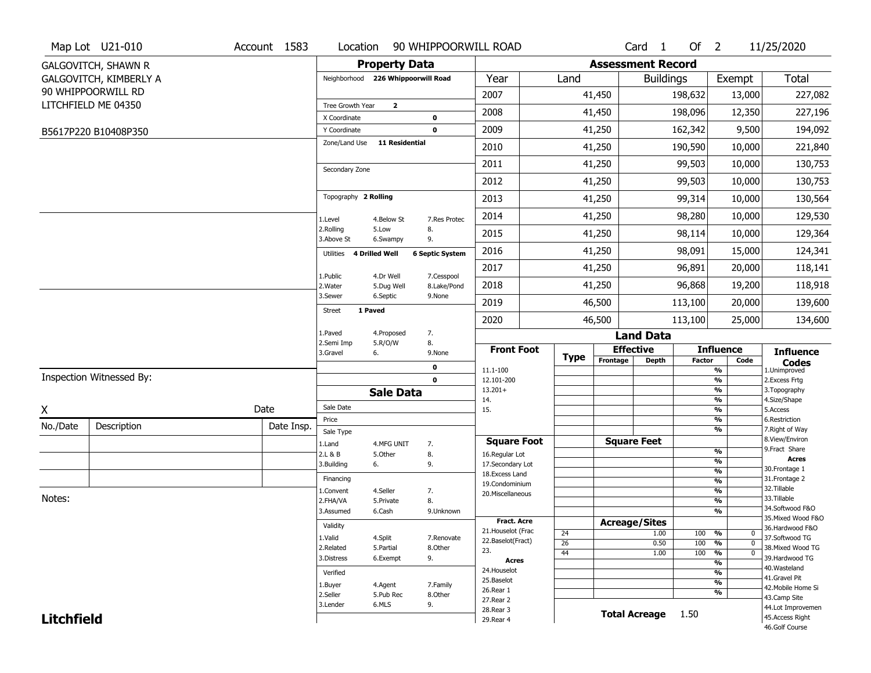|                   | Map Lot U21-010            | Account 1583 | Location                           |                         | 90 WHIPPOORWILL ROAD   |                                     |             |                          | Card <sub>1</sub> | Of $2$        |                              | 11/25/2020                       |
|-------------------|----------------------------|--------------|------------------------------------|-------------------------|------------------------|-------------------------------------|-------------|--------------------------|-------------------|---------------|------------------------------|----------------------------------|
|                   | <b>GALGOVITCH, SHAWN R</b> |              |                                    | <b>Property Data</b>    |                        |                                     |             | <b>Assessment Record</b> |                   |               |                              |                                  |
|                   | GALGOVITCH, KIMBERLY A     |              | Neighborhood 226 Whippoorwill Road |                         |                        | Year                                | Land        |                          | <b>Buildings</b>  |               | Exempt                       | <b>Total</b>                     |
|                   | 90 WHIPPOORWILL RD         |              |                                    |                         |                        | 2007                                |             | 41,450                   |                   | 198,632       | 13,000                       | 227,082                          |
|                   | LITCHFIELD ME 04350        |              | Tree Growth Year                   | $\overline{\mathbf{2}}$ |                        | 2008                                |             | 41,450                   |                   | 198,096       | 12,350                       | 227,196                          |
|                   |                            |              | X Coordinate                       |                         | 0                      |                                     |             |                          |                   |               |                              |                                  |
|                   | B5617P220 B10408P350       |              | Y Coordinate<br>Zone/Land Use      | <b>11 Residential</b>   | $\mathbf 0$            | 2009                                |             | 41,250                   |                   | 162,342       | 9,500                        | 194,092                          |
|                   |                            |              |                                    |                         |                        | 2010                                |             | 41,250                   |                   | 190,590       | 10,000                       | 221,840                          |
|                   |                            |              | Secondary Zone                     |                         |                        | 2011                                |             | 41,250                   |                   | 99,503        | 10,000                       | 130,753                          |
|                   |                            |              |                                    |                         |                        | 2012                                |             | 41,250                   |                   | 99,503        | 10,000                       | 130,753                          |
|                   |                            |              | Topography 2 Rolling               |                         |                        | 2013                                |             | 41,250                   |                   | 99,314        | 10,000                       | 130,564                          |
|                   |                            |              | 1.Level                            | 4.Below St              | 7.Res Protec           | 2014                                |             | 41,250                   |                   | 98,280        | 10,000                       | 129,530                          |
|                   |                            |              | 2.Rolling<br>3.Above St            | 5.Low<br>6.Swampy       | 8.<br>9.               | 2015                                |             | 41,250                   |                   | 98,114        | 10,000                       | 129,364                          |
|                   |                            |              | 4 Drilled Well<br>Utilities        |                         | <b>6 Septic System</b> | 2016                                |             | 41,250                   |                   | 98,091        | 15,000                       | 124,341                          |
|                   |                            |              | 1.Public                           | 4.Dr Well               | 7.Cesspool             | 2017                                |             | 41,250                   |                   | 96,891        | 20,000                       | 118,141                          |
|                   |                            |              | 2. Water                           | 5.Dug Well              | 8.Lake/Pond            | 2018                                |             | 41,250                   |                   | 96,868        | 19,200                       | 118,918                          |
|                   |                            |              | 3.Sewer<br>1 Paved                 | 6.Septic                | 9.None                 | 2019                                |             | 46,500                   |                   | 113,100       | 20,000                       | 139,600                          |
|                   |                            |              | <b>Street</b>                      |                         |                        | 2020                                |             | 46,500                   |                   | 113,100       | 25,000                       | 134,600                          |
|                   |                            |              | 1.Paved<br>2.Semi Imp              | 4.Proposed<br>5.R/O/W   | 7.<br>8.               |                                     |             |                          | <b>Land Data</b>  |               |                              |                                  |
|                   |                            |              | 3.Gravel                           | 6.                      | 9.None                 | <b>Front Foot</b>                   | <b>Type</b> | <b>Effective</b>         |                   |               | <b>Influence</b>             | <b>Influence</b>                 |
|                   |                            |              |                                    |                         | 0                      | 11.1-100                            |             | Frontage                 | <b>Depth</b>      | <b>Factor</b> | Code<br>%                    | <b>Codes</b><br>1.Unimproved     |
|                   | Inspection Witnessed By:   |              |                                    |                         | $\mathbf 0$            | 12.101-200                          |             |                          |                   |               | $\frac{9}{6}$                | 2.Excess Frtg                    |
|                   |                            |              |                                    | <b>Sale Data</b>        |                        | $13.201+$<br>14.                    |             |                          |                   |               | %<br>%                       | 3. Topography<br>4.Size/Shape    |
| X                 |                            | Date         | Sale Date                          |                         |                        | 15.                                 |             |                          |                   |               | %                            | 5.Access                         |
| No./Date          | Description                | Date Insp.   | Price<br>Sale Type                 |                         |                        |                                     |             |                          |                   |               | %<br>%                       | 6.Restriction<br>7. Right of Way |
|                   |                            |              | 1.Land                             | 4.MFG UNIT              | 7.                     | <b>Square Foot</b>                  |             | <b>Square Feet</b>       |                   |               |                              | 8.View/Environ                   |
|                   |                            |              | 2.L & B                            | 5.Other                 | 8.                     | 16.Regular Lot                      |             |                          |                   |               | %                            | 9.Fract Share<br><b>Acres</b>    |
|                   |                            |              | 3.Building                         | 6.                      | 9.                     | 17.Secondary Lot<br>18. Excess Land |             |                          |                   |               | %<br>$\frac{9}{6}$           | 30.Frontage 1                    |
|                   |                            |              | Financing                          |                         |                        | 19.Condominium                      |             |                          |                   |               | $\frac{9}{6}$                | 31. Frontage 2                   |
| Notes:            |                            |              | 1.Convent                          | 4.Seller                | 7.                     | 20.Miscellaneous                    |             |                          |                   |               | $\frac{9}{6}$                | 32.Tillable<br>33.Tillable       |
|                   |                            |              | 2.FHA/VA                           | 5.Private               | 8.                     |                                     |             |                          |                   |               | $\frac{9}{6}$                | 34.Softwood F&O                  |
|                   |                            |              | 3.Assumed                          | 6.Cash                  | 9.Unknown              | Fract. Acre                         |             |                          |                   |               | $\frac{9}{6}$                | 35. Mixed Wood F&O               |
|                   |                            |              | Validity                           |                         |                        | 21. Houselot (Frac                  | 24          | <b>Acreage/Sites</b>     | 1.00              | 100           | %<br>$\mathbf 0$             | 36.Hardwood F&O                  |
|                   |                            |              | 1.Valid                            | 4.Split                 | 7.Renovate             | 22.Baselot(Fract)                   | 26          |                          | 0.50              | 100           | %<br>$\mathbf{0}$            | 37.Softwood TG                   |
|                   |                            |              | 2.Related                          | 5.Partial               | 8.Other                | 23.                                 | 44          |                          | 1.00              | 100           | $\frac{9}{6}$<br>$\mathbf 0$ | 38. Mixed Wood TG                |
|                   |                            |              | 3.Distress                         | 6.Exempt                | 9.                     | <b>Acres</b>                        |             |                          |                   |               | $\frac{9}{6}$                | 39.Hardwood TG<br>40. Wasteland  |
|                   |                            |              | Verified                           |                         |                        | 24. Houselot<br>25.Baselot          |             |                          |                   |               | %                            | 41.Gravel Pit                    |
|                   |                            |              | 1.Buyer                            | 4.Agent                 | 7.Family               | 26.Rear 1                           |             |                          |                   |               | $\frac{9}{6}$                | 42. Mobile Home Si               |
|                   |                            |              | 2.Seller                           | 5.Pub Rec               | 8.Other                | 27.Rear 2                           |             |                          |                   |               | %                            | 43.Camp Site                     |
| <b>Litchfield</b> |                            |              | 3.Lender                           | 6.MLS                   | 9.                     |                                     |             |                          |                   |               |                              | 44.Lot Improvemen                |
|                   |                            |              |                                    |                         |                        | 28. Rear 3<br>29. Rear 4            |             | <b>Total Acreage</b>     |                   | 1.50          |                              | 45.Access Right                  |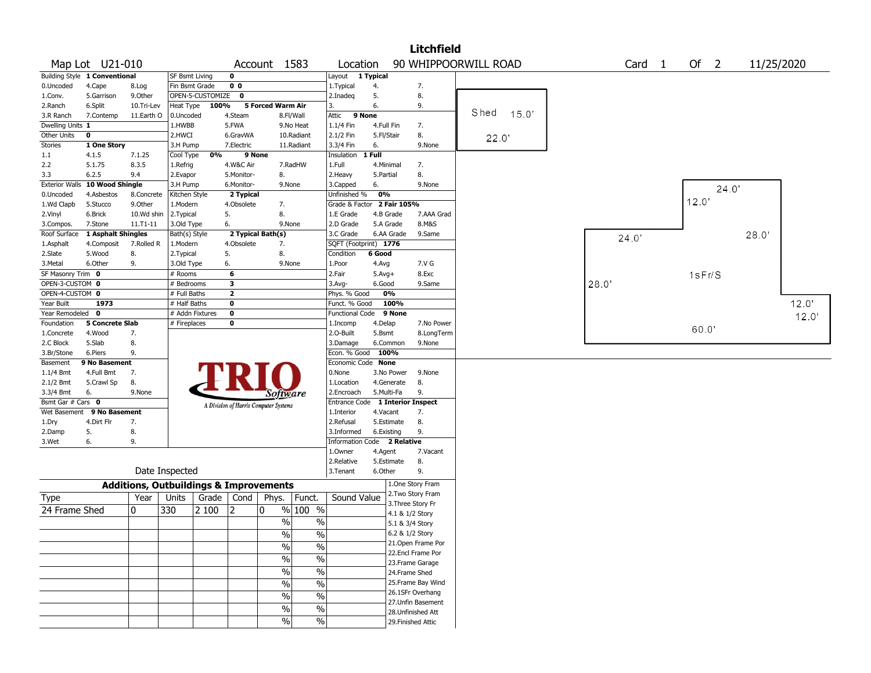|                       |                            |                                                   |                 |                  |                |                                       |               |                                  |              |                    | <b>Litchfield</b>  |                      |                   |        |       |       |            |
|-----------------------|----------------------------|---------------------------------------------------|-----------------|------------------|----------------|---------------------------------------|---------------|----------------------------------|--------------|--------------------|--------------------|----------------------|-------------------|--------|-------|-------|------------|
|                       | Map Lot U21-010            |                                                   |                 |                  |                | Account 1583                          |               | Location                         |              |                    |                    | 90 WHIPPOORWILL ROAD | Card <sub>1</sub> | Of 2   |       |       | 11/25/2020 |
| <b>Building Style</b> | 1 Conventional             |                                                   | SF Bsmt Living  |                  | $\mathbf 0$    |                                       |               | Layout 1 Typical                 |              |                    |                    |                      |                   |        |       |       |            |
| 0.Uncoded             | 4.Cape                     | 8.Log                                             | Fin Bsmt Grade  |                  | 0 <sub>0</sub> |                                       |               | 1. Typical                       | 4.           |                    | 7.                 |                      |                   |        |       |       |            |
| 1.Conv.               | 5.Garrison                 | 9.0ther                                           |                 | OPEN-5-CUSTOMIZE | 0              |                                       |               | 2.Inadeg                         | 5.           |                    | 8.                 |                      |                   |        |       |       |            |
| 2.Ranch               | 6.Split                    | 10.Tri-Lev                                        | Heat Type       | 100%             |                | <b>5 Forced Warm Air</b>              |               | 3.                               | 6.           |                    | 9.                 |                      |                   |        |       |       |            |
| 3.R Ranch             | 7.Contemp                  | 11.Earth O                                        | 0.Uncoded       |                  | 4.Steam        |                                       | 8.Fl/Wall     | 9 None<br>Attic                  |              |                    |                    | Shed<br>15.0'        |                   |        |       |       |            |
| Dwelling Units 1      |                            |                                                   | 1.HWBB          |                  | 5.FWA          |                                       | 9.No Heat     | 1.1/4 Fin                        | 4.Full Fin   |                    | 7.                 |                      |                   |        |       |       |            |
| Other Units           | 0                          |                                                   | 2.HWCI          |                  | 6.GravWA       |                                       | 10.Radiant    | 2.1/2 Fin                        | 5.Fl/Stair   |                    | 8.                 | 22.0'                |                   |        |       |       |            |
| <b>Stories</b>        | 1 One Story                |                                                   | 3.H Pump        |                  | 7.Electric     |                                       | 11.Radiant    | 3.3/4 Fin                        | 6.           |                    | 9.None             |                      |                   |        |       |       |            |
| 1.1                   | 4.1.5                      | 7.1.25                                            | Cool Type       | 0%               | 9 None         |                                       |               | Insulation                       | 1 Full       |                    |                    |                      |                   |        |       |       |            |
| 2.2                   | 5.1.75                     | 8.3.5                                             | 1.Refrig        |                  | 4.W&C Air      |                                       | 7.RadHW       | 1.Full                           | 4.Minimal    |                    | 7.                 |                      |                   |        |       |       |            |
| 3.3                   | 6.2.5                      | 9.4                                               | 2.Evapor        |                  | 5.Monitor-     | 8.                                    |               | 2.Heavy                          | 5.Partial    |                    | 8.                 |                      |                   |        |       |       |            |
| <b>Exterior Walls</b> | 10 Wood Shingle            |                                                   | 3.H Pump        |                  | 6.Monitor-     | 9.None                                |               | 3.Capped                         | 6.           |                    | 9.None             |                      |                   |        | 24.0' |       |            |
| 0.Uncoded             | 4.Asbestos                 | 8.Concrete                                        | Kitchen Style   |                  | 2 Typical      |                                       |               | Unfinished %                     | 0%           |                    |                    |                      |                   |        |       |       |            |
| 1.Wd Clapb            | 5.Stucco                   | 9.Other                                           | 1.Modern        |                  | 4.Obsolete     | 7.                                    |               | Grade & Factor                   |              | 2 Fair 105%        |                    |                      |                   | 12.0'  |       |       |            |
| 2.Vinyl               | 6.Brick                    | 10.Wd shin                                        | 2.Typical       |                  | 5.             | 8.                                    |               | 1.E Grade                        | 4.B Grade    |                    | 7.AAA Grad         |                      |                   |        |       |       |            |
| 3.Compos.             | 7.Stone                    | 11.T1-11                                          | 3.Old Type      |                  | 6.             | 9.None                                |               | 2.D Grade                        | 5.A Grade    |                    | 8.M&S              |                      |                   |        |       |       |            |
| Roof Surface          | 1 Asphalt Shingles         |                                                   | Bath(s) Style   |                  |                | 2 Typical Bath(s)                     |               | 3.C Grade                        | 6.AA Grade   |                    | 9.Same             |                      | 24.0'             |        |       | 28.0' |            |
| 1.Asphalt             | 4.Composit                 | 7.Rolled R                                        | 1.Modern        |                  | 4.Obsolete     | 7.                                    |               | SQFT (Footprint) 1776            |              |                    |                    |                      |                   |        |       |       |            |
| 2.Slate               | 5.Wood                     | 8.                                                | 2. Typical      |                  | 5.             | 8.                                    |               | Condition                        | 6 Good       |                    |                    |                      |                   |        |       |       |            |
| 3. Metal              | 6.Other                    | 9.                                                | 3.Old Type      |                  | 6.             | 9.None                                |               | 1.Poor                           | 4.Avg        |                    | 7.V G              |                      |                   |        |       |       |            |
| SF Masonry Trim 0     |                            |                                                   | # Rooms         |                  | 6              |                                       |               | 2.Fair                           | $5.$ Avg $+$ |                    | 8.Exc              |                      |                   | 1sFr/S |       |       |            |
| OPEN-3-CUSTOM 0       |                            |                                                   | # Bedrooms      |                  | 3              |                                       |               | 3.Avg-                           | 6.Good       |                    | 9.Same             |                      | 28.0              |        |       |       |            |
| OPEN-4-CUSTOM 0       |                            |                                                   | # Full Baths    |                  | $\overline{2}$ |                                       |               | Phys. % Good                     | 0%           |                    |                    |                      |                   |        |       |       |            |
| Year Built            | 1973                       |                                                   | # Half Baths    |                  | $\mathbf 0$    |                                       |               | Funct. % Good                    |              | 100%               |                    |                      |                   |        |       |       | 12.0'      |
| Year Remodeled 0      |                            |                                                   | # Addn Fixtures |                  | $\mathbf 0$    |                                       |               | <b>Functional Code</b>           |              | 9 None             |                    |                      |                   |        |       |       | 12.0       |
| Foundation            | <b>5 Concrete Slab</b>     |                                                   | # Fireplaces    |                  | 0              |                                       |               | 1.Incomp                         | 4.Delap      |                    | 7.No Power         |                      |                   |        |       |       |            |
| 1.Concrete            | 4.Wood                     | 7.                                                |                 |                  |                |                                       |               | 2.O-Built                        | 5.Bsmt       |                    | 8.LongTerm         |                      |                   | 60.0   |       |       |            |
| 2.C Block             | 5.Slab                     | 8.                                                |                 |                  |                |                                       |               | 3.Damage                         | 6.Common     |                    | 9.None             |                      |                   |        |       |       |            |
| 3.Br/Stone            | 6.Piers                    | 9.                                                |                 |                  |                |                                       |               | Econ. % Good                     | 100%         |                    |                    |                      |                   |        |       |       |            |
| Basement              | 9 No Basement              |                                                   |                 |                  |                |                                       |               | Economic Code None               |              |                    |                    |                      |                   |        |       |       |            |
| $1.1/4$ Bmt           | 4.Full Bmt                 | 7.                                                |                 |                  |                |                                       |               | 0.None                           | 3.No Power   |                    | 9.None             |                      |                   |        |       |       |            |
| 2.1/2 Bmt             | 5.Crawl Sp                 | 8.                                                |                 |                  |                |                                       |               | 1.Location                       | 4.Generate   |                    | 8.                 |                      |                   |        |       |       |            |
| 3.3/4 Bmt             | 6.                         | 9.None                                            |                 |                  |                | Software                              |               | 2.Encroach                       | 5.Multi-Fa   |                    | 9.                 |                      |                   |        |       |       |            |
| Bsmt Gar # Cars 0     |                            |                                                   |                 |                  |                | A Division of Harris Computer Systems |               | Entrance Code 1 Interior Inspect |              |                    |                    |                      |                   |        |       |       |            |
|                       | Wet Basement 9 No Basement |                                                   |                 |                  |                |                                       |               | 1.Interior                       | 4.Vacant     |                    | 7.                 |                      |                   |        |       |       |            |
| 1.Dry                 | 4.Dirt Flr                 | 7.                                                |                 |                  |                |                                       |               | 2.Refusal                        | 5.Estimate   |                    | 8.                 |                      |                   |        |       |       |            |
| 2.Damp                | 5.                         | 8.                                                |                 |                  |                |                                       |               | 3.Informed                       | 6.Existing   |                    | 9.                 |                      |                   |        |       |       |            |
| 3.Wet                 | 6.                         | 9.                                                |                 |                  |                |                                       |               | Information Code 2 Relative      |              |                    |                    |                      |                   |        |       |       |            |
|                       |                            |                                                   |                 |                  |                |                                       |               | 1.Owner                          | 4.Agent      |                    | 7.Vacant           |                      |                   |        |       |       |            |
|                       |                            |                                                   |                 |                  |                |                                       |               | 2.Relative                       | 5.Estimate   |                    | 8.                 |                      |                   |        |       |       |            |
|                       |                            |                                                   | Date Inspected  |                  |                |                                       |               | 3.Tenant                         | 6.Other      |                    | 9.                 |                      |                   |        |       |       |            |
|                       |                            | <b>Additions, Outbuildings &amp; Improvements</b> |                 |                  |                |                                       |               |                                  |              |                    | 1.One Story Fram   |                      |                   |        |       |       |            |
| Type                  |                            | Year                                              | Units           | Grade            | Cond           | Phys.                                 | Funct.        | Sound Value                      |              |                    | 2. Two Story Fram  |                      |                   |        |       |       |            |
| 24 Frame Shed         |                            | 0                                                 | 330             | 2 100            | 12             | 0                                     | % 100 %       |                                  |              | 3. Three Story Fr  |                    |                      |                   |        |       |       |            |
|                       |                            |                                                   |                 |                  |                |                                       |               |                                  |              | 4.1 & 1/2 Story    |                    |                      |                   |        |       |       |            |
|                       |                            |                                                   |                 |                  |                | %                                     | $\frac{0}{0}$ |                                  |              | 5.1 & 3/4 Story    |                    |                      |                   |        |       |       |            |
|                       |                            |                                                   |                 |                  |                | $\%$                                  | $\%$          |                                  |              | 6.2 & 1/2 Story    |                    |                      |                   |        |       |       |            |
|                       |                            |                                                   |                 |                  |                | $\frac{0}{0}$                         | $\%$          |                                  |              |                    | 21. Open Frame Por |                      |                   |        |       |       |            |
|                       |                            |                                                   |                 |                  |                |                                       |               |                                  |              |                    | 22.Encl Frame Por  |                      |                   |        |       |       |            |
|                       |                            |                                                   |                 |                  |                | $\frac{0}{0}$                         | $\%$          |                                  |              |                    | 23. Frame Garage   |                      |                   |        |       |       |            |
|                       |                            |                                                   |                 |                  |                | $\frac{1}{2}$                         | $\%$          |                                  |              | 24.Frame Shed      |                    |                      |                   |        |       |       |            |
|                       |                            |                                                   |                 |                  |                | $\frac{0}{0}$                         | $\%$          |                                  |              |                    | 25. Frame Bay Wind |                      |                   |        |       |       |            |
|                       |                            |                                                   |                 |                  |                | $\frac{0}{0}$                         | $\%$          |                                  |              |                    | 26.1SFr Overhang   |                      |                   |        |       |       |            |
|                       |                            |                                                   |                 |                  |                |                                       |               |                                  |              |                    | 27. Unfin Basement |                      |                   |        |       |       |            |
|                       |                            |                                                   |                 |                  |                | $\frac{0}{0}$                         | $\%$          |                                  |              |                    | 28. Unfinished Att |                      |                   |        |       |       |            |
|                       |                            |                                                   |                 |                  |                | $\frac{0}{0}$                         | $\frac{0}{0}$ |                                  |              | 29. Finished Attic |                    |                      |                   |        |       |       |            |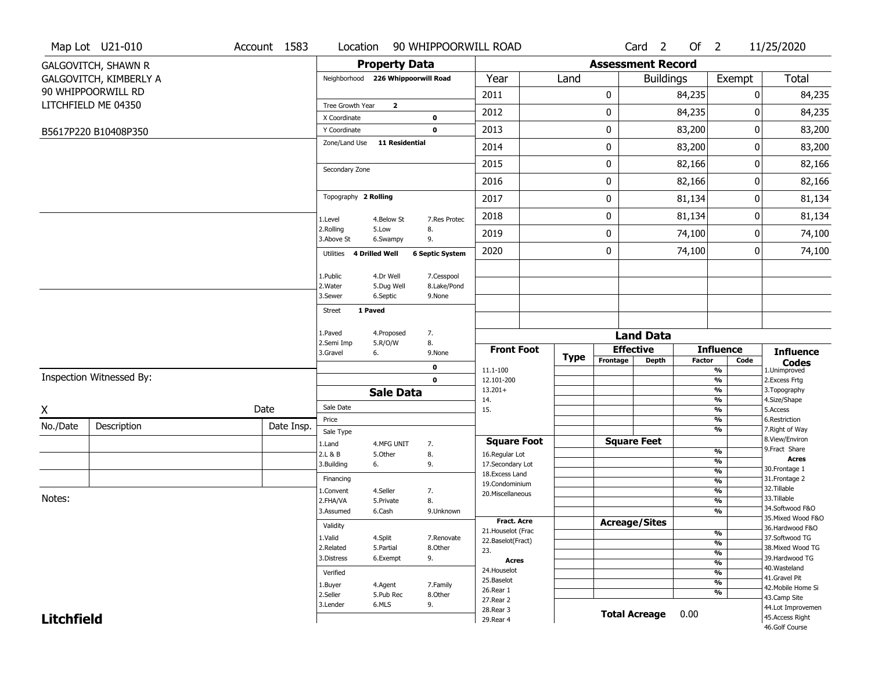|                   | Map Lot U21-010            | Account 1583 | Location                           |                         | 90 WHIPPOORWILL ROAD      |                                         |             |                          | Card <sub>2</sub>    | Of $2$        |                                | 11/25/2020                            |
|-------------------|----------------------------|--------------|------------------------------------|-------------------------|---------------------------|-----------------------------------------|-------------|--------------------------|----------------------|---------------|--------------------------------|---------------------------------------|
|                   | <b>GALGOVITCH, SHAWN R</b> |              |                                    | <b>Property Data</b>    |                           |                                         |             | <b>Assessment Record</b> |                      |               |                                |                                       |
|                   | GALGOVITCH, KIMBERLY A     |              | Neighborhood 226 Whippoorwill Road |                         |                           | Year                                    | Land        |                          | <b>Buildings</b>     |               | Exempt                         | Total                                 |
|                   | 90 WHIPPOORWILL RD         |              |                                    |                         |                           | 2011                                    |             | 0                        |                      | 84,235        |                                | 0<br>84,235                           |
|                   | LITCHFIELD ME 04350        |              | Tree Growth Year                   | $\overline{\mathbf{2}}$ |                           | 2012                                    |             | 0                        |                      | 84,235        |                                | 0<br>84,235                           |
|                   |                            |              | X Coordinate                       |                         | 0                         |                                         |             |                          |                      |               |                                |                                       |
|                   | B5617P220 B10408P350       |              | Y Coordinate<br>Zone/Land Use      | <b>11 Residential</b>   | $\mathbf 0$               | 2013                                    |             | 0                        |                      | 83,200        |                                | 0<br>83,200                           |
|                   |                            |              |                                    |                         |                           | 2014                                    |             | 0                        |                      | 83,200        |                                | 83,200<br>0                           |
|                   |                            |              | Secondary Zone                     |                         |                           | 2015                                    |             | 0                        |                      | 82,166        |                                | 0<br>82,166                           |
|                   |                            |              |                                    |                         |                           | 2016                                    |             | 0                        |                      | 82,166        |                                | 0<br>82,166                           |
|                   |                            |              | Topography 2 Rolling               |                         |                           | 2017                                    |             | 0                        |                      | 81,134        |                                | 81,134<br>0                           |
|                   |                            |              | 1.Level                            | 4.Below St              | 7.Res Protec              | 2018                                    |             | 0                        |                      | 81,134        |                                | 0<br>81,134                           |
|                   |                            |              | 2.Rolling<br>3.Above St            | 5.Low<br>6.Swampy       | 8.<br>9.                  | 2019                                    |             | 0                        |                      | 74,100        |                                | 0<br>74,100                           |
|                   |                            |              | Utilities                          | 4 Drilled Well          | <b>6 Septic System</b>    | 2020                                    |             | 0                        |                      | 74,100        |                                | 74,100<br>0                           |
|                   |                            |              |                                    |                         |                           |                                         |             |                          |                      |               |                                |                                       |
|                   |                            |              | 1.Public<br>2. Water               | 4.Dr Well<br>5.Dug Well | 7.Cesspool<br>8.Lake/Pond |                                         |             |                          |                      |               |                                |                                       |
|                   |                            |              | 3.Sewer                            | 6.Septic                | 9.None                    |                                         |             |                          |                      |               |                                |                                       |
|                   |                            |              | 1 Paved<br>Street                  |                         |                           |                                         |             |                          |                      |               |                                |                                       |
|                   |                            |              | 1.Paved                            | 4.Proposed              | 7.                        |                                         |             |                          | <b>Land Data</b>     |               |                                |                                       |
|                   |                            |              | 2.Semi Imp<br>3.Gravel             | 5.R/O/W<br>6.           | 8.<br>9.None              | <b>Front Foot</b>                       |             |                          | <b>Effective</b>     |               | <b>Influence</b>               | <b>Influence</b>                      |
|                   |                            |              |                                    |                         | 0                         |                                         | <b>Type</b> | Frontage                 | <b>Depth</b>         | <b>Factor</b> | Code                           | <b>Codes</b>                          |
|                   | Inspection Witnessed By:   |              |                                    |                         | $\mathbf 0$               | 11.1-100<br>12.101-200                  |             |                          |                      |               | %<br>$\frac{9}{6}$             | 1.Unimproved<br>2.Excess Frtg         |
|                   |                            |              |                                    | <b>Sale Data</b>        |                           | $13.201+$                               |             |                          |                      |               | %                              | 3. Topography                         |
| X                 |                            | Date         | Sale Date                          |                         |                           | 14.<br>15.                              |             |                          |                      |               | %<br>%                         | 4.Size/Shape<br>5.Access              |
| No./Date          | Description                | Date Insp.   | Price                              |                         |                           |                                         |             |                          |                      |               | %                              | 6.Restriction                         |
|                   |                            |              | Sale Type                          |                         |                           |                                         |             |                          | <b>Square Feet</b>   |               | %                              | 7. Right of Way<br>8.View/Environ     |
|                   |                            |              | 1.Land<br>2.L & B                  | 4.MFG UNIT<br>5.Other   | 7.<br>8.                  | <b>Square Foot</b><br>16.Regular Lot    |             |                          |                      |               | %                              | 9. Fract Share                        |
|                   |                            |              | 3.Building                         | 6.                      | 9.                        | 17.Secondary Lot                        |             |                          |                      |               | $\frac{9}{6}$                  | <b>Acres</b>                          |
|                   |                            |              | Financing                          |                         |                           | 18. Excess Land                         |             |                          |                      |               | $\frac{9}{6}$<br>$\frac{9}{6}$ | 30.Frontage 1<br>31. Frontage 2       |
|                   |                            |              | 1.Convent                          | 4.Seller                | 7.                        | 19.Condominium                          |             |                          |                      |               | $\frac{9}{6}$                  | 32.Tillable                           |
| Notes:            |                            |              | 2.FHA/VA                           | 5.Private               | 8.                        | 20.Miscellaneous                        |             |                          |                      |               | $\frac{9}{6}$                  | 33.Tillable                           |
|                   |                            |              | 3.Assumed                          | 6.Cash                  | 9.Unknown                 |                                         |             |                          |                      |               | $\overline{\frac{9}{6}}$       | 34.Softwood F&O                       |
|                   |                            |              | Validity                           |                         |                           | Fract. Acre                             |             |                          | <b>Acreage/Sites</b> |               |                                | 35. Mixed Wood F&O<br>36.Hardwood F&O |
|                   |                            |              | 1.Valid                            | 4.Split                 | 7.Renovate                | 21. Houselot (Frac<br>22.Baselot(Fract) |             |                          |                      |               | %                              | 37.Softwood TG                        |
|                   |                            |              | 2.Related                          | 5.Partial               | 8.Other                   | 23.                                     |             |                          |                      |               | $\frac{9}{6}$<br>$\frac{9}{6}$ | 38. Mixed Wood TG                     |
|                   |                            |              | 3.Distress                         | 6.Exempt                | 9.                        | <b>Acres</b>                            |             |                          |                      |               | $\frac{9}{6}$                  | 39.Hardwood TG                        |
|                   |                            |              | Verified                           |                         |                           | 24. Houselot                            |             |                          |                      |               | $\frac{9}{6}$                  | 40. Wasteland                         |
|                   |                            |              | 1.Buyer                            | 4.Agent                 | 7.Family                  | 25.Baselot                              |             |                          |                      |               | $\frac{9}{6}$                  | 41.Gravel Pit<br>42. Mobile Home Si   |
|                   |                            |              | 2.Seller                           | 5.Pub Rec               | 8.Other                   | 26.Rear 1<br>27.Rear 2                  |             |                          |                      |               | %                              | 43.Camp Site                          |
|                   |                            |              | 3.Lender                           | 6.MLS                   | 9.                        | 28. Rear 3                              |             |                          |                      |               |                                | 44.Lot Improvemen                     |
| <b>Litchfield</b> |                            |              |                                    |                         |                           | 29. Rear 4                              |             |                          | <b>Total Acreage</b> | 0.00          |                                | 45.Access Right                       |
|                   |                            |              |                                    |                         |                           |                                         |             |                          |                      |               |                                | 46.Golf Course                        |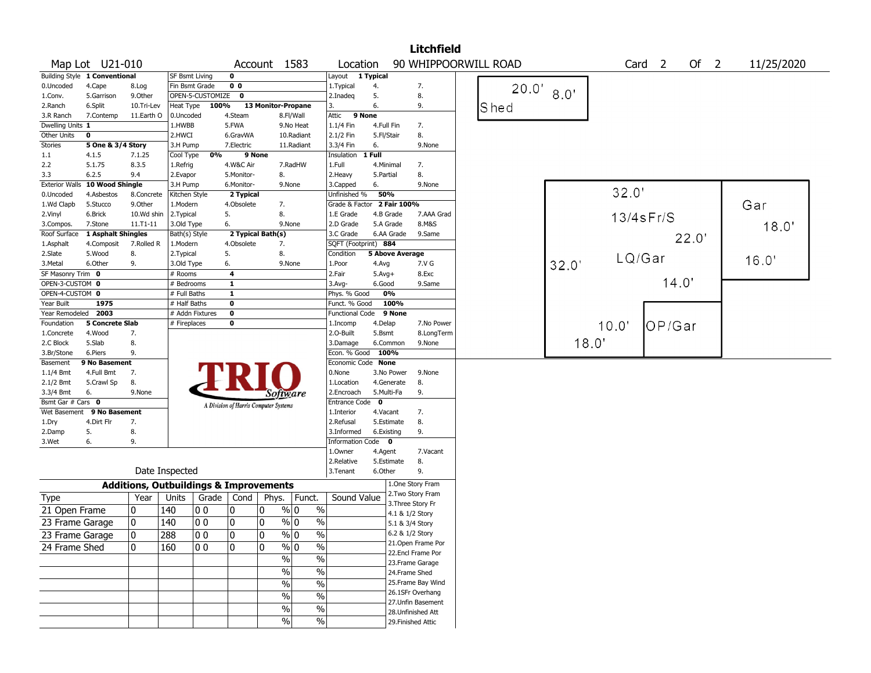|                                  |                               |                                                   |                       |                  |                |                                       |                                |                            |                        | <b>Litchfield</b>                       |                      |       |        |                   |       |            |  |
|----------------------------------|-------------------------------|---------------------------------------------------|-----------------------|------------------|----------------|---------------------------------------|--------------------------------|----------------------------|------------------------|-----------------------------------------|----------------------|-------|--------|-------------------|-------|------------|--|
|                                  | Map Lot U21-010               |                                                   |                       |                  |                | Account 1583                          |                                | Location                   |                        |                                         | 90 WHIPPOORWILL ROAD |       |        | Card <sub>2</sub> | Of 2  | 11/25/2020 |  |
|                                  | Building Style 1 Conventional |                                                   | <b>SF Bsmt Living</b> |                  | 0              |                                       |                                | Layout                     | 1 Typical              |                                         |                      |       |        |                   |       |            |  |
| 0.Uncoded                        | 4.Cape                        | 8.Log                                             | Fin Bsmt Grade        |                  | 0 <sub>0</sub> |                                       |                                | 1.Typical                  | 4.                     | 7.                                      | 20.0'                |       |        |                   |       |            |  |
| 1.Conv.                          | 5.Garrison                    | 9.0ther                                           |                       | OPEN-5-CUSTOMIZE | 0              |                                       |                                | 2.Inadeg                   | 5.                     | 8.                                      |                      | 8.0'  |        |                   |       |            |  |
| 2.Ranch                          | 6.Split                       | 10.Tri-Lev                                        | Heat Type             | 100%             |                | 13 Monitor-Propane                    |                                | 3.                         | 6.                     | 9.                                      | Shed                 |       |        |                   |       |            |  |
| 3.R Ranch                        | 7.Contemp                     | 11.Earth O                                        | 0.Uncoded             |                  | 4.Steam        |                                       | 8.Fl/Wall                      | Attic<br>9 None            |                        |                                         |                      |       |        |                   |       |            |  |
| Dwelling Units 1                 |                               |                                                   | 1.HWBB                |                  | 5.FWA          |                                       | 9.No Heat                      | $1.1/4$ Fin                | 4.Full Fin             | 7.                                      |                      |       |        |                   |       |            |  |
| Other Units                      | 0                             |                                                   | 2.HWCI                |                  | 6.GravWA       |                                       | 10.Radiant                     | 2.1/2 Fin                  | 5.Fl/Stair             | 8.                                      |                      |       |        |                   |       |            |  |
| Stories                          | 5 One & 3/4 Story             |                                                   | 3.H Pump              |                  | 7.Electric     |                                       | 11.Radiant                     | 3.3/4 Fin                  | 6.                     | 9.None                                  |                      |       |        |                   |       |            |  |
| 1.1                              | 4.1.5                         | 7.1.25                                            | Cool Type             | 0%               |                | 9 None                                |                                | Insulation                 | 1 Full                 |                                         |                      |       |        |                   |       |            |  |
| 2.2                              | 5.1.75                        | 8.3.5                                             | 1.Refrig              |                  | 4.W&C Air      |                                       | 7.RadHW                        | 1.Full                     | 4.Minimal              | 7.                                      |                      |       |        |                   |       |            |  |
| 3.3                              | 6.2.5                         | 9.4                                               | 2.Evapor              |                  | 5.Monitor-     | 8.                                    |                                | 2. Heavy                   | 5.Partial              | 8.                                      |                      |       |        |                   |       |            |  |
| <b>Exterior Walls</b>            | 10 Wood Shingle               |                                                   | 3.H Pump              |                  | 6.Monitor-     |                                       | 9.None                         | 3.Capped                   | 6.                     | 9.None                                  |                      |       |        |                   |       |            |  |
| 0.Uncoded                        | 4.Asbestos                    | 8.Concrete                                        | Kitchen Style         |                  | 2 Typical      |                                       |                                | Unfinished %               | 50%                    |                                         |                      |       | 32.0'  |                   |       |            |  |
| 1.Wd Clapb                       | 5.Stucco                      | 9.0ther                                           | 1.Modern              |                  | 4.Obsolete     | 7.                                    |                                | Grade & Factor 2 Fair 100% |                        |                                         |                      |       |        |                   |       | Gar        |  |
| 2.Vinyl                          | 6.Brick                       | 10.Wd shin                                        | 2.Typical             |                  | 5.             | 8.                                    |                                | 1.E Grade                  | 4.B Grade              | 7.AAA Grad                              |                      |       |        | $13/4$ s $Fr/S$   |       |            |  |
| 3.Compos.                        | 7.Stone                       | $11.71 - 11$                                      | 3.Old Type            |                  | 6.             |                                       | 9.None                         | 2.D Grade                  | 5.A Grade              | 8.M&S                                   |                      |       |        |                   |       | 18.0'      |  |
| Roof Surface                     | 1 Asphalt Shingles            |                                                   | Bath(s) Style         |                  |                | 2 Typical Bath(s)                     |                                | 3.C Grade                  | 6.AA Grade             | 9.Same                                  |                      |       |        |                   | 22.0' |            |  |
| 1.Asphalt                        | 4.Composit                    | 7.Rolled R                                        | 1.Modern              |                  | 4.Obsolete     | 7.                                    |                                | SQFT (Footprint) 884       |                        |                                         |                      |       |        |                   |       |            |  |
| 2.Slate                          | 5.Wood                        | 8.                                                | 2. Typical            |                  | 5.             | 8.                                    |                                | Condition                  | <b>5 Above Average</b> |                                         |                      |       | LQ/Gar |                   |       | 16.0'      |  |
| 3.Metal                          | 6.Other                       | 9.                                                | 3.Old Type            |                  | 6.             |                                       | 9.None                         | 1.Poor                     | 4.Avg                  | 7.V G                                   |                      | 32.0' |        |                   |       |            |  |
| SF Masonry Trim 0                |                               |                                                   | # Rooms               |                  | 4              |                                       |                                | 2.Fair                     | $5.Avg+$               | 8.Exc                                   |                      |       |        |                   |       |            |  |
| OPEN-3-CUSTOM 0                  |                               |                                                   | # Bedrooms            |                  | 1              |                                       |                                | 3.Avg-                     | 6.Good                 | 9.Same                                  |                      |       |        | 14.0'             |       |            |  |
| OPEN-4-CUSTOM 0                  |                               |                                                   | # Full Baths          |                  | $\mathbf{1}$   |                                       |                                | Phys. % Good               | 0%                     |                                         |                      |       |        |                   |       |            |  |
| Year Built                       | 1975                          |                                                   | # Half Baths          |                  | $\bf{0}$       |                                       |                                | Funct. % Good              | 100%                   |                                         |                      |       |        |                   |       |            |  |
| Year Remodeled 2003              |                               |                                                   |                       | # Addn Fixtures  | $\bf o$        |                                       |                                | Functional Code 9 None     |                        |                                         |                      |       |        |                   |       |            |  |
| Foundation                       | <b>5 Concrete Slab</b>        |                                                   | # Fireplaces          |                  | $\bf{0}$       |                                       |                                | 1.Incomp                   | 4.Delap                | 7.No Power                              |                      |       | 10.0'  | OP/Gar            |       |            |  |
| 1.Concrete                       | 4.Wood                        | 7.                                                |                       |                  |                |                                       |                                | 2.O-Built                  | 5.Bsmt                 | 8.LongTerm                              |                      |       |        |                   |       |            |  |
| 2.C Block                        | 5.Slab                        | 8.                                                |                       |                  |                |                                       |                                | 3.Damage                   | 6.Common               | 9.None                                  |                      | 18.0' |        |                   |       |            |  |
| 3.Br/Stone                       | 6.Piers                       | 9.                                                |                       |                  |                |                                       |                                | Econ. % Good               | 100%                   |                                         |                      |       |        |                   |       |            |  |
| Basement                         | 9 No Basement                 |                                                   |                       |                  |                |                                       |                                | Economic Code None         |                        |                                         |                      |       |        |                   |       |            |  |
| 1.1/4 Bmt                        | 4.Full Bmt                    | 7.                                                |                       |                  |                |                                       |                                | 0.None                     | 3.No Power             | 9.None                                  |                      |       |        |                   |       |            |  |
| 2.1/2 Bmt                        | 5.Crawl Sp                    | 8.                                                |                       |                  |                |                                       |                                | 1.Location                 | 4.Generate             | 8.                                      |                      |       |        |                   |       |            |  |
| 3.3/4 Bmt                        | 6.                            | 9.None                                            |                       |                  |                | Software                              |                                | 2.Encroach                 | 5.Multi-Fa             | 9.                                      |                      |       |        |                   |       |            |  |
| Bsmt Gar $#$ Cars $\overline{0}$ |                               |                                                   |                       |                  |                | A Division of Harris Computer Systems |                                | <b>Entrance Code</b>       | 0                      |                                         |                      |       |        |                   |       |            |  |
| Wet Basement                     | 9 No Basement                 |                                                   |                       |                  |                |                                       |                                | 1.Interior                 | 4.Vacant               | 7.                                      |                      |       |        |                   |       |            |  |
| 1.Dry                            | 4.Dirt Flr                    | 7.                                                |                       |                  |                |                                       |                                | 2.Refusal                  | 5.Estimate             | 8.                                      |                      |       |        |                   |       |            |  |
| 2.Damp                           | 5.                            | 8.                                                |                       |                  |                |                                       |                                | 3.Informed                 | 6.Existing             | 9.                                      |                      |       |        |                   |       |            |  |
| 3.Wet                            | 6.                            | 9.                                                |                       |                  |                |                                       |                                | <b>Information Code</b>    | $\mathbf{0}$           |                                         |                      |       |        |                   |       |            |  |
|                                  |                               |                                                   |                       |                  |                |                                       |                                | 1.Owner                    | 4.Agent                | 7.Vacant                                |                      |       |        |                   |       |            |  |
|                                  |                               |                                                   |                       |                  |                |                                       |                                | 2.Relative                 | 5.Estimate             | 8.                                      |                      |       |        |                   |       |            |  |
|                                  |                               | Date Inspected                                    |                       |                  |                |                                       |                                | 3.Tenant                   | 6.Other                | 9.                                      |                      |       |        |                   |       |            |  |
|                                  |                               | <b>Additions, Outbuildings &amp; Improvements</b> |                       |                  |                |                                       |                                |                            |                        | 1.One Story Fram                        |                      |       |        |                   |       |            |  |
| Type                             |                               | Year                                              | Units                 | Grade            | Cond           | Phys.                                 | Funct.                         | Sound Value                |                        | 2. Two Story Fram                       |                      |       |        |                   |       |            |  |
| 21 Open Frame                    |                               | 0                                                 | 140                   | 00               | 0              | 0                                     | % 0<br>$\%$                    |                            |                        | 3. Three Story Fr                       |                      |       |        |                   |       |            |  |
| 23 Frame Garage                  |                               | 10                                                | 140                   | 00               | 0              | 0                                     | $\%$<br>% 0                    |                            |                        | 4.1 & 1/2 Story                         |                      |       |        |                   |       |            |  |
|                                  |                               |                                                   |                       |                  |                |                                       |                                |                            |                        | 5.1 & 3/4 Story                         |                      |       |        |                   |       |            |  |
| 23 Frame Garage                  |                               | $\overline{0}$                                    | 288                   | $ 00\rangle$     | 0              | 0                                     | $\sqrt{96}$ 0<br>$\frac{0}{6}$ |                            |                        | 6.2 & 1/2 Story                         |                      |       |        |                   |       |            |  |
| 24 Frame Shed                    |                               | 10.                                               | 160                   | 10 O             | 0              | $\mathbf{0}$                          | $\%$ 0<br>$\frac{0}{0}$        |                            |                        | 21. Open Frame Por<br>22.Encl Frame Por |                      |       |        |                   |       |            |  |
|                                  |                               |                                                   |                       |                  |                | $\%$                                  | $\%$                           |                            |                        | 23. Frame Garage                        |                      |       |        |                   |       |            |  |
|                                  |                               |                                                   |                       |                  |                | $\%$                                  | $\%$                           |                            |                        | 24.Frame Shed                           |                      |       |        |                   |       |            |  |
|                                  |                               |                                                   |                       |                  |                |                                       |                                |                            |                        | 25.Frame Bay Wind                       |                      |       |        |                   |       |            |  |
|                                  |                               |                                                   |                       |                  |                | $\sqrt{6}$                            | $\overline{\frac{0}{6}}$       |                            |                        | 26.1SFr Overhang                        |                      |       |        |                   |       |            |  |
|                                  |                               |                                                   |                       |                  |                | $\sqrt{6}$                            | $\%$                           |                            |                        | 27.Unfin Basement                       |                      |       |        |                   |       |            |  |
|                                  |                               |                                                   |                       |                  |                | $\sqrt{6}$                            | $\overline{\frac{0}{6}}$       |                            |                        | 28. Unfinished Att                      |                      |       |        |                   |       |            |  |
|                                  |                               |                                                   |                       |                  |                | %                                     | $\%$                           |                            |                        | 29. Finished Attic                      |                      |       |        |                   |       |            |  |
|                                  |                               |                                                   |                       |                  |                |                                       |                                |                            |                        |                                         |                      |       |        |                   |       |            |  |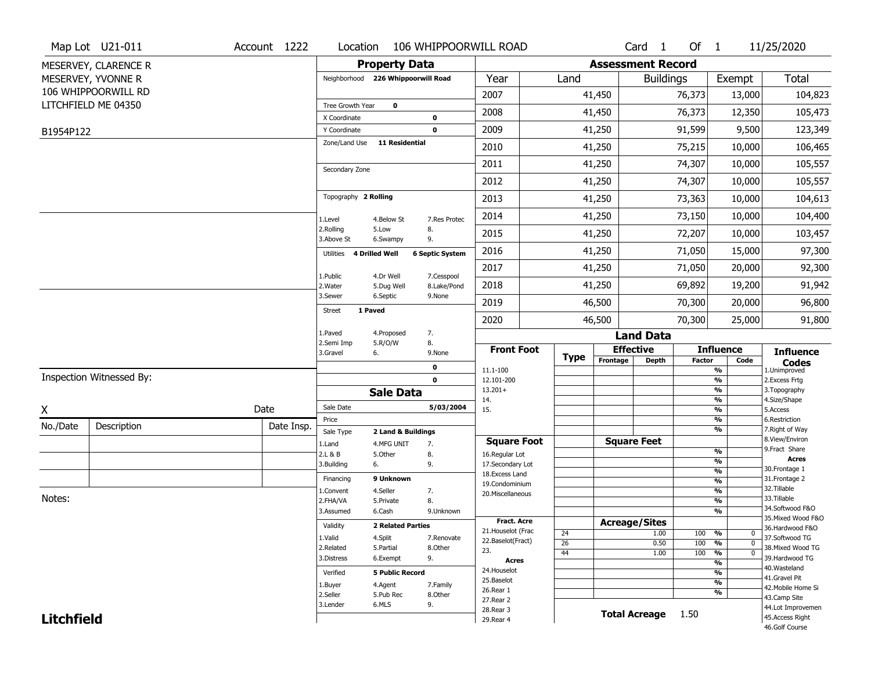|                   | Map Lot U21-011          | Account 1222 | Location                           |                                  | 106 WHIPPOORWILL ROAD  |                                   |                       |          | Card <sub>1</sub>         | Of 1             |                                 | 11/25/2020                        |
|-------------------|--------------------------|--------------|------------------------------------|----------------------------------|------------------------|-----------------------------------|-----------------------|----------|---------------------------|------------------|---------------------------------|-----------------------------------|
|                   | MESERVEY, CLARENCE R     |              |                                    | <b>Property Data</b>             |                        |                                   |                       |          | <b>Assessment Record</b>  |                  |                                 |                                   |
|                   | MESERVEY, YVONNE R       |              | Neighborhood 226 Whippoorwill Road |                                  |                        | Year                              | Land                  |          |                           | <b>Buildings</b> | Exempt                          | Total                             |
|                   | 106 WHIPPOORWILL RD      |              |                                    |                                  |                        | 2007                              |                       | 41,450   |                           | 76,373           | 13,000                          | 104,823                           |
|                   | LITCHFIELD ME 04350      |              | Tree Growth Year                   | $\mathbf 0$                      |                        | 2008                              |                       | 41,450   |                           | 76,373           | 12,350                          | 105,473                           |
|                   |                          |              | X Coordinate                       |                                  | $\pmb{0}$              |                                   |                       |          |                           |                  |                                 |                                   |
| B1954P122         |                          |              | Y Coordinate                       | <b>11 Residential</b>            | $\mathbf 0$            | 2009                              |                       | 41,250   |                           | 91,599           | 9,500                           | 123,349                           |
|                   |                          |              | Zone/Land Use                      |                                  |                        | 2010                              |                       | 41,250   |                           | 75,215           | 10,000                          | 106,465                           |
|                   |                          |              | Secondary Zone                     |                                  |                        | 2011                              |                       | 41,250   |                           | 74,307           | 10,000                          | 105,557                           |
|                   |                          |              |                                    |                                  |                        | 2012                              |                       | 41,250   |                           | 74,307           | 10,000                          | 105,557                           |
|                   |                          |              | Topography 2 Rolling               |                                  |                        | 2013                              |                       | 41,250   |                           | 73,363           | 10,000                          | 104,613                           |
|                   |                          |              | 1.Level                            | 4.Below St                       | 7.Res Protec           | 2014                              |                       | 41,250   |                           | 73,150           | 10,000                          | 104,400                           |
|                   |                          |              | 2.Rolling<br>3.Above St            | 5.Low<br>6.Swampy                | 8.<br>9.               | 2015                              |                       | 41,250   |                           | 72,207           | 10,000                          | 103,457                           |
|                   |                          |              | Utilities 4 Drilled Well           |                                  | <b>6 Septic System</b> | 2016                              |                       | 41,250   |                           | 71,050           | 15,000                          | 97,300                            |
|                   |                          |              | 1.Public                           | 4.Dr Well                        | 7.Cesspool             | 2017                              |                       | 41,250   |                           | 71,050           | 20,000                          | 92,300                            |
|                   |                          |              | 2. Water                           | 5.Dug Well                       | 8.Lake/Pond            | 2018                              |                       | 41,250   |                           | 69,892           | 19,200                          | 91,942                            |
|                   |                          |              | 3.Sewer                            | 6.Septic<br>1 Paved              | 9.None                 | 2019                              |                       | 46,500   |                           | 70,300           | 20,000                          | 96,800                            |
|                   |                          |              | <b>Street</b>                      |                                  |                        | 2020                              |                       | 46,500   |                           | 70,300           | 25,000                          | 91,800                            |
|                   |                          |              | 1.Paved<br>2.Semi Imp              | 4.Proposed<br>5.R/O/W            | 7.<br>8.               |                                   |                       |          | <b>Land Data</b>          |                  |                                 |                                   |
|                   |                          |              | 3.Gravel                           | 6.                               | 9.None                 | <b>Front Foot</b>                 | <b>Type</b>           | Frontage | <b>Effective</b>          |                  | <b>Influence</b>                | <b>Influence</b>                  |
|                   |                          |              |                                    |                                  | $\mathbf 0$            | 11.1-100                          |                       |          | <b>Depth</b>              | <b>Factor</b>    | Code<br>$\frac{9}{6}$           | <b>Codes</b><br>1.Unimproved      |
|                   | Inspection Witnessed By: |              |                                    |                                  | $\mathbf 0$            | 12.101-200                        |                       |          |                           |                  | $\frac{9}{6}$                   | 2.Excess Frtg                     |
|                   |                          |              |                                    | <b>Sale Data</b>                 |                        | $13.201+$<br>14.                  |                       |          |                           |                  | $\frac{9}{6}$<br>$\frac{9}{6}$  | 3. Topography<br>4.Size/Shape     |
| X                 |                          | Date         | Sale Date                          |                                  | 5/03/2004              | 15.                               |                       |          |                           |                  | $\frac{9}{6}$                   | 5.Access                          |
| No./Date          | Description              | Date Insp.   | Price                              |                                  |                        |                                   |                       |          |                           |                  | %<br>$\frac{9}{6}$              | 6.Restriction<br>7. Right of Way  |
|                   |                          |              | Sale Type<br>1.Land                | 2 Land & Buildings<br>4.MFG UNIT | 7.                     | <b>Square Foot</b>                |                       |          | <b>Square Feet</b>        |                  |                                 | 8.View/Environ                    |
|                   |                          |              | 2.L & B                            | 5.Other                          | 8.                     | 16.Regular Lot                    |                       |          |                           |                  | %                               | 9. Fract Share                    |
|                   |                          |              | 3.Building                         | 6.                               | 9.                     | 17.Secondary Lot                  |                       |          |                           |                  | %<br>%                          | <b>Acres</b><br>30. Frontage 1    |
|                   |                          |              | Financing                          | 9 Unknown                        |                        | 18. Excess Land<br>19.Condominium |                       |          |                           |                  | %                               | 31. Frontage 2                    |
|                   |                          |              | 1.Convent                          | 4.Seller                         | 7.                     | 20.Miscellaneous                  |                       |          |                           |                  | %                               | 32. Tillable                      |
| Notes:            |                          |              | 2.FHA/VA                           | 5.Private                        | 8.                     |                                   |                       |          |                           |                  | %                               | 33.Tillable<br>34.Softwood F&O    |
|                   |                          |              | 3.Assumed                          | 6.Cash                           | 9.Unknown              | <b>Fract. Acre</b>                |                       |          |                           |                  | %                               | 35. Mixed Wood F&O                |
|                   |                          |              | Validity                           | <b>2 Related Parties</b>         |                        | 21. Houselot (Frac                |                       |          | <b>Acreage/Sites</b>      |                  |                                 | 36.Hardwood F&O                   |
|                   |                          |              | 1.Valid                            | 4.Split                          | 7.Renovate             | 22.Baselot(Fract)                 | 24<br>$\overline{26}$ |          | 1.00<br>0.50              | 100              | 100 %<br>0<br>%<br>$\mathbf{0}$ | 37.Softwood TG                    |
|                   |                          |              | 2.Related                          | 5.Partial                        | 8.Other                | 23.                               | 44                    |          | 1.00                      | 100              | %<br>$\Omega$                   | 38. Mixed Wood TG                 |
|                   |                          |              | 3.Distress                         | 6.Exempt                         | 9.                     | Acres                             |                       |          |                           |                  | $\frac{9}{6}$                   | 39.Hardwood TG                    |
|                   |                          |              | Verified                           | <b>5 Public Record</b>           |                        | 24. Houselot                      |                       |          |                           |                  | $\frac{9}{6}$                   | 40. Wasteland<br>41.Gravel Pit    |
|                   |                          |              | 1.Buyer                            | 4.Agent                          | 7.Family               | 25.Baselot<br>26.Rear 1           |                       |          |                           |                  | $\frac{9}{6}$                   | 42. Mobile Home Si                |
|                   |                          |              | 2.Seller                           | 5.Pub Rec                        | 8.Other                | 27. Rear 2                        |                       |          |                           |                  | $\frac{9}{6}$                   | 43.Camp Site                      |
|                   |                          |              | 3.Lender                           | 6.MLS                            | 9.                     | 28. Rear 3                        |                       |          | <b>Total Acreage</b> 1.50 |                  |                                 | 44.Lot Improvemen                 |
| <b>Litchfield</b> |                          |              |                                    |                                  |                        | 29. Rear 4                        |                       |          |                           |                  |                                 | 45.Access Right<br>46.Golf Course |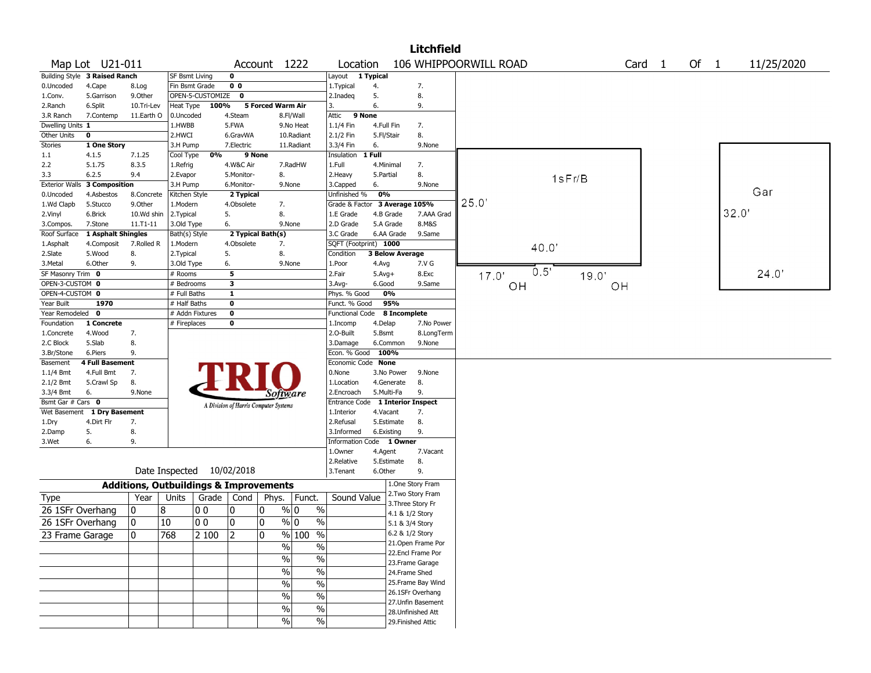|                       |                        |              |                |                                                   |                |                                       |                                               |                          |            |                        | <b>Litchfield</b>         |                       |        |                   |        |      |            |
|-----------------------|------------------------|--------------|----------------|---------------------------------------------------|----------------|---------------------------------------|-----------------------------------------------|--------------------------|------------|------------------------|---------------------------|-----------------------|--------|-------------------|--------|------|------------|
|                       | Map Lot U21-011        |              |                |                                                   |                | Account 1222                          |                                               | Location                 |            |                        |                           | 106 WHIPPOORWILL ROAD |        | Card <sub>1</sub> | Of $1$ |      | 11/25/2020 |
| <b>Building Style</b> | <b>3 Raised Ranch</b>  |              | SF Bsmt Living |                                                   | 0              |                                       |                                               | Layout 1 Typical         |            |                        |                           |                       |        |                   |        |      |            |
| 0.Uncoded             | 4.Cape                 | 8.Log        | Fin Bsmt Grade |                                                   | 0 <sub>0</sub> |                                       |                                               | 1.Typical                | 4.         |                        | 7.                        |                       |        |                   |        |      |            |
| 1.Conv.               | 5.Garrison             | 9.0ther      |                | OPEN-5-CUSTOMIZE                                  | $\bf{0}$       |                                       |                                               | 2.Inadeq                 | 5.         |                        | 8.                        |                       |        |                   |        |      |            |
| 2.Ranch               | 6.Split                | 10.Tri-Lev   | Heat Type      | 100%                                              |                | <b>5 Forced Warm Air</b>              |                                               | 3.                       | 6.         |                        | 9.                        |                       |        |                   |        |      |            |
| 3.R Ranch             | 7.Contemp              | 11.Earth O   | 0.Uncoded      |                                                   | 4.Steam        |                                       | 8.Fl/Wall                                     | 9 None<br>Attic          |            |                        |                           |                       |        |                   |        |      |            |
| Dwelling Units 1      |                        |              | 1.HWBB         |                                                   | 5.FWA          |                                       | 9.No Heat                                     | 1.1/4 Fin                | 4.Full Fin |                        | 7.                        |                       |        |                   |        |      |            |
| Other Units           | 0                      |              | 2.HWCI         |                                                   | 6.GravWA       |                                       | 10.Radiant                                    | 2.1/2 Fin                | 5.Fl/Stair |                        | 8.                        |                       |        |                   |        |      |            |
| Stories               | 1 One Story            |              | 3.H Pump       |                                                   | 7.Electric     |                                       | 11.Radiant                                    | 3.3/4 Fin                | 6.         |                        | 9.None                    |                       |        |                   |        |      |            |
| 1.1                   | 4.1.5                  | 7.1.25       | Cool Type      | 0%                                                |                | 9 None                                |                                               | Insulation               | 1 Full     |                        |                           |                       |        |                   |        |      |            |
| 2.2                   | 5.1.75                 | 8.3.5        | 1.Refrig       |                                                   | 4.W&C Air      |                                       | 7.RadHW                                       | 1.Full                   | 4.Minimal  |                        | 7.                        |                       |        |                   |        |      |            |
| 3.3                   | 6.2.5                  | 9.4          | 2.Evapor       |                                                   | 5.Monitor-     | 8.                                    |                                               | 2. Heavy                 | 5.Partial  |                        | 8.                        |                       | 1sFr/B |                   |        |      |            |
| <b>Exterior Walls</b> | <b>3 Composition</b>   |              | 3.H Pump       |                                                   | 6.Monitor-     | 9.None                                |                                               | 3.Capped                 | 6.         |                        | 9.None                    |                       |        |                   |        |      |            |
| 0.Uncoded             | 4.Asbestos             | 8.Concrete   | Kitchen Style  |                                                   | 2 Typical      |                                       |                                               | Unfinished %             | 0%         |                        |                           |                       |        |                   |        |      | Gar        |
| 1.Wd Clapb            | 5.Stucco               | 9.0ther      | 1.Modern       |                                                   | 4.Obsolete     | 7.                                    |                                               | Grade & Factor           |            | 3 Average 105%         |                           | 25.0                  |        |                   |        |      |            |
| 2.Vinyl               | 6.Brick                | 10.Wd shin   | 2.Typical      |                                                   | 5.             | 8.                                    |                                               | 1.E Grade                |            | 4.B Grade              | 7.AAA Grad                |                       |        |                   |        | 32.0 |            |
| 3.Compos.             | 7.Stone                | $11.71 - 11$ | 3.Old Type     |                                                   | 6.             | 9.None                                |                                               | 2.D Grade                |            | 5.A Grade              | 8.M&S                     |                       |        |                   |        |      |            |
| Roof Surface          | 1 Asphalt Shingles     |              | Bath(s) Style  |                                                   |                | 2 Typical Bath(s)                     |                                               | 3.C Grade                |            | 6.AA Grade             | 9.Same                    |                       |        |                   |        |      |            |
| 1.Asphalt             | 4.Composit             | 7.Rolled R   | 1.Modern       |                                                   | 4.Obsolete     | 7.                                    |                                               | SQFT (Footprint) 1000    |            |                        |                           | 40.0'                 |        |                   |        |      |            |
| 2.Slate               | 5.Wood                 | 8.           | 2. Typical     |                                                   | 5.             | 8.                                    |                                               | Condition                |            | <b>3 Below Average</b> |                           |                       |        |                   |        |      |            |
| 3.Metal               | 6.Other                | 9.           | 3.Old Type     |                                                   | 6.             | 9.None                                |                                               | 1.Poor                   | 4.Avg      |                        | 7.V G                     |                       |        |                   |        |      |            |
| SF Masonry Trim 0     |                        |              | # Rooms        |                                                   | 5              |                                       |                                               | 2.Fair                   | $5.Avg+$   |                        | 8.Exc                     | 0.5'<br>17.0          | 19.0   |                   |        |      | 24.0       |
| OPEN-3-CUSTOM 0       |                        |              | # Bedrooms     |                                                   | 3              |                                       |                                               | 3.Avg-                   | 6.Good     |                        | 9.Same                    | OH                    | OH     |                   |        |      |            |
| OPEN-4-CUSTOM 0       |                        |              | # Full Baths   |                                                   | $\mathbf{1}$   |                                       |                                               | Phys. % Good             |            | 0%                     |                           |                       |        |                   |        |      |            |
| Year Built            | 1970                   |              | # Half Baths   |                                                   | $\mathbf 0$    |                                       |                                               | Funct. % Good            |            | 95%                    |                           |                       |        |                   |        |      |            |
| Year Remodeled        | 0                      |              |                | # Addn Fixtures                                   | $\pmb{0}$      |                                       |                                               | Functional Code          |            | 8 Incomplete           |                           |                       |        |                   |        |      |            |
| Foundation            | 1 Concrete             |              | # Fireplaces   |                                                   | 0              |                                       |                                               | 1.Incomp                 | 4.Delap    |                        | 7.No Power                |                       |        |                   |        |      |            |
| 1.Concrete            | 4.Wood                 | 7.           |                |                                                   |                |                                       |                                               | 2.0-Built                | 5.Bsmt     |                        | 8.LongTerm                |                       |        |                   |        |      |            |
| 2.C Block             | 5.Slab                 | 8.           |                |                                                   |                |                                       |                                               | 3.Damage                 |            | 6.Common               | 9.None                    |                       |        |                   |        |      |            |
| 3.Br/Stone            | 6.Piers                | 9.           |                |                                                   |                |                                       |                                               | Econ. % Good             | 100%       |                        |                           |                       |        |                   |        |      |            |
| Basement              | <b>4 Full Basement</b> |              |                |                                                   |                |                                       |                                               | Economic Code None       |            |                        |                           |                       |        |                   |        |      |            |
| $1.1/4$ Bmt           | 4.Full Bmt             | 7.           |                |                                                   |                |                                       |                                               | 0.None                   |            | 3.No Power             | 9.None                    |                       |        |                   |        |      |            |
| 2.1/2 Bmt             | 5.Crawl Sp             | 8.           |                |                                                   |                |                                       |                                               | 1.Location               |            | 4.Generate             | 8.                        |                       |        |                   |        |      |            |
| 3.3/4 Bmt             | 6.                     | 9.None       |                |                                                   |                | Software                              |                                               | 2.Encroach               |            | 5.Multi-Fa             | 9.                        |                       |        |                   |        |      |            |
| Bsmt Gar # Cars 0     |                        |              |                |                                                   |                | A Division of Harris Computer Systems |                                               | Entrance Code            |            |                        | <b>1 Interior Inspect</b> |                       |        |                   |        |      |            |
| Wet Basement          | 1 Dry Basement         |              |                |                                                   |                |                                       |                                               | 1.Interior               | 4.Vacant   |                        | 7.                        |                       |        |                   |        |      |            |
| 1.Dry                 | 4.Dirt Flr             | 7.           |                |                                                   |                |                                       |                                               | 2.Refusal                |            | 5.Estimate             | 8.                        |                       |        |                   |        |      |            |
| 2.Damp                | 5.                     | 8.           |                |                                                   |                |                                       |                                               | 3.Informed               |            | 6.Existing             | 9.                        |                       |        |                   |        |      |            |
| 3.Wet                 | 6.                     | 9.           |                |                                                   |                |                                       |                                               | Information Code 1 Owner |            |                        |                           |                       |        |                   |        |      |            |
|                       |                        |              |                |                                                   |                |                                       |                                               | 1.0wner                  | 4.Agent    |                        | 7.Vacant                  |                       |        |                   |        |      |            |
|                       |                        |              |                |                                                   |                |                                       |                                               | 2.Relative               |            | 5.Estimate             | 8.                        |                       |        |                   |        |      |            |
|                       |                        |              | Date Inspected |                                                   | 10/02/2018     |                                       |                                               | 3.Tenant                 | 6.Other    |                        | 9.                        |                       |        |                   |        |      |            |
|                       |                        |              |                | <b>Additions, Outbuildings &amp; Improvements</b> |                |                                       |                                               |                          |            |                        | 1.One Story Fram          |                       |        |                   |        |      |            |
| <b>Type</b>           |                        | Year         | Units          | Grade   Cond                                      |                | Phys.                                 | Funct.                                        | Sound Value              |            |                        | 2. Two Story Fram         |                       |        |                   |        |      |            |
|                       |                        | 0            | 8              | 00                                                | 10             | 0                                     | % 0<br>$\%$                                   |                          |            |                        | 3. Three Story Fr         |                       |        |                   |        |      |            |
| 26 1SFr Overhang      |                        |              |                |                                                   |                |                                       |                                               |                          |            | 4.1 & 1/2 Story        |                           |                       |        |                   |        |      |            |
| 26 1SFr Overhang      |                        | 0            | 10             | 00                                                | 10             | 0                                     | $\%$ 0<br>$\%$                                |                          |            | 5.1 & 3/4 Story        |                           |                       |        |                   |        |      |            |
| 23 Frame Garage       |                        | I٥           | 768            | 2 100                                             | $\overline{2}$ | 0                                     | $\frac{9}{6}$ 100<br>$\overline{\frac{0}{0}}$ |                          |            | 6.2 & 1/2 Story        |                           |                       |        |                   |        |      |            |
|                       |                        |              |                |                                                   |                | %                                     | $\frac{0}{0}$                                 |                          |            |                        | 21. Open Frame Por        |                       |        |                   |        |      |            |
|                       |                        |              |                |                                                   |                | $\frac{0}{6}$                         |                                               |                          |            |                        | 22.Encl Frame Por         |                       |        |                   |        |      |            |
|                       |                        |              |                |                                                   |                |                                       | $\%$                                          |                          |            |                        | 23.Frame Garage           |                       |        |                   |        |      |            |
|                       |                        |              |                |                                                   |                | $\frac{1}{2}$                         | $\overline{\frac{0}{0}}$                      |                          |            | 24.Frame Shed          |                           |                       |        |                   |        |      |            |
|                       |                        |              |                |                                                   |                | $\frac{0}{0}$                         | $\overline{\frac{0}{0}}$                      |                          |            |                        | 25. Frame Bay Wind        |                       |        |                   |        |      |            |
|                       |                        |              |                |                                                   |                | $\frac{1}{2}$                         | $\overline{\frac{0}{0}}$                      |                          |            |                        | 26.1SFr Overhang          |                       |        |                   |        |      |            |
|                       |                        |              |                |                                                   |                |                                       |                                               |                          |            |                        | 27. Unfin Basement        |                       |        |                   |        |      |            |
|                       |                        |              |                |                                                   |                | $\frac{0}{0}$                         | $\frac{0}{0}$                                 |                          |            |                        | 28. Unfinished Att        |                       |        |                   |        |      |            |
|                       |                        |              |                |                                                   |                | %                                     | $\overline{\frac{0}{0}}$                      |                          |            |                        | 29. Finished Attic        |                       |        |                   |        |      |            |
|                       |                        |              |                |                                                   |                |                                       |                                               |                          |            |                        |                           |                       |        |                   |        |      |            |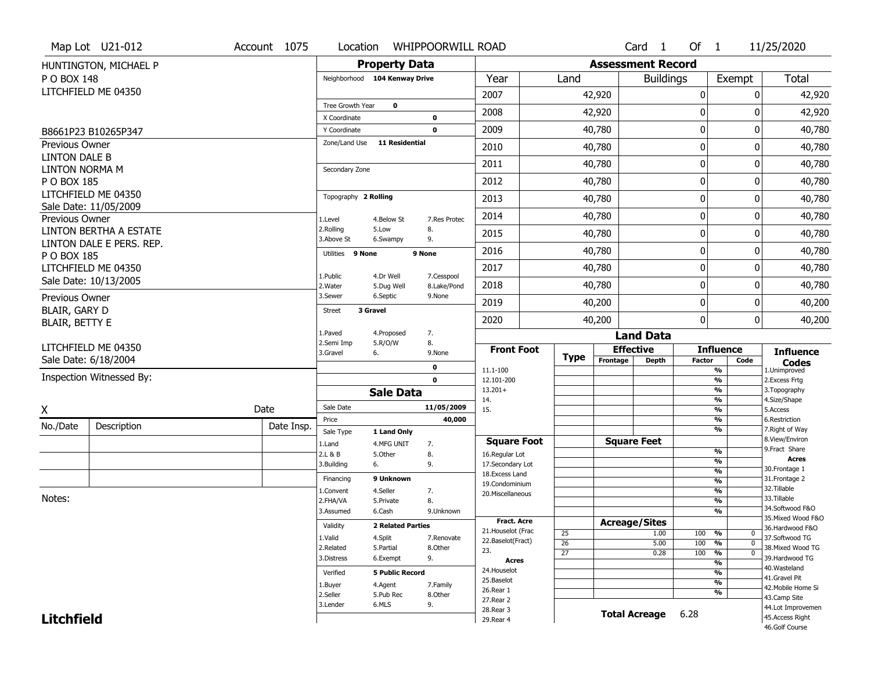|                                               | Map Lot U21-012          | Account 1075 | Location                      | <b>WHIPPOORWILL ROAD</b> |                           |                                   |                 |                          | Card <sub>1</sub>    | Of $1$        |                          | 11/25/2020                            |
|-----------------------------------------------|--------------------------|--------------|-------------------------------|--------------------------|---------------------------|-----------------------------------|-----------------|--------------------------|----------------------|---------------|--------------------------|---------------------------------------|
|                                               | HUNTINGTON, MICHAEL P    |              |                               | <b>Property Data</b>     |                           |                                   |                 | <b>Assessment Record</b> |                      |               |                          |                                       |
| P O BOX 148                                   |                          |              | Neighborhood 104 Kenway Drive |                          |                           | Year                              | Land            |                          | <b>Buildings</b>     |               | Exempt                   | <b>Total</b>                          |
|                                               | LITCHFIELD ME 04350      |              |                               |                          |                           | 2007                              |                 | 42,920                   |                      | 0             | 0                        | 42,920                                |
|                                               |                          |              | Tree Growth Year              | $\mathbf 0$              |                           | 2008                              |                 | 42,920                   |                      | $\mathbf 0$   | 0                        | 42,920                                |
|                                               |                          |              | X Coordinate                  |                          | 0                         |                                   |                 |                          |                      |               |                          |                                       |
|                                               | B8661P23 B10265P347      |              | Y Coordinate                  |                          | $\mathbf 0$               | 2009                              |                 | 40,780                   |                      | $\mathbf 0$   | 0                        | 40,780                                |
| Previous Owner<br>LINTON DALE B               |                          |              | Zone/Land Use                 | <b>11 Residential</b>    |                           | 2010                              |                 | 40,780                   |                      | $\mathbf 0$   | 0                        | 40,780                                |
| <b>LINTON NORMA M</b>                         |                          |              | Secondary Zone                |                          |                           | 2011                              |                 | 40,780                   |                      | 0             | 0                        | 40,780                                |
| P O BOX 185                                   |                          |              |                               |                          |                           | 2012                              |                 | 40,780                   |                      | 0             | 0                        | 40,780                                |
|                                               | LITCHFIELD ME 04350      |              | Topography 2 Rolling          |                          |                           | 2013                              |                 | 40,780                   |                      | 0             | 0                        | 40,780                                |
| Previous Owner                                | Sale Date: 11/05/2009    |              | 1.Level                       | 4.Below St               | 7.Res Protec              | 2014                              |                 | 40,780                   |                      | $\mathbf 0$   | 0                        | 40,780                                |
|                                               | LINTON BERTHA A ESTATE   |              | 2.Rolling<br>3.Above St       | 5.Low<br>6.Swampy        | 8.<br>9.                  | 2015                              |                 | 40,780                   |                      | 0             | 0                        | 40,780                                |
| P O BOX 185                                   | LINTON DALE E PERS. REP. |              | Utilities 9 None              |                          | 9 None                    | 2016                              |                 | 40,780                   |                      | $\mathbf 0$   | 0                        | 40,780                                |
|                                               | LITCHFIELD ME 04350      |              |                               |                          |                           | 2017                              |                 | 40,780                   |                      | $\mathbf 0$   | 0                        | 40,780                                |
|                                               | Sale Date: 10/13/2005    |              | 1.Public<br>2. Water          | 4.Dr Well<br>5.Dug Well  | 7.Cesspool<br>8.Lake/Pond | 2018                              |                 | 40,780                   |                      | $\mathbf 0$   | 0                        | 40,780                                |
| Previous Owner                                |                          |              | 3.Sewer                       | 6.Septic                 | 9.None                    | 2019                              |                 | 40,200                   |                      | 0             | 0                        | 40,200                                |
| <b>BLAIR, GARY D</b><br><b>BLAIR, BETTY E</b> |                          |              | <b>Street</b>                 | 3 Gravel                 |                           | 2020                              |                 | 40,200                   |                      | $\mathbf 0$   | 0                        | 40,200                                |
|                                               |                          |              | 1.Paved                       | 4.Proposed               | 7.                        |                                   |                 |                          | <b>Land Data</b>     |               |                          |                                       |
|                                               | LITCHFIELD ME 04350      |              | 2.Semi Imp<br>3.Gravel        | 5.R/O/W<br>6.            | 8.<br>9.None              | <b>Front Foot</b>                 |                 | <b>Effective</b>         |                      |               | <b>Influence</b>         | <b>Influence</b>                      |
|                                               | Sale Date: 6/18/2004     |              |                               |                          | $\mathbf 0$               |                                   | <b>Type</b>     | Frontage                 | <b>Depth</b>         | <b>Factor</b> | Code                     | <b>Codes</b>                          |
|                                               | Inspection Witnessed By: |              |                               |                          | $\mathbf 0$               | 11.1-100<br>12.101-200            |                 |                          |                      |               | %<br>%                   | 1.Unimproved<br>2.Excess Frtg         |
|                                               |                          |              |                               |                          |                           |                                   |                 |                          |                      |               |                          | 3. Topography                         |
|                                               |                          |              |                               |                          |                           | $13.201+$                         |                 |                          |                      |               | %                        |                                       |
|                                               |                          |              | Sale Date                     | <b>Sale Data</b>         |                           | 14.                               |                 |                          |                      |               | %                        | 4.Size/Shape                          |
| X                                             |                          | Date         | Price                         |                          | 11/05/2009<br>40,000      | 15.                               |                 |                          |                      |               | %<br>%                   | 5.Access<br>6.Restriction             |
| No./Date                                      | Description              | Date Insp.   | Sale Type                     | 1 Land Only              |                           |                                   |                 |                          |                      |               | %                        | 7. Right of Way                       |
|                                               |                          |              | 1.Land                        | 4.MFG UNIT               | 7.                        | <b>Square Foot</b>                |                 | <b>Square Feet</b>       |                      |               |                          | 8.View/Environ                        |
|                                               |                          |              | 2.L & B                       | 5.Other                  | 8.                        | 16.Regular Lot                    |                 |                          |                      |               | %                        | 9. Fract Share<br><b>Acres</b>        |
|                                               |                          |              | 3.Building                    | 6.                       | 9.                        | 17.Secondary Lot                  |                 |                          |                      |               | %<br>$\frac{9}{6}$       | 30. Frontage 1                        |
|                                               |                          |              | Financing                     | 9 Unknown                |                           | 18. Excess Land<br>19.Condominium |                 |                          |                      |               | $\overline{\frac{9}{6}}$ | 31. Frontage 2                        |
|                                               |                          |              | 1.Convent                     | 4.Seller                 | 7.                        | 20.Miscellaneous                  |                 |                          |                      |               | $\frac{9}{6}$            | 32.Tillable                           |
| Notes:                                        |                          |              | 2.FHA/VA                      | 5.Private                | 8.                        |                                   |                 |                          |                      |               | $\frac{9}{6}$            | 33.Tillable                           |
|                                               |                          |              | 3.Assumed                     | 6.Cash                   | 9.Unknown                 |                                   |                 |                          |                      |               | $\frac{9}{6}$            | 34.Softwood F&O<br>35. Mixed Wood F&O |
|                                               |                          |              | Validity                      | <b>2 Related Parties</b> |                           | <b>Fract. Acre</b>                |                 | <b>Acreage/Sites</b>     |                      |               |                          | 36.Hardwood F&O                       |
|                                               |                          |              | 1.Valid                       | 4.Split                  | 7.Renovate                | 21. Houselot (Frac                | 25              |                          | 1.00                 | 100           | %<br>$\mathbf 0$         | 37.Softwood TG                        |
|                                               |                          |              | 2.Related                     | 5.Partial                | 8.Other                   | 22.Baselot(Fract)<br>23.          | 26              |                          | 5.00                 | 100           | %<br>$\mathbf 0$         | 38. Mixed Wood TG                     |
|                                               |                          |              | 3.Distress                    | 6.Exempt                 | 9.                        | <b>Acres</b>                      | $\overline{27}$ |                          | 0.28                 | 100           | %<br>$\mathbf 0$<br>%    | 39.Hardwood TG                        |
|                                               |                          |              | Verified                      | <b>5 Public Record</b>   |                           | 24. Houselot                      |                 |                          |                      |               | %                        | 40. Wasteland                         |
|                                               |                          |              |                               |                          |                           | 25.Baselot                        |                 |                          |                      |               | %                        | 41.Gravel Pit                         |
|                                               |                          |              | 1.Buyer<br>2.Seller           | 4.Agent<br>5.Pub Rec     | 7.Family                  | 26.Rear 1                         |                 |                          |                      |               | %                        | 42. Mobile Home Si                    |
|                                               |                          |              | 3.Lender                      | 6.MLS                    | 8.Other<br>9.             | 27. Rear 2                        |                 |                          |                      |               |                          | 43.Camp Site                          |
| <b>Litchfield</b>                             |                          |              |                               |                          |                           | 28. Rear 3<br>29. Rear 4          |                 |                          | <b>Total Acreage</b> | 6.28          |                          | 44.Lot Improvemen<br>45.Access Right  |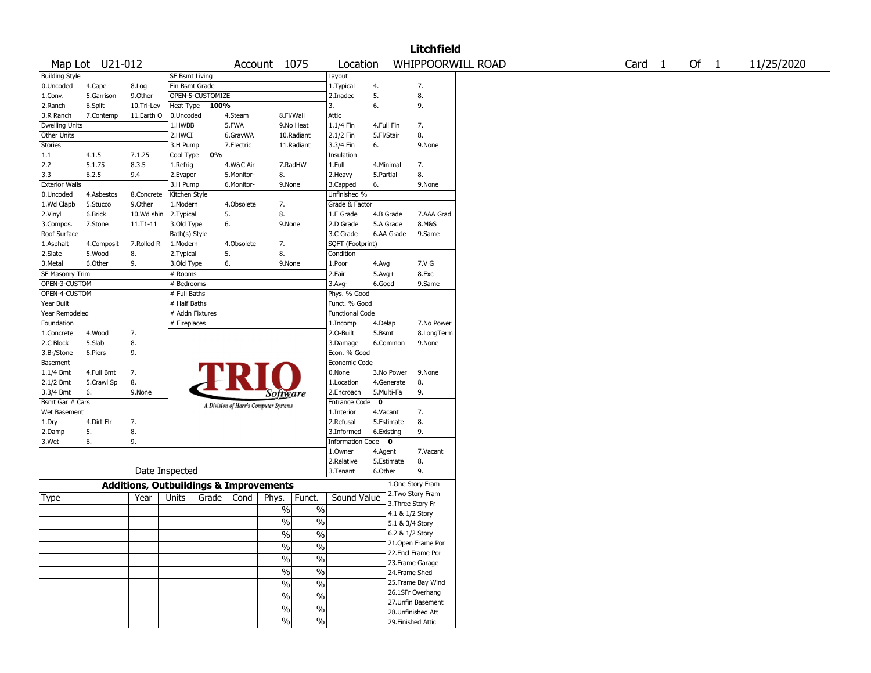|                       |                 |                                                   |                       |                  |            |                                       |                          |                        |            |                   | <b>Litchfield</b>  |                   |        |        |            |
|-----------------------|-----------------|---------------------------------------------------|-----------------------|------------------|------------|---------------------------------------|--------------------------|------------------------|------------|-------------------|--------------------|-------------------|--------|--------|------------|
|                       | Map Lot U21-012 |                                                   |                       |                  |            | Account 1075                          |                          | Location               |            |                   |                    | WHIPPOORWILL ROAD | Card 1 | Of $1$ | 11/25/2020 |
| <b>Building Style</b> |                 |                                                   | <b>SF Bsmt Living</b> |                  |            |                                       |                          | Layout                 |            |                   |                    |                   |        |        |            |
| 0.Uncoded             | 4.Cape          | 8.Log                                             | Fin Bsmt Grade        |                  |            |                                       |                          | 1. Typical             | 4.         |                   | 7.                 |                   |        |        |            |
| 1.Conv.               | 5.Garrison      | 9.Other                                           |                       | OPEN-5-CUSTOMIZE |            |                                       |                          | 2.Inadeq               | 5.         |                   | 8.                 |                   |        |        |            |
| 2.Ranch               | 6.Split         | 10.Tri-Lev                                        | Heat Type             | 100%             |            |                                       |                          | 3.                     | 6.         |                   | 9.                 |                   |        |        |            |
| 3.R Ranch             | 7.Contemp       | 11.Earth O                                        | 0.Uncoded             |                  | 4.Steam    | 8.Fl/Wall                             |                          | Attic                  |            |                   |                    |                   |        |        |            |
| <b>Dwelling Units</b> |                 |                                                   | 1.HWBB                |                  | 5.FWA      | 9.No Heat                             |                          | 1.1/4 Fin              | 4.Full Fin |                   | 7.                 |                   |        |        |            |
| Other Units           |                 |                                                   | 2.HWCI                |                  | 6.GravWA   | 10.Radiant                            |                          | 2.1/2 Fin              | 5.Fl/Stair |                   | 8.                 |                   |        |        |            |
| <b>Stories</b>        |                 |                                                   | 3.H Pump              |                  | 7.Electric | 11.Radiant                            |                          | 3.3/4 Fin              | 6.         |                   | 9.None             |                   |        |        |            |
| 1.1                   | 4.1.5           | 7.1.25                                            | Cool Type             | 0%               |            |                                       |                          | Insulation             |            |                   |                    |                   |        |        |            |
| 2.2                   | 5.1.75          | 8.3.5                                             | 1.Refrig              |                  | 4.W&C Air  | 7.RadHW                               |                          | 1.Full                 | 4.Minimal  |                   | 7.                 |                   |        |        |            |
| 3.3                   | 6.2.5           | 9.4                                               | 2.Evapor              |                  | 5.Monitor- | 8.                                    |                          | 2.Heavy                | 5.Partial  |                   | 8.                 |                   |        |        |            |
| <b>Exterior Walls</b> |                 |                                                   | 3.H Pump              |                  | 6.Monitor- | 9.None                                |                          | 3.Capped               | 6.         |                   | 9.None             |                   |        |        |            |
| 0.Uncoded             | 4.Asbestos      | 8.Concrete                                        | Kitchen Style         |                  |            |                                       |                          | Unfinished %           |            |                   |                    |                   |        |        |            |
| 1.Wd Clapb            | 5.Stucco        | 9.Other                                           | 1.Modern              |                  | 4.Obsolete | 7.                                    |                          | Grade & Factor         |            |                   |                    |                   |        |        |            |
| 2.Vinyl               | 6.Brick         | 10.Wd shin                                        | 2.Typical             |                  | 5.         | 8.                                    |                          | 1.E Grade              | 4.B Grade  |                   | 7.AAA Grad         |                   |        |        |            |
| 3.Compos.             | 7.Stone         | 11.T1-11                                          | 3.Old Type            |                  | 6.         | 9.None                                |                          | 2.D Grade              | 5.A Grade  |                   | 8.M&S              |                   |        |        |            |
| Roof Surface          |                 |                                                   | Bath(s) Style         |                  |            |                                       |                          | 3.C Grade              | 6.AA Grade |                   | 9.Same             |                   |        |        |            |
| 1.Asphalt             | 4.Composit      | 7.Rolled R                                        | 1.Modern              |                  | 4.Obsolete | 7.                                    |                          | SQFT (Footprint)       |            |                   |                    |                   |        |        |            |
| 2.Slate               | 5.Wood          | 8.                                                | 2. Typical            |                  | 5.         | 8.                                    |                          | Condition              |            |                   |                    |                   |        |        |            |
| 3.Metal               | 6.Other         | 9.                                                | 3.Old Type            |                  | 6.         | 9.None                                |                          | 1.Poor                 | 4.Avg      |                   | 7.V G              |                   |        |        |            |
| SF Masonry Trim       |                 |                                                   | # Rooms               |                  |            |                                       |                          | 2.Fair                 | $5.Avg+$   |                   | 8.Exc              |                   |        |        |            |
| OPEN-3-CUSTOM         |                 |                                                   | # Bedrooms            |                  |            |                                       |                          | 3.Avg-                 | 6.Good     |                   | 9.Same             |                   |        |        |            |
| OPEN-4-CUSTOM         |                 |                                                   | # Full Baths          |                  |            |                                       |                          | Phys. % Good           |            |                   |                    |                   |        |        |            |
| Year Built            |                 |                                                   | # Half Baths          |                  |            |                                       |                          | Funct. % Good          |            |                   |                    |                   |        |        |            |
| Year Remodeled        |                 |                                                   | # Addn Fixtures       |                  |            |                                       |                          | <b>Functional Code</b> |            |                   |                    |                   |        |        |            |
| Foundation            |                 |                                                   | # Fireplaces          |                  |            |                                       |                          | 1.Incomp               | 4.Delap    |                   | 7.No Power         |                   |        |        |            |
| 1.Concrete            | 4.Wood          | 7.                                                |                       |                  |            |                                       |                          | 2.0-Built              | 5.Bsmt     |                   | 8.LongTerm         |                   |        |        |            |
| 2.C Block             | 5.Slab          | 8.                                                |                       |                  |            |                                       |                          | 3.Damage               | 6.Common   |                   | 9.None             |                   |        |        |            |
| 3.Br/Stone            | 6.Piers         | 9.                                                |                       |                  |            |                                       |                          | Econ. % Good           |            |                   |                    |                   |        |        |            |
| Basement              |                 |                                                   |                       |                  |            |                                       |                          | Economic Code          |            |                   |                    |                   |        |        |            |
| 1.1/4 Bmt             | 4.Full Bmt      | 7.                                                |                       |                  |            |                                       |                          | 0.None                 | 3.No Power |                   | 9.None             |                   |        |        |            |
| 2.1/2 Bmt             | 5.Crawl Sp      | 8.                                                |                       |                  |            |                                       |                          | 1.Location             | 4.Generate |                   | 8.                 |                   |        |        |            |
| 3.3/4 Bmt             | 6.              | 9.None                                            |                       |                  |            | Software                              |                          | 2.Encroach             | 5.Multi-Fa |                   | 9.                 |                   |        |        |            |
| Bsmt Gar # Cars       |                 |                                                   |                       |                  |            |                                       |                          | Entrance Code 0        |            |                   |                    |                   |        |        |            |
| Wet Basement          |                 |                                                   |                       |                  |            | A Division of Harris Computer Systems |                          | 1.Interior             | 4.Vacant   |                   | 7.                 |                   |        |        |            |
| 1.Dry                 | 4.Dirt Flr      | 7.                                                |                       |                  |            |                                       |                          | 2.Refusal              | 5.Estimate |                   | 8.                 |                   |        |        |            |
| 2.Damp                | 5.              | 8.                                                |                       |                  |            |                                       |                          | 3.Informed             | 6.Existing |                   | 9.                 |                   |        |        |            |
| 3.Wet                 | 6.              | 9.                                                |                       |                  |            |                                       |                          | Information Code 0     |            |                   |                    |                   |        |        |            |
|                       |                 |                                                   |                       |                  |            |                                       |                          | 1.0wner                | 4.Agent    |                   | 7.Vacant           |                   |        |        |            |
|                       |                 |                                                   |                       |                  |            |                                       |                          | 2.Relative             | 5.Estimate |                   | 8.                 |                   |        |        |            |
|                       |                 |                                                   | Date Inspected        |                  |            |                                       |                          | 3.Tenant               | 6.Other    |                   | 9.                 |                   |        |        |            |
|                       |                 | <b>Additions, Outbuildings &amp; Improvements</b> |                       |                  |            |                                       |                          |                        |            |                   | 1.One Story Fram   |                   |        |        |            |
|                       |                 | Year                                              | Units                 | Grade            | Cond       |                                       |                          | Sound Value            |            |                   | 2. Two Story Fram  |                   |        |        |            |
| Type                  |                 |                                                   |                       |                  |            | Phys.                                 | Funct.                   |                        |            | 3. Three Story Fr |                    |                   |        |        |            |
|                       |                 |                                                   |                       |                  |            | $\%$                                  | $\%$                     |                        |            | 4.1 & 1/2 Story   |                    |                   |        |        |            |
|                       |                 |                                                   |                       |                  |            | $\%$                                  | $\%$                     |                        |            | 5.1 & 3/4 Story   |                    |                   |        |        |            |
|                       |                 |                                                   |                       |                  |            | $\frac{0}{0}$                         | $\%$                     |                        |            | 6.2 & 1/2 Story   |                    |                   |        |        |            |
|                       |                 |                                                   |                       |                  |            | $\%$                                  | $\%$                     |                        |            |                   | 21. Open Frame Por |                   |        |        |            |
|                       |                 |                                                   |                       |                  |            |                                       |                          |                        |            |                   | 22.Encl Frame Por  |                   |        |        |            |
|                       |                 |                                                   |                       |                  |            | $\frac{1}{2}$                         | $\overline{\frac{0}{6}}$ |                        |            |                   | 23. Frame Garage   |                   |        |        |            |
|                       |                 |                                                   |                       |                  |            | $\sqrt{6}$                            | $\overline{\frac{0}{0}}$ |                        |            | 24.Frame Shed     |                    |                   |        |        |            |
|                       |                 |                                                   |                       |                  |            | $\sqrt{6}$                            | $\overline{\frac{0}{6}}$ |                        |            |                   | 25. Frame Bay Wind |                   |        |        |            |
|                       |                 |                                                   |                       |                  |            | $\sqrt{6}$                            | $\overline{\frac{0}{6}}$ |                        |            |                   | 26.1SFr Overhang   |                   |        |        |            |
|                       |                 |                                                   |                       |                  |            |                                       |                          |                        |            |                   | 27.Unfin Basement  |                   |        |        |            |
|                       |                 |                                                   |                       |                  |            | $\frac{0}{0}$                         | $\%$                     |                        |            |                   | 28. Unfinished Att |                   |        |        |            |
|                       |                 |                                                   |                       |                  |            | $\sqrt{6}$                            | $\%$                     |                        |            |                   | 29. Finished Attic |                   |        |        |            |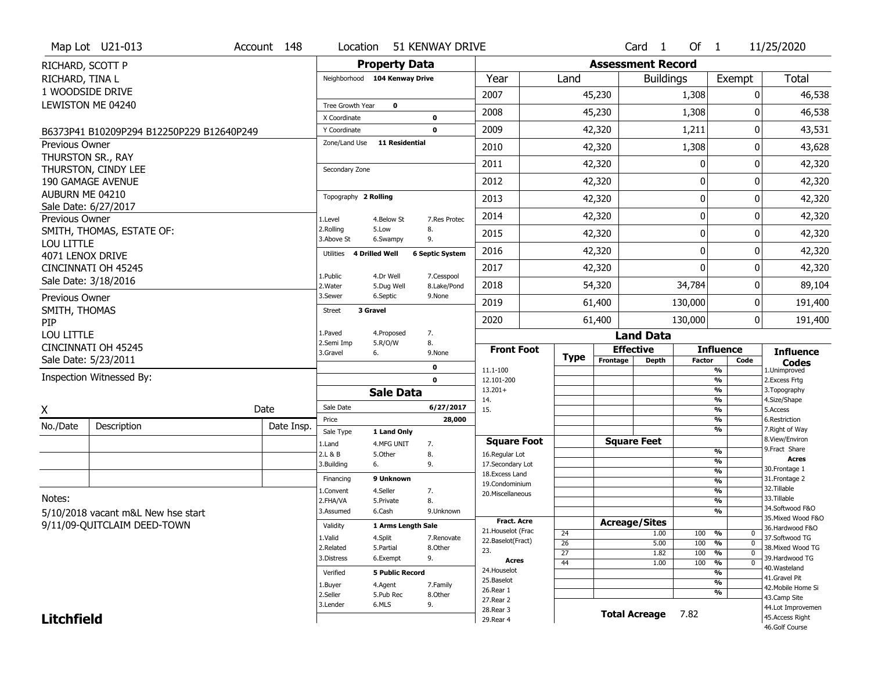|                                            | Map Lot U21-013                           |  | Account 148 |                                            | Location                      |                        | 51 KENWAY DRIVE          |                                      |                                    |             |              | $Card \t1$           | Of $1$                                                             |                                                      | 11/25/2020                        |  |  |
|--------------------------------------------|-------------------------------------------|--|-------------|--------------------------------------------|-------------------------------|------------------------|--------------------------|--------------------------------------|------------------------------------|-------------|--------------|----------------------|--------------------------------------------------------------------|------------------------------------------------------|-----------------------------------|--|--|
| RICHARD, SCOTT P                           |                                           |  |             |                                            | <b>Property Data</b>          |                        |                          | <b>Assessment Record</b>             |                                    |             |              |                      |                                                                    |                                                      |                                   |  |  |
| RICHARD, TINA L                            |                                           |  |             |                                            | Neighborhood 104 Kenway Drive |                        |                          | Year                                 |                                    | Land        |              | <b>Buildings</b>     |                                                                    | Exempt                                               | Total                             |  |  |
|                                            | 1 WOODSIDE DRIVE                          |  |             |                                            |                               |                        |                          | 2007                                 |                                    |             | 45,230       |                      | 1,308                                                              | 0                                                    | 46,538                            |  |  |
|                                            | LEWISTON ME 04240                         |  |             | Tree Growth Year                           | $\mathbf 0$                   |                        |                          | 2008                                 |                                    |             | 45,230       |                      | 1,308                                                              | U                                                    | 46,538                            |  |  |
|                                            |                                           |  |             | X Coordinate                               |                               |                        | 0                        | 2009                                 |                                    |             |              |                      |                                                                    | 0                                                    |                                   |  |  |
|                                            | B6373P41 B10209P294 B12250P229 B12640P249 |  |             | Y Coordinate<br>Zone/Land Use              |                               | <b>11 Residential</b>  | $\mathbf 0$              |                                      |                                    |             | 42,320       |                      | 1,211                                                              |                                                      | 43,531                            |  |  |
| <b>Previous Owner</b><br>THURSTON SR., RAY |                                           |  |             |                                            |                               |                        |                          | 2010                                 |                                    |             | 42,320       |                      | 1,308                                                              | 0                                                    | 43,628                            |  |  |
|                                            | THURSTON, CINDY LEE                       |  |             | Secondary Zone                             |                               |                        |                          | 2011                                 |                                    |             | 42,320       |                      | 0                                                                  | 0                                                    | 42,320                            |  |  |
|                                            | 190 GAMAGE AVENUE                         |  |             |                                            |                               |                        |                          | 2012                                 |                                    |             | 42,320       |                      | 0                                                                  | 0                                                    | 42,320                            |  |  |
| AUBURN ME 04210                            |                                           |  |             | Topography 2 Rolling                       |                               |                        |                          | 2013                                 |                                    |             | 42,320       |                      | 0                                                                  | 0                                                    | 42,320                            |  |  |
|                                            | Sale Date: 6/27/2017                      |  |             |                                            |                               |                        |                          | 2014                                 |                                    |             | 42,320       |                      | 0                                                                  | 0                                                    | 42,320                            |  |  |
| Previous Owner                             | SMITH, THOMAS, ESTATE OF:                 |  |             | 1.Level<br>2.Rolling                       | 4.Below St<br>5.Low           |                        | 7.Res Protec<br>8.       |                                      |                                    |             |              |                      | 0                                                                  | 0                                                    |                                   |  |  |
| LOU LITTLE                                 |                                           |  |             | 3.Above St                                 | 6.Swampy                      |                        | 9.                       | 2015                                 |                                    |             | 42,320       |                      |                                                                    |                                                      | 42,320                            |  |  |
| 4071 LENOX DRIVE                           |                                           |  |             | Utilities                                  | <b>4 Drilled Well</b>         |                        | <b>6 Septic System</b>   | 2016                                 |                                    |             | 42,320       |                      | $\mathbf 0$                                                        | 0                                                    | 42,320                            |  |  |
|                                            | CINCINNATI OH 45245                       |  |             | 1.Public                                   | 4.Dr Well                     |                        | 7.Cesspool               | 2017                                 |                                    |             | 42,320       |                      | $\mathbf 0$                                                        | 0                                                    | 42,320                            |  |  |
|                                            | Sale Date: 3/18/2016                      |  |             | 2. Water                                   | 5.Dug Well                    |                        | 8.Lake/Pond              | 2018                                 |                                    |             | 54,320       |                      | 34,784                                                             | 0                                                    | 89,104                            |  |  |
| Previous Owner                             |                                           |  |             | 3.Sewer                                    | 6.Septic                      |                        | 9.None                   | 2019                                 |                                    |             | 61,400       | 130,000              |                                                                    | 0                                                    | 191,400                           |  |  |
| SMITH, THOMAS                              |                                           |  |             | <b>Street</b>                              | 3 Gravel                      |                        |                          | 2020                                 |                                    |             | 61,400       |                      | 130,000                                                            | 0                                                    | 191,400                           |  |  |
| PIP<br>LOU LITTLE                          |                                           |  |             | 1.Paved                                    | 4.Proposed                    |                        | 7.                       |                                      |                                    |             |              | <b>Land Data</b>     |                                                                    |                                                      |                                   |  |  |
|                                            | CINCINNATI OH 45245                       |  |             | 2.Semi Imp                                 | 5.R/O/W                       |                        | 8.                       | <b>Front Foot</b>                    |                                    |             |              | <b>Effective</b>     |                                                                    | <b>Influence</b>                                     | <b>Influence</b>                  |  |  |
|                                            | Sale Date: 5/23/2011                      |  |             | 3.Gravel                                   | 6.                            |                        | 9.None                   |                                      |                                    | <b>Type</b> | Frontage     | <b>Depth</b>         | <b>Factor</b>                                                      | Code                                                 | <b>Codes</b>                      |  |  |
|                                            | Inspection Witnessed By:                  |  |             | 0<br>$\mathbf 0$                           |                               |                        | 11.1-100<br>12.101-200   |                                      |                                    |             |              |                      | %<br>$\overline{\frac{9}{6}}$                                      | 1.Unimproved<br>2. Excess Frtg                       |                                   |  |  |
|                                            |                                           |  |             |                                            | <b>Sale Data</b>              |                        |                          | $13.201+$                            |                                    |             |              |                      |                                                                    | $\overline{\frac{9}{6}}$                             | 3. Topography                     |  |  |
| X                                          |                                           |  | Date        | Sale Date                                  |                               |                        | 6/27/2017                | 14.<br>15.                           |                                    |             |              |                      |                                                                    | $\overline{\frac{9}{6}}$<br>$\overline{\frac{9}{6}}$ | 4.Size/Shape<br>5.Access          |  |  |
| No./Date                                   | Description                               |  | Date Insp.  | Price                                      |                               |                        | 28,000                   |                                      |                                    |             |              |                      |                                                                    | %                                                    | 6.Restriction                     |  |  |
|                                            |                                           |  |             | Sale Type                                  | 1 Land Only                   |                        |                          |                                      |                                    |             |              | <b>Square Feet</b>   |                                                                    | %                                                    | 7. Right of Way<br>8.View/Environ |  |  |
|                                            |                                           |  |             | 1.Land<br>2.L & B                          | 4.MFG UNIT<br>5.0ther         |                        | 7.<br>8.                 | <b>Square Foot</b><br>16.Regular Lot |                                    |             |              |                      |                                                                    | %                                                    | 9. Fract Share                    |  |  |
|                                            |                                           |  |             | 3.Building                                 | 6.                            |                        | 9.                       | 17.Secondary Lot                     |                                    |             |              |                      |                                                                    | %                                                    | <b>Acres</b><br>30. Frontage 1    |  |  |
|                                            |                                           |  |             | Financing                                  | 9 Unknown                     |                        |                          | 18.Excess Land<br>19.Condominium     |                                    |             |              |                      |                                                                    | %<br>%                                               | 31. Frontage 2                    |  |  |
| Notes:                                     |                                           |  |             | L.Convent                                  | 4.Seller                      |                        | 7.                       | 20.Miscellaneous                     |                                    |             |              |                      |                                                                    | %                                                    | 32. Tillable<br>33.Tillable       |  |  |
|                                            | 5/10/2018 vacant m&L New hse start        |  |             | 2.FHA/VA<br>3.Assumed                      | 5.Private<br>6.Cash           |                        | 8.<br>9.Unknown          |                                      |                                    |             |              |                      |                                                                    | %<br>%                                               | 34.Softwood F&O                   |  |  |
|                                            | 9/11/09-QUITCLAIM DEED-TOWN               |  |             | Validity                                   |                               | 1 Arms Length Sale     |                          | <b>Fract. Acre</b>                   |                                    |             |              | <b>Acreage/Sites</b> |                                                                    |                                                      | 35. Mixed Wood F&O                |  |  |
|                                            |                                           |  | 1.Valid     | 4.Split                                    |                               | 7.Renovate             | 21. Houselot (Frac       |                                      | 24                                 |             | 1.00         | 100                  | %<br>0                                                             | 36.Hardwood F&O<br>37.Softwood TG                    |                                   |  |  |
|                                            |                                           |  | 2.Related   | 5.Partial                                  |                               | 8.Other                | 22.Baselot(Fract)<br>23. |                                      | $\overline{26}$<br>$\overline{27}$ |             | 5.00<br>1.82 | 100<br>100           | $\overline{0}$<br>$\frac{9}{6}$<br>$\frac{9}{6}$<br>$\overline{0}$ | 38. Mixed Wood TG                                    |                                   |  |  |
|                                            |                                           |  | 3.Distress  | 6.Exempt                                   |                               | 9.                     | Acres                    |                                      | $\overline{44}$                    |             | 1.00         | 100                  | $\overline{\mathfrak{o}}$<br>$\frac{9}{6}$                         | 39.Hardwood TG                                       |                                   |  |  |
|                                            |                                           |  |             |                                            |                               | <b>5 Public Record</b> |                          | 24. Houselot                         |                                    |             |              |                      |                                                                    | %                                                    | 40. Wasteland<br>41.Gravel Pit    |  |  |
|                                            |                                           |  |             | Verified<br>4.Agent<br>7.Family<br>1.Buyer |                               |                        | 25.Baselot               |                                      |                                    |             |              |                      | $\overline{\frac{9}{6}}$                                           | 42. Mobile Home Si                                   |                                   |  |  |
|                                            |                                           |  |             | 2.Seller                                   | 5.Pub Rec                     |                        | 8.Other                  | 26.Rear 1<br>27. Rear 2              |                                    |             |              |                      |                                                                    | %                                                    | 43.Camp Site                      |  |  |
|                                            |                                           |  |             | 3.Lender                                   | 6.MLS                         |                        | 9.                       | 28. Rear 3                           |                                    |             |              | <b>Total Acreage</b> | 7.82                                                               |                                                      | 44.Lot Improvemen                 |  |  |
| <b>Litchfield</b>                          |                                           |  |             |                                            |                               | 29. Rear 4             |                          |                                      |                                    |             |              |                      | 45.Access Right<br>46.Golf Course                                  |                                                      |                                   |  |  |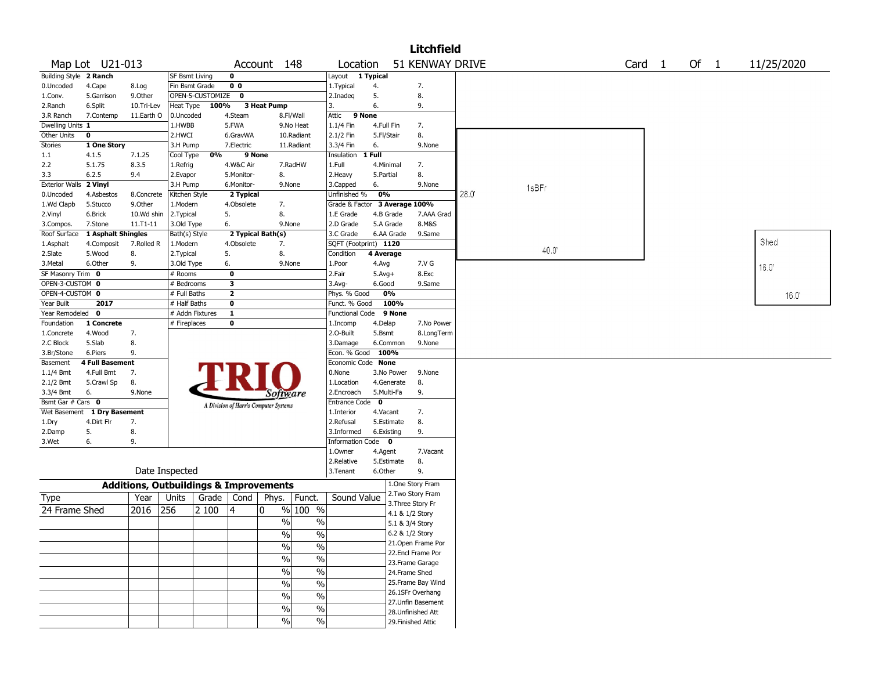| <b>Litchfield</b>                                                                                        |                        |                                                   |                       |                  |                |                                       |               |                               |            |                 |                    |      |       |  |  |       |
|----------------------------------------------------------------------------------------------------------|------------------------|---------------------------------------------------|-----------------------|------------------|----------------|---------------------------------------|---------------|-------------------------------|------------|-----------------|--------------------|------|-------|--|--|-------|
| 51 KENWAY DRIVE<br>Map Lot U21-013<br>Of 1<br>Account 148<br>Location<br>Card <sub>1</sub><br>11/25/2020 |                        |                                                   |                       |                  |                |                                       |               |                               |            |                 |                    |      |       |  |  |       |
| Building Style 2 Ranch                                                                                   |                        |                                                   | <b>SF Bsmt Living</b> |                  | 0              |                                       |               | Layout                        | 1 Typical  |                 |                    |      |       |  |  |       |
| 0.Uncoded                                                                                                | 4.Cape                 | 8.Log                                             | Fin Bsmt Grade        |                  | 0 <sub>0</sub> |                                       |               | 1.Typical                     | 4.         |                 | 7.                 |      |       |  |  |       |
| 1.Conv.                                                                                                  | 5.Garrison             | 9.0ther                                           |                       | OPEN-5-CUSTOMIZE | $\mathbf 0$    |                                       |               | 2.Inadeg                      | 5.         |                 | 8.                 |      |       |  |  |       |
| 2.Ranch                                                                                                  | 6.Split                | 10.Tri-Lev                                        | Heat Type             | 100%             |                | <b>3 Heat Pump</b>                    |               | 3.                            | 6.         |                 | 9.                 |      |       |  |  |       |
| 3.R Ranch                                                                                                | 7.Contemp              | 11.Earth O                                        | 0.Uncoded             |                  | 4.Steam        |                                       | 8.Fl/Wall     | Attic<br>9 None               |            |                 |                    |      |       |  |  |       |
| Dwelling Units 1                                                                                         |                        |                                                   | 1.HWBB                |                  | 5.FWA          |                                       | 9.No Heat     | 1.1/4 Fin                     | 4.Full Fin |                 | 7.                 |      |       |  |  |       |
| Other Units                                                                                              | 0                      |                                                   | 2.HWCI                |                  | 6.GravWA       |                                       | 10.Radiant    | 2.1/2 Fin                     | 5.Fl/Stair |                 | 8.                 |      |       |  |  |       |
| <b>Stories</b>                                                                                           | 1 One Story            |                                                   | 3.H Pump              |                  | 7.Electric     |                                       | 11.Radiant    | 3.3/4 Fin                     | 6.         |                 | 9.None             |      |       |  |  |       |
| $1.1\,$                                                                                                  | 4.1.5                  | 7.1.25                                            | Cool Type             | 0%               | 9 None         |                                       |               | Insulation                    | 1 Full     |                 |                    |      |       |  |  |       |
| 2.2                                                                                                      | 5.1.75                 | 8.3.5                                             | 1.Refrig              |                  | 4.W&C Air      |                                       | 7.RadHW       | 1.Full                        | 4.Minimal  |                 | 7.                 |      |       |  |  |       |
| 3.3                                                                                                      | 6.2.5                  | 9.4                                               | 2.Evapor              |                  | 5.Monitor-     | 8.                                    |               | 2. Heavy                      | 5.Partial  |                 | 8.                 |      |       |  |  |       |
| <b>Exterior Walls</b>                                                                                    | 2 Vinyl                |                                                   | 3.H Pump              |                  | 6.Monitor-     | 9.None                                |               | 3.Capped                      | 6.         |                 | 9.None             |      | 1sBFr |  |  |       |
| 0.Uncoded                                                                                                | 4.Asbestos             | 8.Concrete                                        | Kitchen Style         |                  | 2 Typical      |                                       |               | Unfinished %                  | 0%         |                 |                    | 28.0 |       |  |  |       |
| 1.Wd Clapb                                                                                               | 5.Stucco               | 9.Other                                           | 1.Modern              |                  | 4.Obsolete     | 7.                                    |               | Grade & Factor 3 Average 100% |            |                 |                    |      |       |  |  |       |
| 2.Vinyl                                                                                                  | 6.Brick                | 10.Wd shin                                        | 2.Typical             |                  | 5.             | 8.                                    |               | 1.E Grade                     | 4.B Grade  |                 | 7.AAA Grad         |      |       |  |  |       |
| 3.Compos.                                                                                                | 7.Stone                | $11. T1 - 11$                                     | 3.Old Type            |                  | 6.             | 9.None                                |               | 2.D Grade                     | 5.A Grade  |                 | 8.M&S              |      |       |  |  |       |
| Roof Surface                                                                                             | 1 Asphalt Shingles     |                                                   | Bath(s) Style         |                  |                | 2 Typical Bath(s)                     |               | 3.C Grade                     |            | 6.AA Grade      | 9.Same             |      |       |  |  |       |
| 1.Asphalt                                                                                                | 4.Composit             | 7.Rolled R                                        | 1.Modern              |                  | 4.Obsolete     | 7.                                    |               | SQFT (Footprint) 1120         |            |                 |                    |      |       |  |  | Shed  |
| 2.Slate                                                                                                  | 5.Wood                 | 8.                                                | 2.Typical             |                  | 5.             | 8.                                    |               | Condition                     | 4 Average  |                 |                    |      | 40.0  |  |  |       |
| 3.Metal                                                                                                  | 6.Other                | 9.                                                | 3.Old Type            |                  | 6.             | 9.None                                |               | 1.Poor                        | 4.Avg      |                 | 7.V G              |      |       |  |  | 16.0  |
| SF Masonry Trim 0                                                                                        |                        |                                                   | # Rooms               |                  | 0              |                                       |               | 2.Fair                        | $5.Avg+$   |                 | 8.Exc              |      |       |  |  |       |
| OPEN-3-CUSTOM 0                                                                                          |                        |                                                   | # Bedrooms            |                  | 3              |                                       |               | $3.$ Avg-                     | 6.Good     |                 | 9.Same             |      |       |  |  |       |
|                                                                                                          | OPEN-4-CUSTOM 0        |                                                   |                       | # Full Baths     | 2              |                                       |               | Phys. % Good                  | 0%         |                 |                    |      |       |  |  | 16.0' |
| Year Built                                                                                               | 2017<br># Half Baths   |                                                   |                       |                  | 0              |                                       |               | Funct. % Good                 |            | 100%            |                    |      |       |  |  |       |
| Year Remodeled<br>$\overline{\mathbf{0}}$<br># Addn Fixtures<br>1                                        |                        |                                                   |                       |                  |                | Functional Code 9 None                |               |                               |            |                 |                    |      |       |  |  |       |
| Foundation<br>1 Concrete                                                                                 |                        |                                                   | # Fireplaces          |                  | 0              |                                       |               | 1.Incomp                      | 4.Delap    |                 | 7.No Power         |      |       |  |  |       |
| 1.Concrete                                                                                               | 4.Wood                 | 7.                                                |                       |                  |                |                                       |               | 2.O-Built                     | 5.Bsmt     |                 | 8.LongTerm         |      |       |  |  |       |
| 2.C Block                                                                                                | 5.Slab                 | 8.                                                |                       |                  |                |                                       |               | 3.Damage                      |            | 6.Common        | 9.None             |      |       |  |  |       |
| 3.Br/Stone                                                                                               | 6.Piers                | 9.                                                |                       |                  |                |                                       |               | Econ. % Good 100%             |            |                 |                    |      |       |  |  |       |
| Basement                                                                                                 | <b>4 Full Basement</b> |                                                   |                       |                  |                |                                       |               | Economic Code None            |            |                 |                    |      |       |  |  |       |
| 1.1/4 Bmt                                                                                                | 4.Full Bmt             | 7.                                                |                       |                  |                |                                       |               | 0.None                        |            | 3.No Power      | 9.None             |      |       |  |  |       |
| 2.1/2 Bmt                                                                                                | 5.Crawl Sp             | 8.                                                |                       |                  |                |                                       |               | 1.Location                    |            | 4.Generate      | 8.                 |      |       |  |  |       |
| 3.3/4 Bmt                                                                                                | 6.                     | 9.None                                            |                       |                  |                | <i>Software</i>                       |               | 2.Encroach                    | 5.Multi-Fa |                 | 9.                 |      |       |  |  |       |
| Bsmt Gar # Cars 0                                                                                        |                        |                                                   |                       |                  |                | A Division of Harris Computer Systems |               | Entrance Code 0               |            |                 |                    |      |       |  |  |       |
| Wet Basement                                                                                             | 1 Dry Basement         |                                                   |                       |                  |                |                                       |               | 1.Interior                    | 4.Vacant   |                 | 7.                 |      |       |  |  |       |
| 1.Dry                                                                                                    | 4.Dirt Flr             | 7.                                                |                       |                  |                |                                       |               | 2.Refusal                     |            | 5.Estimate      | 8.                 |      |       |  |  |       |
| 2.Damp                                                                                                   | 5.                     | 8.                                                |                       |                  |                |                                       |               | 3.Informed                    | 6.Existing |                 | 9.                 |      |       |  |  |       |
| 3.Wet                                                                                                    | 6.                     | 9.                                                |                       |                  |                |                                       |               | Information Code 0            |            |                 |                    |      |       |  |  |       |
|                                                                                                          |                        |                                                   |                       |                  |                |                                       |               | 1.Owner                       | 4.Agent    |                 | 7.Vacant           |      |       |  |  |       |
|                                                                                                          |                        |                                                   |                       |                  |                |                                       |               | 2.Relative                    |            | 5.Estimate      | 8.                 |      |       |  |  |       |
|                                                                                                          |                        |                                                   | Date Inspected        |                  |                |                                       |               | 3. Tenant                     | 6.Other    |                 | 9.                 |      |       |  |  |       |
|                                                                                                          |                        | <b>Additions, Outbuildings &amp; Improvements</b> |                       |                  |                |                                       |               |                               |            |                 | 1.One Story Fram   |      |       |  |  |       |
| Type                                                                                                     |                        | Year                                              | Units                 | Grade            | Cond           | Phys.                                 | Funct.        | Sound Value                   |            |                 | 2.Two Story Fram   |      |       |  |  |       |
|                                                                                                          |                        |                                                   |                       |                  |                |                                       |               |                               |            |                 | 3. Three Story Fr  |      |       |  |  |       |
| 24 Frame Shed                                                                                            |                        | 2016                                              | 256                   | 2 100            | 4              | 0                                     | $%100$ %      |                               |            | 4.1 & 1/2 Story |                    |      |       |  |  |       |
|                                                                                                          |                        |                                                   |                       |                  |                | $\frac{0}{0}$                         | $\%$          |                               |            | 5.1 & 3/4 Story |                    |      |       |  |  |       |
|                                                                                                          |                        |                                                   |                       |                  |                | $\sqrt{6}$                            | $\frac{0}{6}$ |                               |            | 6.2 & 1/2 Story |                    |      |       |  |  |       |
|                                                                                                          |                        |                                                   |                       |                  |                | $\%$                                  | $\frac{1}{2}$ |                               |            |                 | 21.Open Frame Por  |      |       |  |  |       |
|                                                                                                          |                        |                                                   |                       |                  |                |                                       |               |                               |            |                 | 22.Encl Frame Por  |      |       |  |  |       |
|                                                                                                          |                        |                                                   |                       |                  |                | $\sqrt{6}$                            | $\frac{1}{2}$ |                               |            |                 | 23. Frame Garage   |      |       |  |  |       |
|                                                                                                          |                        |                                                   |                       |                  |                | $\%$                                  | $\frac{1}{2}$ |                               |            | 24.Frame Shed   |                    |      |       |  |  |       |
|                                                                                                          |                        |                                                   |                       |                  |                | %                                     | $\frac{1}{2}$ |                               |            |                 | 25. Frame Bay Wind |      |       |  |  |       |
|                                                                                                          |                        |                                                   |                       |                  |                |                                       |               |                               |            |                 | 26.1SFr Overhang   |      |       |  |  |       |
|                                                                                                          |                        |                                                   |                       |                  |                | $\%$                                  | $\%$          |                               |            |                 | 27.Unfin Basement  |      |       |  |  |       |
|                                                                                                          |                        |                                                   |                       |                  |                | $\sqrt{6}$                            | $\frac{0}{6}$ |                               |            |                 | 28. Unfinished Att |      |       |  |  |       |
|                                                                                                          |                        |                                                   |                       |                  |                | $\%$                                  | $\sqrt{6}$    |                               |            |                 | 29. Finished Attic |      |       |  |  |       |
|                                                                                                          |                        |                                                   |                       |                  |                |                                       |               |                               |            |                 |                    |      |       |  |  |       |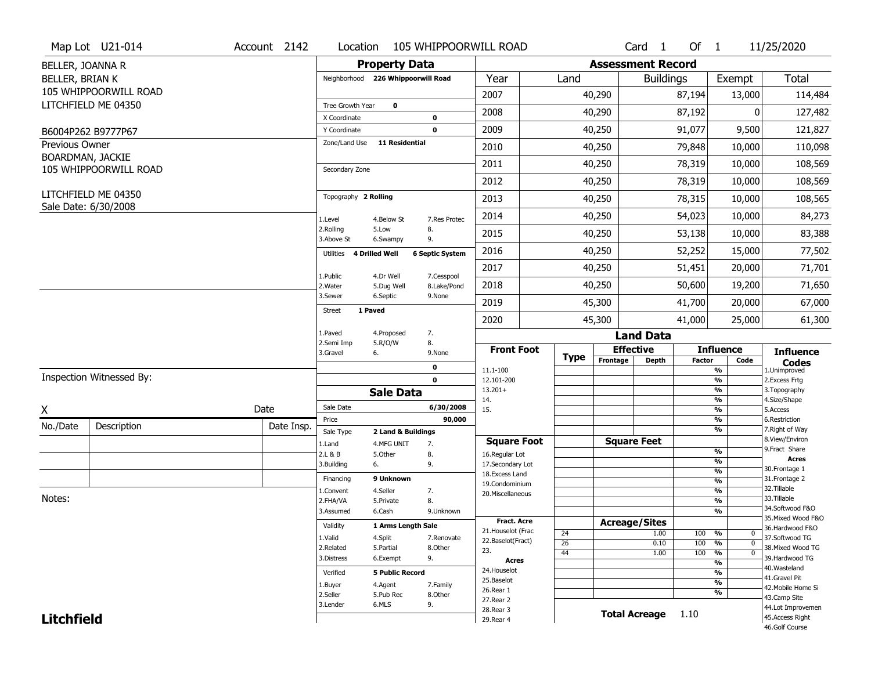|                        | Map Lot U21-014          | Account 2142 | Location                                                    |                                        | 105 WHIPPOORWILL ROAD              |                 |                          | Card <sub>1</sub> | Of $1$                                    |                                | 11/25/2020                        |  |  |
|------------------------|--------------------------|--------------|-------------------------------------------------------------|----------------------------------------|------------------------------------|-----------------|--------------------------|-------------------|-------------------------------------------|--------------------------------|-----------------------------------|--|--|
| BELLER, JOANNA R       |                          |              |                                                             | <b>Property Data</b>                   |                                    |                 | <b>Assessment Record</b> |                   |                                           |                                |                                   |  |  |
| <b>BELLER, BRIAN K</b> |                          |              |                                                             | Neighborhood 226 Whippoorwill Road     | Year                               | Land            |                          | <b>Buildings</b>  |                                           | Exempt                         | <b>Total</b>                      |  |  |
|                        | 105 WHIPPOORWILL ROAD    |              |                                                             |                                        | 2007                               |                 | 40,290                   |                   | 87,194                                    | 13,000                         | 114,484                           |  |  |
|                        | LITCHFIELD ME 04350      |              | Tree Growth Year                                            | $\mathbf 0$                            | 2008                               |                 | 40,290                   |                   | 87,192                                    | 0                              | 127,482                           |  |  |
|                        |                          |              | X Coordinate                                                | 0                                      |                                    |                 |                          |                   |                                           |                                |                                   |  |  |
|                        | B6004P262 B9777P67       |              | Y Coordinate                                                | $\mathbf 0$                            | 2009                               |                 | 40,250                   |                   | 91,077                                    | 9,500                          | 121,827                           |  |  |
| <b>Previous Owner</b>  | BOARDMAN, JACKIE         |              | Zone/Land Use                                               | <b>11 Residential</b>                  | 2010                               |                 | 40,250                   |                   | 79,848                                    | 10,000                         | 110,098                           |  |  |
|                        | 105 WHIPPOORWILL ROAD    |              | Secondary Zone                                              |                                        | 2011                               |                 | 40,250                   |                   | 78,319                                    | 10,000                         | 108,569                           |  |  |
|                        |                          |              |                                                             |                                        | 2012                               |                 | 40,250                   |                   | 78,319                                    | 10,000                         | 108,569                           |  |  |
|                        | LITCHFIELD ME 04350      |              | Topography 2 Rolling                                        |                                        | 2013                               |                 | 40,250                   |                   | 78,315                                    | 10,000                         | 108,565                           |  |  |
|                        | Sale Date: 6/30/2008     |              | 1.Level                                                     | 4.Below St<br>7.Res Protec             | 2014                               |                 | 40,250                   |                   | 54,023                                    | 10,000                         | 84,273                            |  |  |
|                        |                          |              | 2.Rolling<br>3.Above St                                     | 5.Low<br>8.<br>9.<br>6.Swampy          | 2015                               |                 | 40,250                   |                   | 53,138                                    | 10,000                         | 83,388                            |  |  |
|                        |                          |              | 4 Drilled Well<br>Utilities                                 | <b>6 Septic System</b>                 | 2016                               |                 | 40,250                   |                   | 52,252                                    | 15,000                         | 77,502                            |  |  |
|                        |                          |              | 1.Public                                                    | 4.Dr Well<br>7.Cesspool                | 2017                               |                 | 40,250                   |                   | 51,451                                    | 20,000                         | 71,701                            |  |  |
|                        |                          |              | 2. Water                                                    | 8.Lake/Pond<br>5.Dug Well              | 2018                               |                 | 40,250                   |                   | 50,600                                    | 19,200                         | 71,650                            |  |  |
|                        |                          |              | 3.Sewer                                                     | 6.Septic<br>9.None                     | 2019                               |                 | 45,300                   |                   | 41,700                                    | 20,000                         | 67,000                            |  |  |
|                        |                          |              | 1 Paved<br>Street                                           |                                        | 2020                               |                 | 45,300                   |                   | 41,000                                    | 25,000                         | 61,300                            |  |  |
|                        |                          |              | 1.Paved<br>2.Semi Imp                                       | 4.Proposed<br>7.<br>5.R/O/W<br>8.      |                                    |                 |                          | <b>Land Data</b>  |                                           |                                |                                   |  |  |
|                        |                          |              | 3.Gravel<br>6.                                              | 9.None                                 | <b>Front Foot</b>                  | <b>Type</b>     | <b>Effective</b>         |                   |                                           | <b>Influence</b>               | <b>Influence</b>                  |  |  |
|                        |                          |              |                                                             | 0                                      | 11.1-100                           |                 | Frontage                 | <b>Depth</b>      | <b>Factor</b>                             | Code<br>$\frac{9}{6}$          | <b>Codes</b><br>1.Unimproved      |  |  |
|                        | Inspection Witnessed By: |              |                                                             | $\mathbf 0$                            | 12.101-200                         |                 |                          |                   |                                           | $\frac{9}{6}$                  | 2.Excess Frtg                     |  |  |
|                        |                          |              |                                                             | <b>Sale Data</b>                       | $13.201+$<br>14.                   |                 |                          |                   |                                           | $\frac{9}{6}$<br>$\frac{9}{6}$ | 3. Topography<br>4.Size/Shape     |  |  |
| X                      |                          | Date         | Sale Date                                                   | 6/30/2008                              | 15.                                |                 |                          |                   |                                           | $\frac{9}{6}$                  | 5.Access                          |  |  |
| No./Date               | Description              | Date Insp.   | Price                                                       |                                        | 90,000                             |                 |                          |                   |                                           | $\frac{9}{6}$<br>$\frac{9}{6}$ | 6.Restriction<br>7. Right of Way  |  |  |
|                        |                          |              | Sale Type<br>1.Land                                         | 2 Land & Buildings<br>7.<br>4.MFG UNIT | <b>Square Foot</b>                 |                 | <b>Square Feet</b>       |                   |                                           |                                | 8.View/Environ                    |  |  |
|                        |                          |              | 2.L & B                                                     | 8.<br>5.Other                          | 16.Regular Lot                     |                 |                          |                   |                                           | $\frac{9}{6}$                  | 9. Fract Share                    |  |  |
|                        |                          |              | 3.Building<br>6.                                            | 9.                                     | 17.Secondary Lot                   |                 |                          |                   |                                           | %<br>$\frac{9}{6}$             | <b>Acres</b><br>30. Frontage 1    |  |  |
|                        |                          |              | Financing                                                   | 9 Unknown                              | 18. Excess Land                    |                 |                          |                   |                                           | $\frac{9}{6}$                  | 31. Frontage 2                    |  |  |
|                        |                          |              | 1.Convent                                                   | 4.Seller<br>7.                         | 19.Condominium<br>20.Miscellaneous |                 |                          |                   |                                           | %                              | 32.Tillable                       |  |  |
| Notes:                 |                          |              | 2.FHA/VA                                                    | 8.<br>5.Private                        |                                    |                 |                          |                   |                                           | %                              | 33.Tillable                       |  |  |
|                        |                          |              | 3.Assumed                                                   | 6.Cash<br>9.Unknown                    |                                    |                 |                          |                   |                                           | %                              | 34.Softwood F&O                   |  |  |
|                        |                          |              |                                                             | 1 Arms Length Sale                     | Fract. Acre                        |                 | <b>Acreage/Sites</b>     |                   |                                           |                                | 35. Mixed Wood F&O                |  |  |
|                        |                          |              | Validity<br>1.Valid                                         | 4.Split<br>7.Renovate                  | 21. Houselot (Frac                 | 24              |                          | 1.00              | 100 %                                     | 0                              | 36.Hardwood F&O<br>37.Softwood TG |  |  |
|                        |                          |              | 2.Related                                                   | 5.Partial<br>8.Other                   | 22.Baselot(Fract)                  | $\overline{26}$ |                          | 0.10              | 100                                       | $\frac{9}{6}$<br>$\mathbf{0}$  | 38. Mixed Wood TG                 |  |  |
|                        |                          |              | 3.Distress                                                  | 9.<br>6.Exempt                         | 23.<br>Acres                       | 44              |                          | 1.00              | 100                                       | %<br>$\mathbf{0}$              | 39.Hardwood TG                    |  |  |
|                        |                          |              |                                                             | <b>5 Public Record</b>                 | 24. Houselot                       |                 |                          |                   |                                           | $\frac{9}{6}$                  | 40. Wasteland                     |  |  |
|                        |                          |              | Verified                                                    |                                        | 25.Baselot                         |                 |                          |                   | $\overline{\frac{9}{6}}$<br>$\frac{9}{6}$ |                                | 41.Gravel Pit                     |  |  |
|                        |                          |              | 1.Buyer                                                     | 4.Agent<br>7.Family                    | 26.Rear 1                          |                 |                          |                   |                                           | $\frac{9}{6}$                  | 42. Mobile Home Si                |  |  |
|                        |                          |              | 2.Seller<br>5.Pub Rec<br>8.0ther<br>6.MLS<br>9.<br>3.Lender |                                        |                                    | 27.Rear 2       |                          |                   |                                           |                                | 43.Camp Site<br>44.Lot Improvemen |  |  |
|                        |                          |              |                                                             |                                        | 28. Rear 3                         |                 |                          |                   | Total Acreage 1.10                        |                                |                                   |  |  |
| <b>Litchfield</b>      |                          |              |                                                             |                                        | 29. Rear 4                         |                 |                          |                   |                                           |                                | 45.Access Right<br>46.Golf Course |  |  |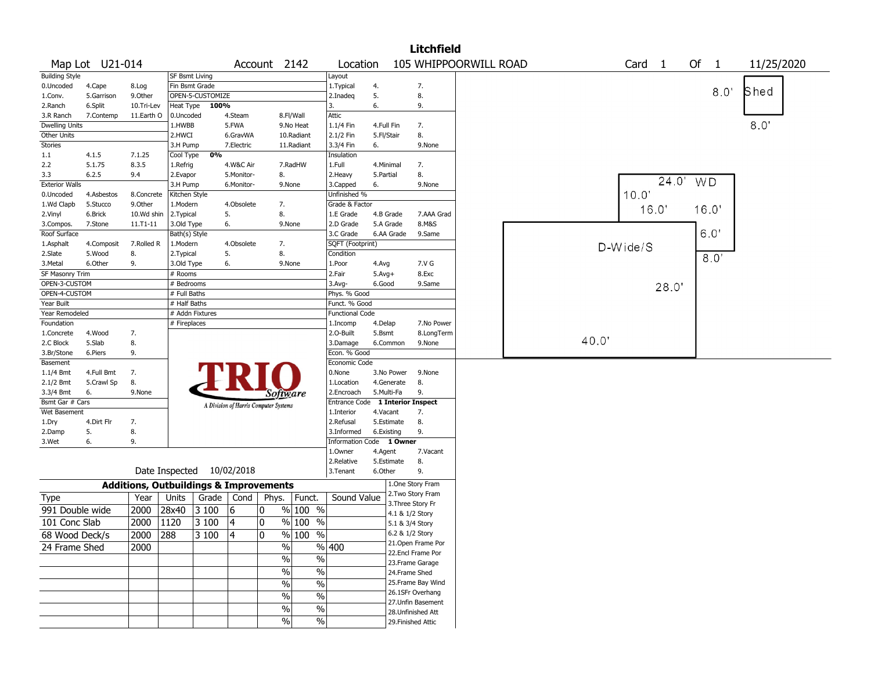|                       |                 |            |                |                                                   |            |                                       |                     |                                  |              |                 | <b>Litchfield</b>  |                       |  |       |                   |       |    |                |            |  |
|-----------------------|-----------------|------------|----------------|---------------------------------------------------|------------|---------------------------------------|---------------------|----------------------------------|--------------|-----------------|--------------------|-----------------------|--|-------|-------------------|-------|----|----------------|------------|--|
|                       | Map Lot U21-014 |            |                |                                                   |            | Account 2142                          |                     | Location                         |              |                 |                    | 105 WHIPPOORWILL ROAD |  |       | Card <sub>1</sub> |       | Of | $\overline{1}$ | 11/25/2020 |  |
| <b>Building Style</b> |                 |            | SF Bsmt Living |                                                   |            |                                       |                     | Layout                           |              |                 |                    |                       |  |       |                   |       |    |                |            |  |
| 0.Uncoded             | 4.Cape          | 8.Log      |                | Fin Bsmt Grade                                    |            |                                       |                     | 1. Typical                       | 4.           |                 | 7.                 |                       |  |       |                   |       |    | 8.0'           | Shed       |  |
| 1.Conv.               | 5.Garrison      | 9.Other    |                | OPEN-5-CUSTOMIZE                                  |            |                                       |                     | 2.Inadeq                         | 5.           |                 | 8.                 |                       |  |       |                   |       |    |                |            |  |
| 2.Ranch               | 6.Split         | 10.Tri-Lev |                | Heat Type 100%                                    |            |                                       |                     | 3.                               | 6.           |                 | 9.                 |                       |  |       |                   |       |    |                |            |  |
| 3.R Ranch             | 7.Contemp       | 11.Earth O | 0.Uncoded      |                                                   | 4.Steam    |                                       | 8.Fl/Wall           | Attic                            |              |                 |                    |                       |  |       |                   |       |    |                |            |  |
| <b>Dwelling Units</b> |                 |            | 1.HWBB         |                                                   | 5.FWA      |                                       | 9.No Heat           | 1.1/4 Fin                        | 4.Full Fin   |                 | 7.                 |                       |  |       |                   |       |    |                | 8.0        |  |
| Other Units           |                 |            | 2.HWCI         |                                                   | 6.GravWA   |                                       | 10.Radiant          | 2.1/2 Fin                        | 5.Fl/Stair   |                 | 8.                 |                       |  |       |                   |       |    |                |            |  |
| Stories               |                 |            | 3.H Pump       |                                                   | 7.Electric |                                       | 11.Radiant          | 3.3/4 Fin                        | 6.           |                 | 9.None             |                       |  |       |                   |       |    |                |            |  |
| 1.1                   | 4.1.5           | 7.1.25     | Cool Type      | $\overline{0\%}$                                  |            |                                       |                     | Insulation                       |              |                 |                    |                       |  |       |                   |       |    |                |            |  |
| 2.2                   | 5.1.75          | 8.3.5      | 1.Refrig       |                                                   | 4.W&C Air  |                                       | 7.RadHW             | 1.Full                           | 4.Minimal    |                 | 7.                 |                       |  |       |                   |       |    |                |            |  |
| 3.3                   | 6.2.5           | 9.4        | 2.Evapor       |                                                   | 5.Monitor- | 8.                                    |                     | 2.Heavy                          | 5.Partial    |                 | 8.                 |                       |  |       |                   | 24.0' |    |                |            |  |
| <b>Exterior Walls</b> |                 |            | 3.H Pump       |                                                   | 6.Monitor- | 9.None                                |                     | 3.Capped                         | 6.           |                 | 9.None             |                       |  |       |                   |       |    | WD             |            |  |
| 0.Uncoded             | 4.Asbestos      | 8.Concrete | Kitchen Style  |                                                   |            |                                       |                     | Unfinished %                     |              |                 |                    |                       |  |       | 10.0'             |       |    |                |            |  |
| 1.Wd Clapb            | 5.Stucco        | 9.Other    | 1.Modern       |                                                   | 4.Obsolete | 7.                                    |                     | Grade & Factor                   |              |                 |                    |                       |  |       |                   | 16.0' |    | 16.0'          |            |  |
| 2.Vinyl               | 6.Brick         | 10.Wd shin | 2. Typical     |                                                   | 5.         | 8.                                    |                     | 1.E Grade                        | 4.B Grade    |                 | 7.AAA Grad         |                       |  |       |                   |       |    |                |            |  |
| 3.Compos.             | 7.Stone         | 11.T1-11   | 3.Old Type     |                                                   | 6.         | 9.None                                |                     | 2.D Grade                        | 5.A Grade    |                 | 8.M&S              |                       |  |       |                   |       |    |                |            |  |
| Roof Surface          |                 |            | Bath(s) Style  |                                                   |            |                                       |                     | 3.C Grade                        | 6.AA Grade   |                 | 9.Same             |                       |  |       |                   |       |    | 6.0'           |            |  |
| 1.Asphalt             | 4.Composit      | 7.Rolled R | 1.Modern       |                                                   | 4.Obsolete | 7.                                    |                     | SQFT (Footprint)                 |              |                 |                    |                       |  |       | D-Wide/S          |       |    |                |            |  |
| 2.Slate               | 5.Wood          | 8.         | 2.Typical      |                                                   | 5.         | 8.                                    |                     | Condition                        |              |                 |                    |                       |  |       |                   |       |    | 8.0'           |            |  |
| 3.Metal               | 6.Other         | 9.         | 3.Old Type     |                                                   | 6.         | 9.None                                |                     | 1.Poor                           | 4.Avg        |                 | 7.V G              |                       |  |       |                   |       |    |                |            |  |
| SF Masonry Trim       |                 |            | # Rooms        |                                                   |            |                                       |                     | 2.Fair                           | $5.$ Avg $+$ |                 | 8.Exc              |                       |  |       |                   |       |    |                |            |  |
| OPEN-3-CUSTOM         |                 |            | # Bedrooms     |                                                   |            |                                       |                     | 3.Avg-                           | 6.Good       |                 | 9.Same             |                       |  |       |                   | 28.0' |    |                |            |  |
| OPEN-4-CUSTOM         |                 |            | # Full Baths   |                                                   |            |                                       |                     | Phys. % Good                     |              |                 |                    |                       |  |       |                   |       |    |                |            |  |
| Year Built            |                 |            | # Half Baths   |                                                   |            |                                       |                     | Funct. % Good                    |              |                 |                    |                       |  |       |                   |       |    |                |            |  |
| Year Remodeled        |                 |            |                | # Addn Fixtures                                   |            |                                       |                     | <b>Functional Code</b>           |              |                 |                    |                       |  |       |                   |       |    |                |            |  |
| Foundation            |                 |            | # Fireplaces   |                                                   |            |                                       |                     | 1.Incomp                         | 4.Delap      |                 | 7.No Power         |                       |  |       |                   |       |    |                |            |  |
| 1.Concrete            | 4.Wood          | 7.         |                |                                                   |            |                                       |                     | 2.0-Built                        | 5.Bsmt       |                 | 8.LongTerm         |                       |  |       |                   |       |    |                |            |  |
| 2.C Block             | 5.Slab          | 8.         |                |                                                   |            |                                       |                     | 3.Damage                         | 6.Common     |                 | 9.None             |                       |  | 40.0" |                   |       |    |                |            |  |
| 3.Br/Stone            | 6.Piers         | 9.         |                |                                                   |            |                                       |                     | Econ. % Good                     |              |                 |                    |                       |  |       |                   |       |    |                |            |  |
| Basement              |                 |            |                |                                                   |            |                                       |                     | Economic Code                    |              |                 |                    |                       |  |       |                   |       |    |                |            |  |
| 1.1/4 Bmt             | 4.Full Bmt      | 7.         |                |                                                   |            |                                       |                     | 0.None                           | 3.No Power   |                 | 9.None             |                       |  |       |                   |       |    |                |            |  |
| 2.1/2 Bmt             | 5.Crawl Sp      | 8.         |                |                                                   |            |                                       |                     | 1.Location                       | 4.Generate   |                 | 8.                 |                       |  |       |                   |       |    |                |            |  |
| 3.3/4 Bmt             | 6.              | 9.None     |                |                                                   |            | Software                              |                     | 2.Encroach                       | 5.Multi-Fa   |                 | 9.                 |                       |  |       |                   |       |    |                |            |  |
| Bsmt Gar # Cars       |                 |            |                |                                                   |            | A Division of Harris Computer Systems |                     | Entrance Code 1 Interior Inspect |              |                 |                    |                       |  |       |                   |       |    |                |            |  |
| Wet Basement          |                 |            |                |                                                   |            |                                       |                     | 1.Interior                       | 4.Vacant     |                 | 7.                 |                       |  |       |                   |       |    |                |            |  |
| 1.Dry                 | 4.Dirt Flr      | 7.         |                |                                                   |            |                                       |                     | 2.Refusal                        | 5.Estimate   |                 | 8.                 |                       |  |       |                   |       |    |                |            |  |
| 2.Damp                | 5.              | 8.         |                |                                                   |            |                                       |                     | 3.Informed                       | 6.Existing   |                 | 9.                 |                       |  |       |                   |       |    |                |            |  |
| 3.Wet                 | 6.              | 9.         |                |                                                   |            |                                       |                     | Information Code 1 Owner         |              |                 |                    |                       |  |       |                   |       |    |                |            |  |
|                       |                 |            |                |                                                   |            |                                       |                     | 1.0wner                          | 4.Agent      |                 | 7.Vacant           |                       |  |       |                   |       |    |                |            |  |
|                       |                 |            |                |                                                   |            |                                       |                     | 2.Relative                       | 5.Estimate   |                 | 8.                 |                       |  |       |                   |       |    |                |            |  |
|                       |                 |            |                | Date Inspected 10/02/2018                         |            |                                       |                     | 3. Tenant                        | 6.Other      |                 | 9.                 |                       |  |       |                   |       |    |                |            |  |
|                       |                 |            |                | <b>Additions, Outbuildings &amp; Improvements</b> |            |                                       |                     |                                  |              |                 | 1.One Story Fram   |                       |  |       |                   |       |    |                |            |  |
| Type                  |                 | Year       | Units          | Grade   Cond                                      |            | Phys.                                 | Funct.              | Sound Value                      |              |                 | 2. Two Story Fram  |                       |  |       |                   |       |    |                |            |  |
| 991 Double wide       |                 | 2000       | 28x40          | 3 100                                             | 16         | 0                                     | % 100 %             |                                  |              |                 | 3. Three Story Fr  |                       |  |       |                   |       |    |                |            |  |
|                       |                 |            |                |                                                   |            |                                       |                     |                                  |              | 4.1 & 1/2 Story |                    |                       |  |       |                   |       |    |                |            |  |
| 101 Conc Slab         |                 | 2000       | 1120           | 3 100                                             | 4          | 0                                     | $%100$ %            |                                  |              | 5.1 & 3/4 Story |                    |                       |  |       |                   |       |    |                |            |  |
| 68 Wood Deck/s        |                 | 2000       | 288            | 3 100                                             | 4          | $\overline{0}$                        | $\frac{9}{6}$ 100 % |                                  |              |                 | 6.2 & 1/2 Story    |                       |  |       |                   |       |    |                |            |  |
| 24 Frame Shed         |                 | 2000       |                |                                                   |            | $\%$                                  |                     | % 400                            |              |                 | 21.Open Frame Por  |                       |  |       |                   |       |    |                |            |  |
|                       |                 |            |                |                                                   |            |                                       |                     |                                  |              |                 | 22.Encl Frame Por  |                       |  |       |                   |       |    |                |            |  |
|                       |                 |            |                |                                                   |            | $\sqrt{6}$                            | $\%$                |                                  |              |                 | 23. Frame Garage   |                       |  |       |                   |       |    |                |            |  |
|                       |                 |            |                |                                                   |            | $\frac{0}{6}$                         | $\frac{1}{2}$       |                                  |              |                 | 24.Frame Shed      |                       |  |       |                   |       |    |                |            |  |
|                       |                 |            |                |                                                   |            | $\sqrt{6}$                            | $\frac{1}{2}$       |                                  |              |                 | 25. Frame Bay Wind |                       |  |       |                   |       |    |                |            |  |
|                       |                 |            |                |                                                   |            | $\sqrt{6}$                            | $\frac{0}{6}$       |                                  |              |                 | 26.1SFr Overhang   |                       |  |       |                   |       |    |                |            |  |
|                       |                 |            |                |                                                   |            |                                       |                     |                                  |              |                 | 27. Unfin Basement |                       |  |       |                   |       |    |                |            |  |
|                       |                 |            |                |                                                   |            | $\%$                                  | $\frac{1}{2}$       |                                  |              |                 | 28. Unfinished Att |                       |  |       |                   |       |    |                |            |  |
|                       |                 |            |                |                                                   |            | $\overline{\frac{0}{0}}$              | $\frac{0}{0}$       |                                  |              |                 | 29. Finished Attic |                       |  |       |                   |       |    |                |            |  |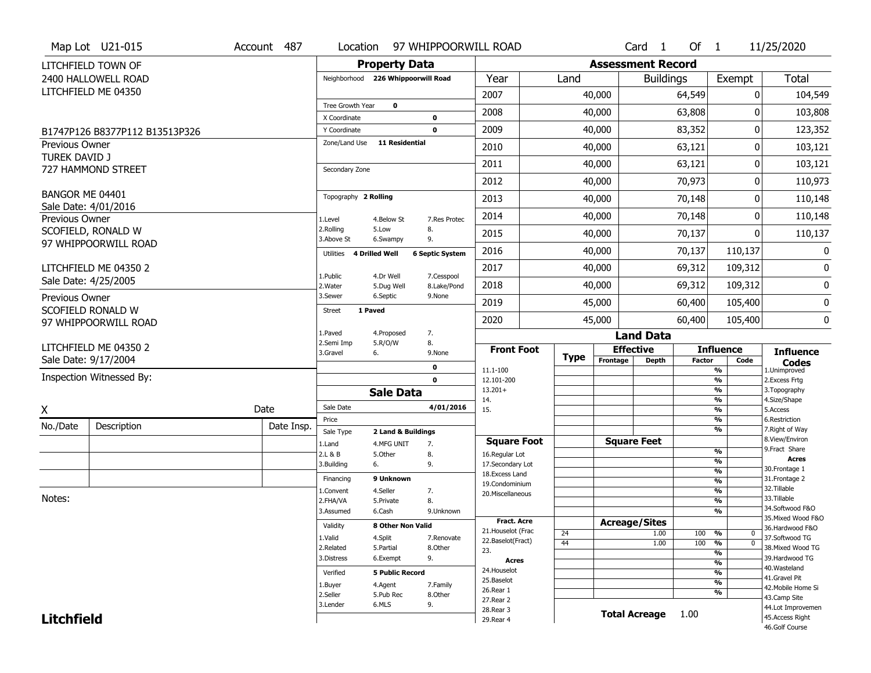|                                        | Map Lot U21-015                               | Account 487 |                                     |                        | Location 97 WHIPPOORWILL ROAD |                                     |             |                          | Card <sub>1</sub>    | Of $1$        |                                                      | 11/25/2020                        |
|----------------------------------------|-----------------------------------------------|-------------|-------------------------------------|------------------------|-------------------------------|-------------------------------------|-------------|--------------------------|----------------------|---------------|------------------------------------------------------|-----------------------------------|
|                                        | LITCHFIELD TOWN OF                            |             |                                     | <b>Property Data</b>   |                               |                                     |             | <b>Assessment Record</b> |                      |               |                                                      |                                   |
|                                        | 2400 HALLOWELL ROAD                           |             | Neighborhood 226 Whippoorwill Road  |                        |                               | Year                                | Land        |                          | <b>Buildings</b>     |               | Exempt                                               | <b>Total</b>                      |
|                                        | LITCHFIELD ME 04350                           |             |                                     |                        |                               | 2007                                |             | 40,000                   |                      | 64,549        | 0                                                    | 104,549                           |
|                                        |                                               |             | Tree Growth Year                    | $\mathbf 0$            |                               | 2008                                |             | 40,000                   |                      | 63,808        | O                                                    | 103,808                           |
|                                        |                                               |             | X Coordinate                        |                        | $\mathbf 0$                   |                                     |             |                          |                      |               |                                                      |                                   |
|                                        | B1747P126 B8377P112 B13513P326                |             | Y Coordinate<br>Zone/Land Use       | <b>11 Residential</b>  | $\mathbf 0$                   | 2009                                |             | 40,000                   |                      | 83,352        | 0                                                    | 123,352                           |
| Previous Owner<br><b>TUREK DAVID J</b> |                                               |             |                                     |                        |                               | 2010                                |             | 40,000                   |                      | 63,121        | 0                                                    | 103,121                           |
|                                        | 727 HAMMOND STREET                            |             | Secondary Zone                      |                        |                               | 2011                                |             | 40,000                   |                      | 63,121        | 0                                                    | 103,121                           |
|                                        |                                               |             |                                     |                        |                               | 2012                                |             | 40,000                   |                      | 70,973        | 0                                                    | 110,973                           |
| BANGOR ME 04401                        |                                               |             | Topography 2 Rolling                |                        |                               | 2013                                |             | 40,000                   |                      | 70,148        | 0                                                    | 110,148                           |
| Previous Owner                         | Sale Date: 4/01/2016                          |             | 1.Level                             | 4.Below St             | 7.Res Protec                  | 2014                                |             | 40,000                   |                      | 70,148        | 0                                                    | 110,148                           |
|                                        | SCOFIELD, RONALD W                            |             | 2.Rolling                           | 5.Low                  | 8.                            | 2015                                |             | 40,000                   |                      | 70,137        | 0                                                    | 110,137                           |
|                                        | 97 WHIPPOORWILL ROAD                          |             | 3.Above St                          | 6.Swampy               | 9.                            |                                     |             |                          |                      |               |                                                      | 0                                 |
|                                        |                                               |             | Utilities                           | <b>4 Drilled Well</b>  | <b>6 Septic System</b>        | 2016                                |             | 40,000                   |                      | 70,137        | 110,137                                              |                                   |
|                                        | LITCHFIELD ME 04350 2<br>Sale Date: 4/25/2005 |             | 1.Public                            | 4.Dr Well              | 7.Cesspool                    | 2017                                |             | 40,000                   |                      | 69,312        | 109,312                                              | 0                                 |
|                                        |                                               |             | 2. Water                            | 5.Dug Well             | 8.Lake/Pond                   | 2018                                |             | 40,000                   | 69,312               |               | 109,312                                              | $\bf{0}$                          |
| Previous Owner                         | SCOFIELD RONALD W                             |             | 3.Sewer<br>1 Paved<br><b>Street</b> | 6.Septic               | 9.None                        | 2019                                |             | 45,000                   |                      | 60,400        | 105,400                                              | 0                                 |
|                                        | 97 WHIPPOORWILL ROAD                          |             |                                     |                        |                               | 2020                                |             | 45,000                   |                      | 60,400        | 105,400                                              | 0                                 |
|                                        |                                               |             | 1.Paved                             | 4.Proposed             | 7.                            |                                     |             |                          | <b>Land Data</b>     |               |                                                      |                                   |
|                                        | LITCHFIELD ME 04350 2                         |             | 2.Semi Imp<br>3.Gravel              | 5.R/O/W<br>6.          | 8.<br>9.None                  | <b>Front Foot</b>                   |             | <b>Effective</b>         |                      |               | <b>Influence</b>                                     | <b>Influence</b>                  |
|                                        | Sale Date: 9/17/2004                          |             |                                     |                        | $\mathbf 0$                   | 11.1-100                            | <b>Type</b> | Frontage                 | <b>Depth</b>         | <b>Factor</b> | Code<br>$\overline{\frac{9}{6}}$                     | <b>Codes</b><br>1.Unimproved      |
|                                        | Inspection Witnessed By:                      |             | $\mathbf 0$<br><b>Sale Data</b>     |                        |                               | 12.101-200                          |             |                          |                      |               | $\frac{9}{6}$                                        | 2. Excess Frtg                    |
|                                        |                                               |             |                                     |                        |                               | $13.201+$<br>14.                    |             |                          |                      |               | $\overline{\frac{9}{6}}$<br>$\frac{9}{6}$            | 3. Topography<br>4.Size/Shape     |
| X                                      |                                               | Date        | Sale Date                           |                        | 4/01/2016                     | 15.                                 |             |                          |                      |               | $\frac{9}{6}$                                        | 5.Access                          |
| No./Date                               | Description                                   | Date Insp.  | Price<br>Sale Type                  | 2 Land & Buildings     |                               |                                     |             |                          |                      |               | %<br>%                                               | 6.Restriction<br>7. Right of Way  |
|                                        |                                               |             | 1.Land                              | 4.MFG UNIT             | 7.                            | <b>Square Foot</b>                  |             |                          | <b>Square Feet</b>   |               |                                                      | 8.View/Environ                    |
|                                        |                                               |             | 2.L & B                             | 5.0ther                | 8.                            | 16.Regular Lot                      |             |                          |                      |               | %<br>%                                               | 9. Fract Share<br><b>Acres</b>    |
|                                        |                                               |             | 3.Building                          | 6.                     | 9.                            | 17.Secondary Lot<br>18. Excess Land |             |                          |                      |               | %                                                    | 30. Frontage 1                    |
|                                        |                                               |             | Financing                           | 9 Unknown              |                               | 19.Condominium                      |             |                          |                      |               | %                                                    | 31. Frontage 2<br>32.Tillable     |
| Notes:                                 |                                               |             | 1.Convent<br>2.FHA/VA               | 4.Seller<br>5.Private  | 7.<br>8.                      | 20.Miscellaneous                    |             |                          |                      |               | %<br>%                                               | 33.Tillable                       |
|                                        |                                               |             | 3.Assumed                           | 6.Cash                 | 9.Unknown                     |                                     |             |                          |                      |               | %                                                    | 34.Softwood F&O                   |
|                                        |                                               |             | Validity                            | 8 Other Non Valid      |                               | Fract. Acre                         |             | <b>Acreage/Sites</b>     |                      |               |                                                      | 35. Mixed Wood F&O                |
|                                        |                                               |             | 1.Valid                             | 4.Split                | 7.Renovate                    | 21. Houselot (Frac                  | 24          |                          | 1.00                 | 100           | %<br>0                                               | 36.Hardwood F&O<br>37.Softwood TG |
|                                        |                                               |             | 2.Related                           | 5.Partial              | 8.Other                       | 22.Baselot(Fract)<br>23.            | 44          |                          | 1.00                 | 100           | $\overline{\mathfrak{o}}$<br>%                       | 38. Mixed Wood TG                 |
|                                        |                                               |             | 3.Distress                          | 6.Exempt               | 9.                            | <b>Acres</b>                        |             |                          |                      |               | $\overline{\frac{9}{6}}$<br>$\overline{\frac{9}{6}}$ | 39.Hardwood TG                    |
|                                        |                                               |             | Verified                            | <b>5 Public Record</b> |                               | 24. Houselot                        |             |                          |                      |               | $\overline{\frac{9}{6}}$                             | 40. Wasteland                     |
|                                        |                                               |             |                                     |                        | 25.Baselot                    |                                     |             |                          |                      |               | 41.Gravel Pit                                        |                                   |
|                                        |                                               |             |                                     |                        |                               |                                     |             |                          |                      |               | $\overline{\frac{9}{6}}$                             |                                   |
|                                        |                                               |             | 1.Buyer<br>2.Seller                 | 4.Agent<br>5.Pub Rec   | 7.Family<br>8.Other           | 26.Rear 1                           |             |                          |                      |               | %                                                    | 42. Mobile Home Si                |
|                                        |                                               |             | 3.Lender                            | 6.MLS                  | 9.                            | 27. Rear 2                          |             |                          |                      |               |                                                      | 43.Camp Site<br>44.Lot Improvemen |
| <b>Litchfield</b>                      |                                               |             |                                     |                        |                               | 28. Rear 3<br>29. Rear 4            |             |                          | <b>Total Acreage</b> | 1.00          |                                                      | 45.Access Right<br>46.Golf Course |